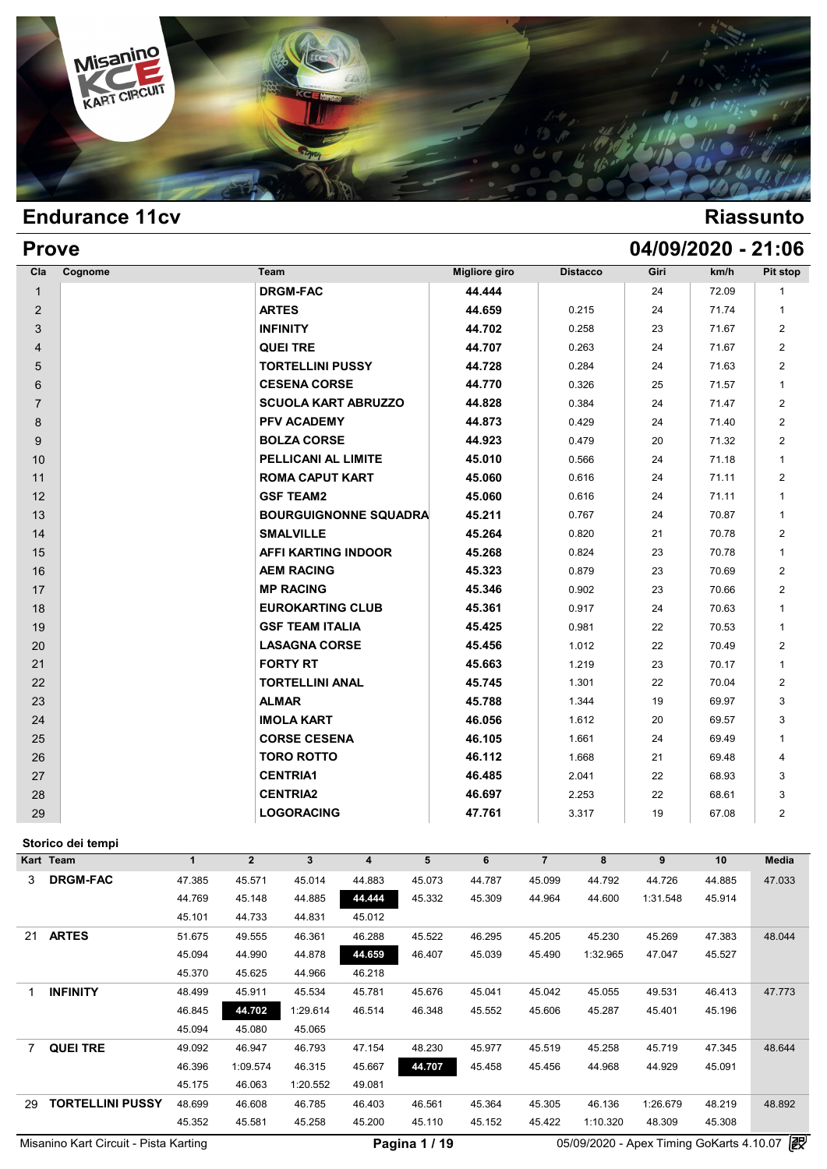

| <b>Prove</b>   |         |                              |                      |                 |      | 04/09/2020 - 21:06 |                |
|----------------|---------|------------------------------|----------------------|-----------------|------|--------------------|----------------|
| Cla            | Cognome | Team                         | <b>Migliore giro</b> | <b>Distacco</b> | Giri | km/h               | Pit stop       |
| $\mathbf{1}$   |         | <b>DRGM-FAC</b>              | 44.444               |                 | 24   | 72.09              | 1              |
| $\overline{2}$ |         | <b>ARTES</b>                 | 44.659               | 0.215           | 24   | 71.74              | $\mathbf{1}$   |
| 3              |         | <b>INFINITY</b>              | 44.702               | 0.258           | 23   | 71.67              | $\overline{2}$ |
| 4              |         | <b>QUEI TRE</b>              | 44.707               | 0.263           | 24   | 71.67              | $\overline{2}$ |
| 5              |         | <b>TORTELLINI PUSSY</b>      | 44.728               | 0.284           | 24   | 71.63              | $\overline{2}$ |
| 6              |         | <b>CESENA CORSE</b>          | 44.770               | 0.326           | 25   | 71.57              | $\mathbf{1}$   |
| $\overline{7}$ |         | <b>SCUOLA KART ABRUZZO</b>   | 44.828               | 0.384           | 24   | 71.47              | $\overline{2}$ |
| 8              |         | <b>PFV ACADEMY</b>           | 44.873               | 0.429           | 24   | 71.40              | $\overline{2}$ |
| 9              |         | <b>BOLZA CORSE</b>           | 44.923               | 0.479           | 20   | 71.32              | $\overline{2}$ |
| 10             |         | PELLICANI AL LIMITE          | 45.010               | 0.566           | 24   | 71.18              | $\mathbf{1}$   |
| 11             |         | <b>ROMA CAPUT KART</b>       | 45.060               | 0.616           | 24   | 71.11              | $\overline{2}$ |
| 12             |         | <b>GSF TEAM2</b>             | 45.060               | 0.616           | 24   | 71.11              | $\mathbf{1}$   |
| 13             |         | <b>BOURGUIGNONNE SQUADRA</b> | 45.211               | 0.767           | 24   | 70.87              | $\mathbf{1}$   |
| 14             |         | <b>SMALVILLE</b>             | 45.264               | 0.820           | 21   | 70.78              | $\overline{2}$ |
| 15             |         | AFFI KARTING INDOOR          | 45.268               | 0.824           | 23   | 70.78              | $\mathbf{1}$   |
| 16             |         | <b>AEM RACING</b>            | 45.323               | 0.879           | 23   | 70.69              | $\overline{2}$ |
| 17             |         | <b>MP RACING</b>             | 45.346               | 0.902           | 23   | 70.66              | $\overline{2}$ |
| 18             |         | <b>EUROKARTING CLUB</b>      | 45.361               | 0.917           | 24   | 70.63              | $\mathbf{1}$   |
| 19             |         | <b>GSF TEAM ITALIA</b>       | 45.425               | 0.981           | 22   | 70.53              | $\mathbf{1}$   |
| 20             |         | <b>LASAGNA CORSE</b>         | 45.456               | 1.012           | 22   | 70.49              | $\overline{2}$ |
| 21             |         | <b>FORTY RT</b>              | 45.663               | 1.219           | 23   | 70.17              | $\mathbf{1}$   |
| 22             |         | <b>TORTELLINI ANAL</b>       | 45.745               | 1.301           | 22   | 70.04              | $\overline{2}$ |
| 23             |         | <b>ALMAR</b>                 | 45.788               | 1.344           | 19   | 69.97              | 3              |
| 24             |         | <b>IMOLA KART</b>            | 46.056               | 1.612           | 20   | 69.57              | 3              |
| 25             |         | <b>CORSE CESENA</b>          | 46.105               | 1.661           | 24   | 69.49              | $\mathbf{1}$   |
| 26             |         | <b>TORO ROTTO</b>            | 46.112               | 1.668           | 21   | 69.48              | $\overline{4}$ |
| 27             |         | <b>CENTRIA1</b>              | 46.485               | 2.041           | 22   | 68.93              | 3              |
| 28             |         | <b>CENTRIA2</b>              | 46.697               | 2.253           | 22   | 68.61              | 3              |
| 29             |         | <b>LOGORACING</b>            | 47.761               | 3.317           | 19   | 67.08              | $\overline{2}$ |

### **Storico dei tempi**

|    | Storico dei tempi                     |        |                |          |        |               |        |                |          |                                          |        |        |
|----|---------------------------------------|--------|----------------|----------|--------|---------------|--------|----------------|----------|------------------------------------------|--------|--------|
|    | Kart Team                             | 1      | $\overline{2}$ | 3        | 4      | 5             | 6      | $\overline{7}$ | 8        | 9                                        | 10     | Media  |
| 3  | <b>DRGM-FAC</b>                       | 47.385 | 45.571         | 45.014   | 44.883 | 45.073        | 44.787 | 45.099         | 44.792   | 44.726                                   | 44.885 | 47.033 |
|    |                                       | 44.769 | 45.148         | 44.885   | 44.444 | 45.332        | 45.309 | 44.964         | 44.600   | 1:31.548                                 | 45.914 |        |
|    |                                       | 45.101 | 44.733         | 44.831   | 45.012 |               |        |                |          |                                          |        |        |
| 21 | <b>ARTES</b>                          | 51.675 | 49.555         | 46.361   | 46.288 | 45.522        | 46.295 | 45.205         | 45.230   | 45.269                                   | 47.383 | 48.044 |
|    |                                       | 45.094 | 44.990         | 44.878   | 44.659 | 46.407        | 45.039 | 45.490         | 1:32.965 | 47.047                                   | 45.527 |        |
|    |                                       | 45.370 | 45.625         | 44.966   | 46.218 |               |        |                |          |                                          |        |        |
| 1  | <b>INFINITY</b>                       | 48.499 | 45.911         | 45.534   | 45.781 | 45.676        | 45.041 | 45.042         | 45.055   | 49.531                                   | 46.413 | 47.773 |
|    |                                       | 46.845 | 44.702         | 1:29.614 | 46.514 | 46.348        | 45.552 | 45.606         | 45.287   | 45.401                                   | 45.196 |        |
|    |                                       | 45.094 | 45.080         | 45.065   |        |               |        |                |          |                                          |        |        |
|    | <b>QUEI TRE</b>                       | 49.092 | 46.947         | 46.793   | 47.154 | 48.230        | 45.977 | 45.519         | 45.258   | 45.719                                   | 47.345 | 48.644 |
|    |                                       | 46.396 | 1:09.574       | 46.315   | 45.667 | 44.707        | 45.458 | 45.456         | 44.968   | 44.929                                   | 45.091 |        |
|    |                                       | 45.175 | 46.063         | 1:20.552 | 49.081 |               |        |                |          |                                          |        |        |
| 29 | <b>TORTELLINI PUSSY</b>               | 48.699 | 46.608         | 46.785   | 46.403 | 46.561        | 45.364 | 45.305         | 46.136   | 1:26.679                                 | 48.219 | 48.892 |
|    |                                       | 45.352 | 45.581         | 45.258   | 45.200 | 45.110        | 45.152 | 45.422         | 1:10.320 | 48.309                                   | 45.308 |        |
|    | Misanino Kart Circuit - Pista Karting |        |                |          |        | Pagina 1 / 19 |        |                |          | 05/09/2020 - Apex Timing GoKarts 4.10.07 |        | 霞      |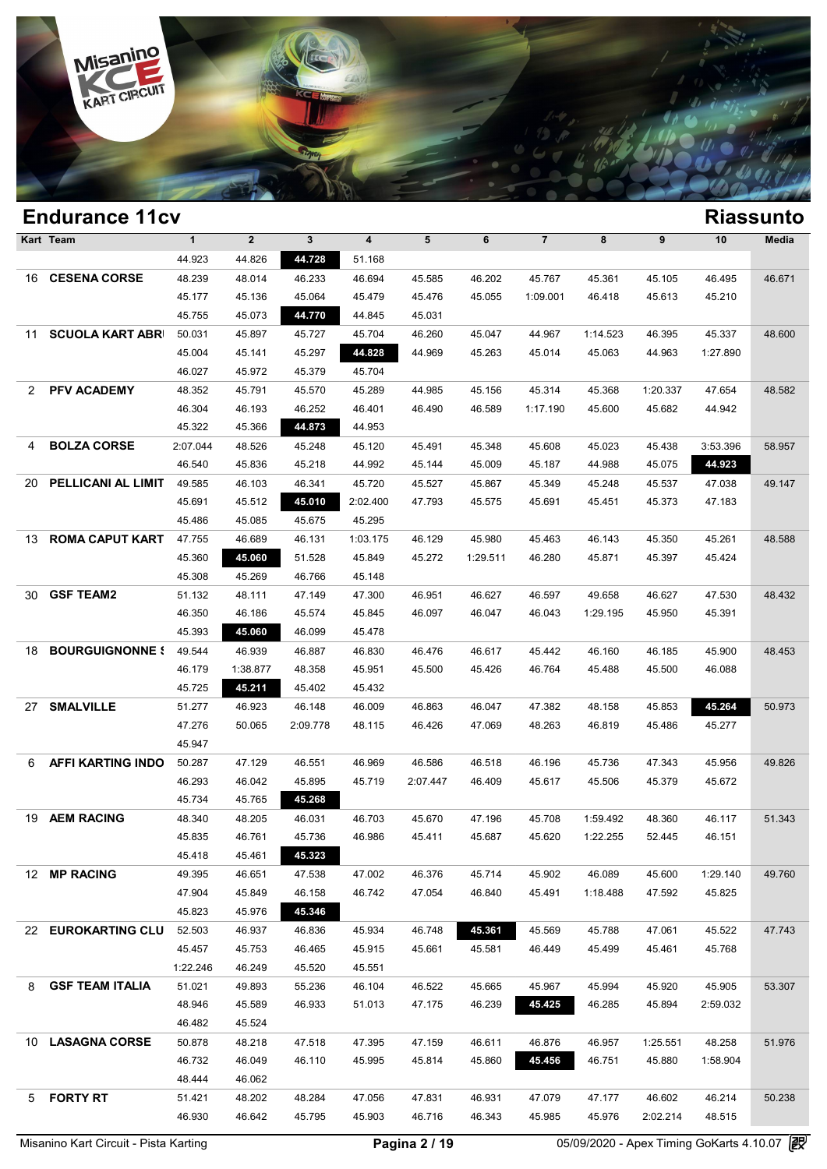

|    | <b>Endurance 11cv</b>      |              |             |          |                         |          |          |                |          |          |          | <b>Riassunto</b> |
|----|----------------------------|--------------|-------------|----------|-------------------------|----------|----------|----------------|----------|----------|----------|------------------|
|    | Kart Team                  | $\mathbf{1}$ | $\mathbf 2$ | 3        | $\overline{\mathbf{4}}$ | 5        | 6        | $\overline{7}$ | 8        | 9        | 10       | Media            |
|    |                            | 44.923       | 44.826      | 44.728   | 51.168                  |          |          |                |          |          |          |                  |
| 16 | <b>CESENA CORSE</b>        | 48.239       | 48.014      | 46.233   | 46.694                  | 45.585   | 46.202   | 45.767         | 45.361   | 45.105   | 46.495   | 46.671           |
|    |                            | 45.177       | 45.136      | 45.064   | 45.479                  | 45.476   | 45.055   | 1:09.001       | 46.418   | 45.613   | 45.210   |                  |
|    |                            | 45.755       | 45.073      | 44.770   | 44.845                  | 45.031   |          |                |          |          |          |                  |
| 11 | <b>SCUOLA KART ABRI</b>    | 50.031       | 45.897      | 45.727   | 45.704                  | 46.260   | 45.047   | 44.967         | 1:14.523 | 46.395   | 45.337   | 48.600           |
|    |                            | 45.004       | 45.141      | 45.297   | 44.828                  | 44.969   | 45.263   | 45.014         | 45.063   | 44.963   | 1:27.890 |                  |
|    |                            | 46.027       | 45.972      | 45.379   | 45.704                  |          |          |                |          |          |          |                  |
| 2  | <b>PFV ACADEMY</b>         | 48.352       | 45.791      | 45.570   | 45.289                  | 44.985   | 45.156   | 45.314         | 45.368   | 1:20.337 | 47.654   | 48.582           |
|    |                            | 46.304       | 46.193      | 46.252   | 46.401                  | 46.490   | 46.589   | 1:17.190       | 45.600   | 45.682   | 44.942   |                  |
|    |                            | 45.322       | 45.366      | 44.873   | 44.953                  |          |          |                |          |          |          |                  |
| 4  | <b>BOLZA CORSE</b>         | 2:07.044     | 48.526      | 45.248   | 45.120                  | 45.491   | 45.348   | 45.608         | 45.023   | 45.438   | 3:53.396 | 58.957           |
|    |                            | 46.540       | 45.836      | 45.218   | 44.992                  | 45.144   | 45.009   | 45.187         | 44.988   | 45.075   | 44.923   |                  |
| 20 | PELLICANI AL LIMIT         | 49.585       | 46.103      | 46.341   | 45.720                  | 45.527   | 45.867   | 45.349         | 45.248   | 45.537   | 47.038   | 49.147           |
|    |                            | 45.691       | 45.512      | 45.010   | 2:02.400                | 47.793   | 45.575   | 45.691         | 45.451   | 45.373   | 47.183   |                  |
|    |                            | 45.486       | 45.085      | 45.675   | 45.295                  |          |          |                |          |          |          |                  |
| 13 | <b>ROMA CAPUT KART</b>     | 47.755       | 46.689      | 46.131   | 1:03.175                | 46.129   | 45.980   | 45.463         | 46.143   | 45.350   | 45.261   | 48.588           |
|    |                            | 45.360       | 45.060      | 51.528   | 45.849                  | 45.272   | 1:29.511 | 46.280         | 45.871   | 45.397   | 45.424   |                  |
|    |                            | 45.308       | 45.269      | 46.766   | 45.148                  |          |          |                |          |          |          |                  |
| 30 | <b>GSF TEAM2</b>           | 51.132       | 48.111      | 47.149   | 47.300                  | 46.951   | 46.627   | 46.597         | 49.658   | 46.627   | 47.530   | 48.432           |
|    |                            | 46.350       | 46.186      | 45.574   | 45.845                  | 46.097   | 46.047   | 46.043         | 1:29.195 | 45.950   | 45.391   |                  |
|    |                            | 45.393       | 45.060      | 46.099   | 45.478                  |          |          |                |          |          |          |                  |
| 18 | <b>BOURGUIGNONNE &amp;</b> | 49.544       | 46.939      | 46.887   | 46.830                  | 46.476   | 46.617   | 45.442         | 46.160   | 46.185   | 45.900   | 48.453           |
|    |                            | 46.179       | 1:38.877    | 48.358   | 45.951                  | 45.500   | 45.426   | 46.764         | 45.488   | 45.500   | 46.088   |                  |
|    |                            | 45.725       | 45.211      | 45.402   | 45.432                  |          |          |                |          |          |          |                  |
| 27 | <b>SMALVILLE</b>           | 51.277       | 46.923      | 46.148   | 46.009                  | 46.863   | 46.047   | 47.382         | 48.158   | 45.853   | 45.264   | 50.973           |
|    |                            | 47.276       | 50.065      | 2:09.778 | 48.115                  | 46.426   | 47.069   | 48.263         | 46.819   | 45.486   | 45.277   |                  |
|    |                            | 45.947       |             |          |                         |          |          |                |          |          |          |                  |
| 6  | <b>AFFI KARTING INDO</b>   | 50.287       | 47.129      | 46.551   | 46.969                  | 46.586   | 46.518   | 46.196         | 45.736   | 47.343   | 45.956   | 49.826           |
|    |                            | 46.293       | 46.042      | 45.895   | 45.719                  | 2:07.447 | 46.409   | 45.617         | 45.506   | 45.379   | 45.672   |                  |
|    |                            | 45.734       | 45.765      | 45.268   |                         |          |          |                |          |          |          |                  |
| 19 | <b>AEM RACING</b>          | 48.340       | 48.205      | 46.031   | 46.703                  | 45.670   | 47.196   | 45.708         | 1:59.492 | 48.360   | 46.117   | 51.343           |
|    |                            | 45.835       | 46.761      | 45.736   | 46.986                  | 45.411   | 45.687   | 45.620         | 1:22.255 | 52.445   | 46.151   |                  |
|    |                            | 45.418       | 45.461      | 45.323   |                         |          |          |                |          |          |          |                  |
|    | 12 MP RACING               | 49.395       | 46.651      | 47.538   | 47.002                  | 46.376   | 45.714   | 45.902         | 46.089   | 45.600   | 1:29.140 | 49.760           |
|    |                            | 47.904       | 45.849      | 46.158   | 46.742                  | 47.054   | 46.840   | 45.491         | 1:18.488 | 47.592   | 45.825   |                  |
|    |                            | 45.823       | 45.976      | 45.346   |                         |          |          |                |          |          |          |                  |
|    | 22 EUROKARTING CLU         | 52.503       | 46.937      | 46.836   | 45.934                  | 46.748   | 45.361   | 45.569         | 45.788   | 47.061   | 45.522   | 47.743           |
|    |                            | 45.457       | 45.753      | 46.465   | 45.915                  | 45.661   | 45.581   | 46.449         | 45.499   | 45.461   | 45.768   |                  |
|    |                            | 1:22.246     | 46.249      | 45.520   | 45.551                  |          |          |                |          |          |          |                  |
| 8  | <b>GSF TEAM ITALIA</b>     | 51.021       | 49.893      | 55.236   | 46.104                  | 46.522   | 45.665   | 45.967         | 45.994   | 45.920   | 45.905   | 53.307           |
|    |                            | 48.946       | 45.589      | 46.933   | 51.013                  | 47.175   | 46.239   | 45.425         | 46.285   | 45.894   | 2:59.032 |                  |
|    |                            | 46.482       | 45.524      |          |                         |          |          |                |          |          |          |                  |
|    | 10 LASAGNA CORSE           | 50.878       | 48.218      | 47.518   | 47.395                  | 47.159   | 46.611   | 46.876         | 46.957   | 1:25.551 | 48.258   | 51.976           |
|    |                            | 46.732       | 46.049      | 46.110   | 45.995                  | 45.814   | 45.860   | 45.456         | 46.751   | 45.880   | 1:58.904 |                  |
|    |                            | 48.444       | 46.062      |          |                         |          |          |                |          |          |          |                  |
| 5. | <b>FORTY RT</b>            | 51.421       | 48.202      | 48.284   | 47.056                  | 47.831   | 46.931   | 47.079         | 47.177   | 46.602   | 46.214   | 50.238           |
|    |                            | 46.930       | 46.642      | 45.795   | 45.903                  | 46.716   | 46.343   | 45.985         | 45.976   | 2:02.214 | 48.515   |                  |
|    |                            |              |             |          |                         |          |          |                |          |          |          |                  |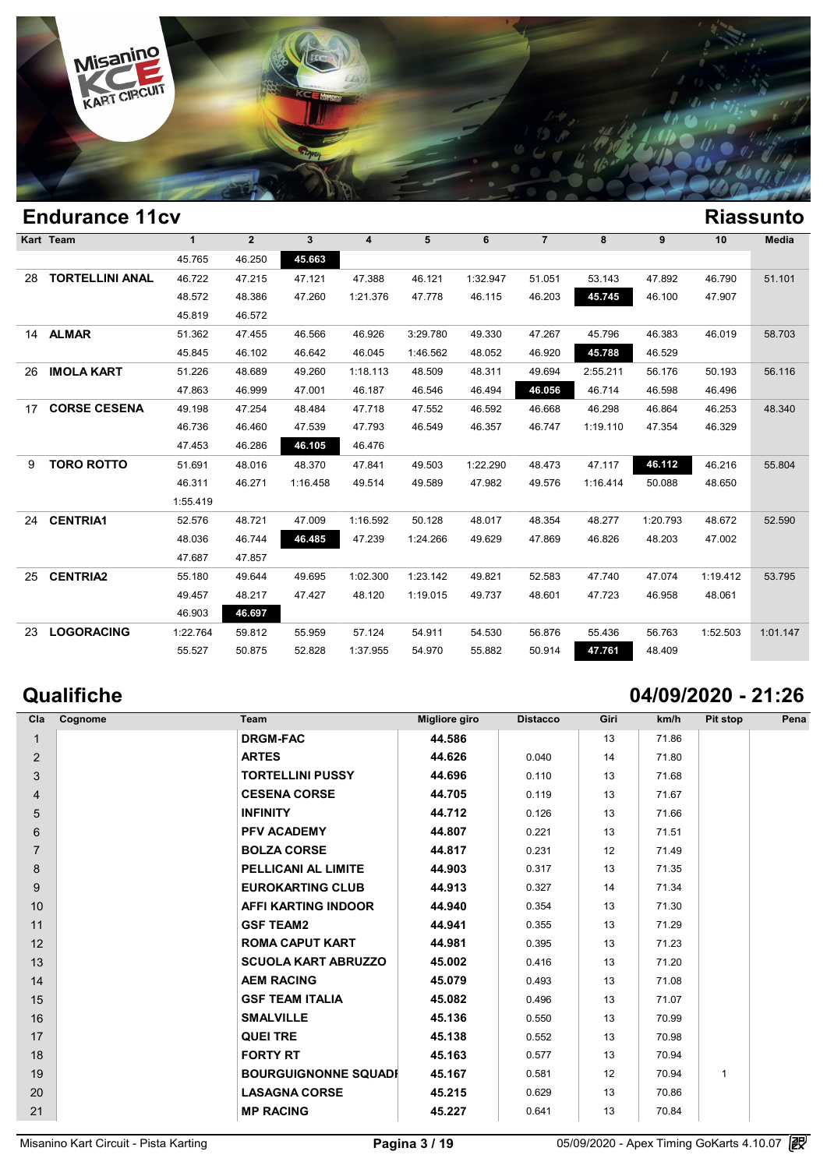

### **Endurance 11cv Riassunto Kart Team 1 2 3 4 5 6 7 8 9 10 Media**  $\begin{array}{|c|c|c|c|}\n\hline\n & 1 & 2 & 3 \\
\hline\n45.765 & 46.250 & 45.663 \\
\hline\n\end{array}$  **TORTELLINI ANAL** 46.722 47.215 47.121 47.388 46.121 1:32.947 51.051 53.143 47.892 46.790 51.101 1 2 3 4 5 6 7 8 9 10 Med<br>45.765 46.250 45.663<br>46.722 47.215 47.121 47.388 46.121 1:32.947 51.051 53.143 47.892 46.790 51.1<br>48.572 48.386 47.260 1:21.376 47.778 46.115 46.203 45.745 46.100 47.907<br>45.810 46.573 45.765 46.250 45.61<br>46.722 47.215 47.12<br>48.572 48.386 47.21<br>45.819 46.572 **ALMAR** 51.362 47.455 46.566 46.926 3:29.780 49.330 47.267 45.796 46.383 46.019 58.703 46.572 48.386 47.260 1:21.376 47.778 46.115 46.203 **45.745** 46.100 47<br>45.819 46.572<br>51.362 47.455 46.566 46.926 3:29.780 49.330 47.267 45.796 46.383 46<br>45.845 46.102 46.642 46.045 1:46.562 48.052 46.920 **45.788** 46.529 **IMOLA KART** 51.226 48.689 49.260 1:18.113 48.509 48.311 49.694 2:55.211 56.176 50.193 56.116 47.362 47.455 46.566 46.926 3:29.780 49.330 47.267 45.796 46.383 46.019 58.7<br>45.845 46.102 46.642 46.045 1:46.562 48.052 46.920 45.788 46.529<br>51.226 48.689 49.260 1:18.113 48.509 48.311 49.694 2:55.211 56.176 50.193 56.1<br>4 **CORSE CESENA** 49.198 47.254 48.484 47.718 47.552 46.592 46.668 46.298 46.864 46.253 48.340 46.286 46.889 49.260 1:18.113 48.509 48.311 49.694 2:55.211 56.176 50.193 56.1<br>
47.863 46.999 47.001 46.187 46.546 46.494 46.056 46.714 46.598 46.496<br>
49.198 47.254 48.484 47.718 47.552 46.592 46.668 46.298 46.864 46.253 4 47.863 46.999 47.001 46.187 46<br>
49.198 47.254 48.484 47.718 47<br>
46.736 46.460 47.539 47.793 46<br>
47.453 46.286 46.105 46.476 **TORO ROTTO** 51.691 48.016 48.370 47.841 49.503 1:22.290 48.473 47.117 **46.112** 46.216 55.804 46.736 46.460 47.539 47.793 46.549 46.357 46.747 1:19.110 47.354 46.329<br>47.453 46.286 46.105 46.476<br>51.691 48.016 48.370 47.841 49.503 1:22.290 48.473 47.117 46.112 46.216 55.8<br>46.311 46.271 1:16.458 49.514 49.589 47.982 4 1:55.419 **CENTRIA1** 52.576 48.721 47.009 1:16.592 50.128 48.017 48.354 48.277 1:20.793 48.672 52.590 46.311 46.271 1:16.458 49.514 49.589 47.982 49.576 1:16.414 50.088 48.650<br>
55.419<br>
52.576 48.721 47.009 1:16.592 50.128 48.017 48.354 48.277 1:20.793 48.672 52.5<br>
48.036 46.744 46.485 47.239 1:24.266 49.629 47.869 46.826 4  $\begin{array}{r|l}\n 1.55.419 \\
 \hline\n 52.576 & 48.721 & 47.00 \\
 48.036 & 46.744 & 46.74 \\
 \hline\n 47.687 & 47.857\n\end{array}$  **CENTRIA2** 55.180 49.644 49.695 1:02.300 1:23.142 49.821 52.583 47.740 47.074 1:19.412 53.795 48.036 46.744 46.485 47.239 1:24.266 49.629 47.869 46.826 48.203 47.002<br>47.687 47.857<br>55.180 49.644 49.695 1:02.300 1:23.142 49.821 52.583 47.740 47.074 1:19.412 53.7<br>49.457 48.217 47.427 48.120 1:19.015 49.737 48.601 47.7 46.903 **46.697 LOGORACING** 1:22.764 59.812 55.959 57.124 54.911 54.530 56.876 55.436 56.763 1:52.503 1:01.147 49.457 48.217 47.427 48.120 1:19.015 49.737 48.601 47.723 46.958 48<br>46.903 46.697<br>1:22.764 59.812 55.959 57.124 54.911 54.530 56.876 55.436 56.763 1:5<br>55.527 50.875 52.828 1:37.955 54.970 55.882 50.914 47.761 48.409

# **Qualifiche 04/09/2020 - 21:26**

| Cla            | Cognome | Team                        | <b>Migliore giro</b> | <b>Distacco</b> | Giri | km/h  | Pit stop     | Pena |
|----------------|---------|-----------------------------|----------------------|-----------------|------|-------|--------------|------|
| $\mathbf{1}$   |         | <b>DRGM-FAC</b>             | 44.586               |                 | 13   | 71.86 |              |      |
| 2              |         | <b>ARTES</b>                | 44.626               | 0.040           | 14   | 71.80 |              |      |
| 3              |         | <b>TORTELLINI PUSSY</b>     | 44.696               | 0.110           | 13   | 71.68 |              |      |
| 4              |         | <b>CESENA CORSE</b>         | 44.705               | 0.119           | 13   | 71.67 |              |      |
| 5              |         | <b>INFINITY</b>             | 44.712               | 0.126           | 13   | 71.66 |              |      |
| 6              |         | <b>PFV ACADEMY</b>          | 44.807               | 0.221           | 13   | 71.51 |              |      |
| $\overline{7}$ |         | <b>BOLZA CORSE</b>          | 44.817               | 0.231           | 12   | 71.49 |              |      |
| 8              |         | PELLICANI AL LIMITE         | 44.903               | 0.317           | 13   | 71.35 |              |      |
| 9              |         | <b>EUROKARTING CLUB</b>     | 44.913               | 0.327           | 14   | 71.34 |              |      |
| 10             |         | AFFI KARTING INDOOR         | 44.940               | 0.354           | 13   | 71.30 |              |      |
| 11             |         | <b>GSF TEAM2</b>            | 44.941               | 0.355           | 13   | 71.29 |              |      |
| 12             |         | <b>ROMA CAPUT KART</b>      | 44.981               | 0.395           | 13   | 71.23 |              |      |
| 13             |         | <b>SCUOLA KART ABRUZZO</b>  | 45.002               | 0.416           | 13   | 71.20 |              |      |
| 14             |         | <b>AEM RACING</b>           | 45.079               | 0.493           | 13   | 71.08 |              |      |
| 15             |         | <b>GSF TEAM ITALIA</b>      | 45.082               | 0.496           | 13   | 71.07 |              |      |
| 16             |         | <b>SMALVILLE</b>            | 45.136               | 0.550           | 13   | 70.99 |              |      |
| 17             |         | <b>QUEI TRE</b>             | 45.138               | 0.552           | 13   | 70.98 |              |      |
| 18             |         | <b>FORTY RT</b>             | 45.163               | 0.577           | 13   | 70.94 |              |      |
| 19             |         | <b>BOURGUIGNONNE SQUADI</b> | 45.167               | 0.581           | 12   | 70.94 | $\mathbf{1}$ |      |
| 20             |         | <b>LASAGNA CORSE</b>        | 45.215               | 0.629           | 13   | 70.86 |              |      |
| 21             |         | <b>MP RACING</b>            | 45.227               | 0.641           | 13   | 70.84 |              |      |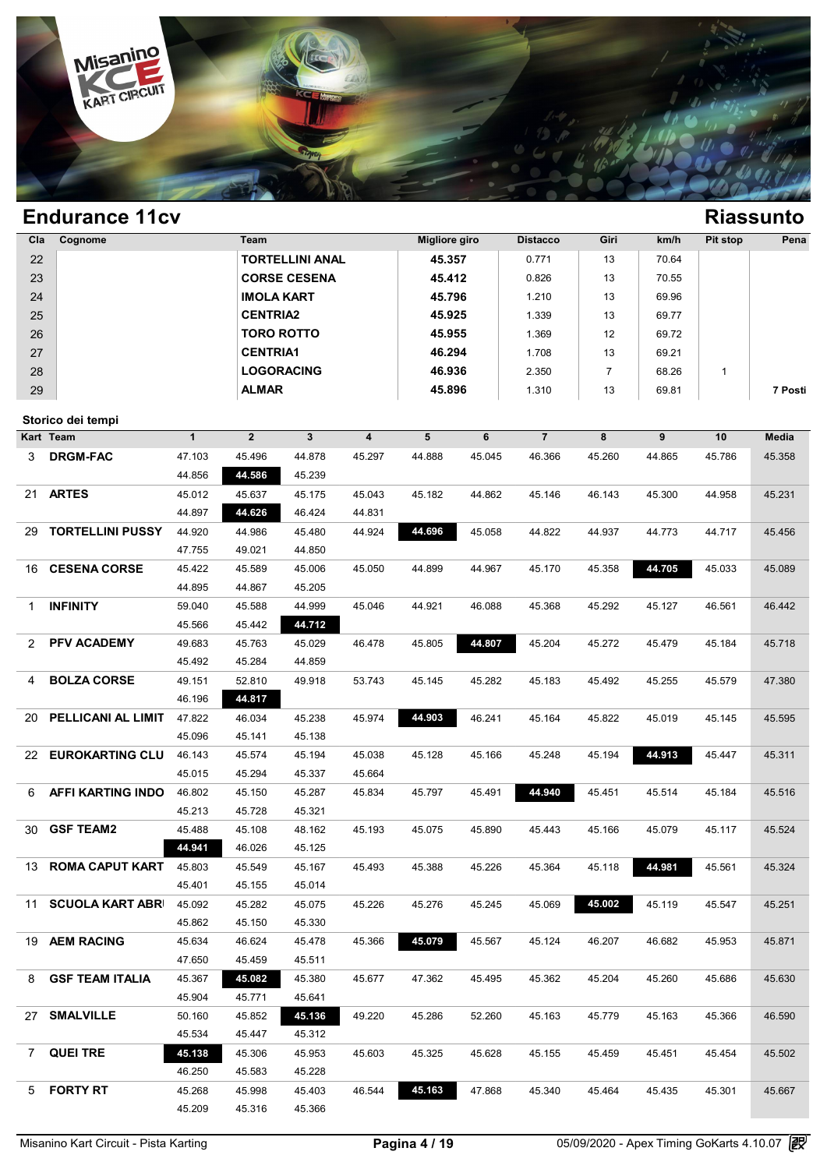

| Cla         | Cognome                    |              | Team              |                        |                         | <b>Migliore giro</b> |        | <b>Distacco</b> | Giri           | km/h   | Pit stop     | Pena    |
|-------------|----------------------------|--------------|-------------------|------------------------|-------------------------|----------------------|--------|-----------------|----------------|--------|--------------|---------|
| 22          |                            |              |                   | <b>TORTELLINI ANAL</b> |                         | 45.357               |        | 0.771           | 13             | 70.64  |              |         |
| 23          |                            |              |                   | <b>CORSE CESENA</b>    |                         | 45.412               |        | 0.826           | 13             | 70.55  |              |         |
| 24          |                            |              | <b>IMOLA KART</b> |                        |                         | 45.796               |        | 1.210           | 13             | 69.96  |              |         |
| 25          |                            |              | <b>CENTRIA2</b>   |                        |                         | 45.925               |        | 1.339           | 13             | 69.77  |              |         |
| 26          |                            |              | <b>TORO ROTTO</b> |                        |                         | 45.955               |        | 1.369           | 12             | 69.72  |              |         |
| 27          |                            |              | <b>CENTRIA1</b>   |                        |                         | 46.294               |        | 1.708           | 13             | 69.21  |              |         |
| 28          |                            |              | <b>LOGORACING</b> |                        |                         | 46.936               |        |                 | $\overline{7}$ |        |              |         |
|             |                            |              |                   |                        |                         |                      |        | 2.350           |                | 68.26  | $\mathbf{1}$ |         |
| 29          |                            |              | <b>ALMAR</b>      |                        |                         | 45.896               |        | 1.310           | 13             | 69.81  |              | 7 Posti |
|             | Storico dei tempi          |              |                   |                        |                         |                      |        |                 |                |        |              |         |
|             | Kart Team                  | $\mathbf{1}$ | $\overline{2}$    | $\mathbf{3}$           | $\overline{\mathbf{4}}$ | 5                    | 6      | $\overline{7}$  | 8              | 9      | 10           | Media   |
| 3           | <b>DRGM-FAC</b>            | 47.103       | 45.496            | 44.878                 | 45.297                  | 44.888               | 45.045 | 46.366          | 45.260         | 44.865 | 45.786       | 45.358  |
|             |                            | 44.856       | 44.586            | 45.239                 |                         |                      |        |                 |                |        |              |         |
| 21          | <b>ARTES</b>               | 45.012       | 45.637            | 45.175                 | 45.043                  | 45.182               | 44.862 | 45.146          | 46.143         | 45.300 | 44.958       | 45.231  |
|             |                            | 44.897       | 44.626            | 46.424                 | 44.831                  |                      |        |                 |                |        |              |         |
| 29          | <b>TORTELLINI PUSSY</b>    | 44.920       | 44.986            | 45.480                 | 44.924                  | 44.696               | 45.058 | 44.822          | 44.937         | 44.773 | 44.717       | 45.456  |
|             |                            | 47.755       | 49.021            | 44.850                 |                         |                      |        |                 |                |        |              |         |
| 16          | <b>CESENA CORSE</b>        | 45.422       | 45.589            | 45.006                 | 45.050                  | 44.899               | 44.967 | 45.170          | 45.358         | 44.705 | 45.033       | 45.089  |
|             |                            | 44.895       | 44.867            | 45.205                 |                         |                      |        |                 |                |        |              |         |
|             |                            |              |                   |                        |                         |                      |        |                 |                |        |              |         |
| 1           | <b>INFINITY</b>            | 59.040       | 45.588            | 44.999                 | 45.046                  | 44.921               | 46.088 | 45.368          | 45.292         | 45.127 | 46.561       | 46.442  |
|             |                            | 45.566       | 45.442            | 44.712                 |                         |                      |        |                 |                |        |              |         |
| 2           | PFV ACADEMY                | 49.683       | 45.763            | 45.029                 | 46.478                  | 45.805               | 44.807 | 45.204          | 45.272         | 45.479 | 45.184       | 45.718  |
|             |                            | 45.492       | 45.284            | 44.859                 |                         |                      |        |                 |                |        |              |         |
| 4           | <b>BOLZA CORSE</b>         | 49.151       | 52.810            | 49.918                 | 53.743                  | 45.145               | 45.282 | 45.183          | 45.492         | 45.255 | 45.579       | 47.380  |
|             |                            | 46.196       | 44.817            |                        |                         |                      |        |                 |                |        |              |         |
| 20          | PELLICANI AL LIMIT         | 47.822       | 46.034            | 45.238                 | 45.974                  | 44.903               | 46.241 | 45.164          | 45.822         | 45.019 | 45.145       | 45.595  |
|             |                            | 45.096       | 45.141            | 45.138                 |                         |                      |        |                 |                |        |              |         |
| 22          | <b>EUROKARTING CLU</b>     | 46.143       | 45.574            | 45.194                 | 45.038                  | 45.128               | 45.166 | 45.248          | 45.194         | 44.913 | 45.447       | 45.311  |
|             |                            | 45.015       | 45.294            | 45.337                 | 45.664                  |                      |        |                 |                |        |              |         |
| 6           | <b>AFFI KARTING INDO</b>   | 46.802       | 45.150            | 45.287                 | 45.834                  | 45.797               | 45.491 | 44.940          | 45.451         | 45.514 | 45.184       | 45.516  |
|             |                            | 45.213       | 45.728            | 45.321                 |                         |                      |        |                 |                |        |              |         |
| 30          | <b>GSF TEAM2</b>           | 45.488       | 45.108            | 48.162                 | 45.193                  | 45.075               | 45.890 | 45.443          | 45.166         | 45.079 | 45.117       | 45.524  |
|             |                            | 44.941       | 46.026            | 45.125                 |                         |                      |        |                 |                |        |              |         |
|             | 13 ROMA CAPUT KART 45.803  |              | 45.549            | 45.167                 | 45.493                  | 45.388               | 45.226 | 45.364          | 45.118         | 44.981 | 45.561       | 45.324  |
|             |                            | 45.401       | 45.155            | 45.014                 |                         |                      |        |                 |                |        |              |         |
|             | 11 SCUOLA KART ABRI 45.092 |              | 45.282            | 45.075                 | 45.226                  | 45.276               | 45.245 | 45.069          | 45.002         | 45.119 | 45.547       | 45.251  |
|             |                            | 45.862       | 45.150            | 45.330                 |                         |                      |        |                 |                |        |              |         |
|             | 19 AEM RACING              | 45.634       | 46.624            | 45.478                 | 45.366                  | 45.079               | 45.567 | 45.124          | 46.207         | 46.682 | 45.953       | 45.871  |
|             |                            | 47.650       | 45.459            | 45.511                 |                         |                      |        |                 |                |        |              |         |
| 8           | <b>GSF TEAM ITALIA</b>     | 45.367       | 45.082            | 45.380                 | 45.677                  | 47.362               | 45.495 | 45.362          | 45.204         | 45.260 | 45.686       | 45.630  |
|             |                            | 45.904       | 45.771            | 45.641                 |                         |                      |        |                 |                |        |              |         |
|             | 27 SMALVILLE               | 50.160       | 45.852            | 45.136                 | 49.220                  | 45.286               | 52.260 | 45.163          | 45.779         | 45.163 | 45.366       | 46.590  |
|             |                            | 45.534       | 45.447            | 45.312                 |                         |                      |        |                 |                |        |              |         |
|             |                            |              |                   |                        |                         |                      |        |                 |                |        |              |         |
| $7^{\circ}$ | <b>QUEI TRE</b>            | 45.138       | 45.306            | 45.953                 | 45.603                  | 45.325               | 45.628 | 45.155          | 45.459         | 45.451 | 45.454       | 45.502  |
|             |                            | 46.250       | 45.583            | 45.228                 |                         |                      |        |                 |                |        |              |         |
|             | 5 FORTY RT                 | 45.268       | 45.998            | 45.403                 | 46.544                  | 45.163               | 47.868 | 45.340          | 45.464         | 45.435 | 45.301       | 45.667  |
|             |                            | 45.209       | 45.316            | 45.366                 |                         |                      |        |                 |                |        |              |         |
|             |                            |              |                   |                        |                         |                      |        |                 |                |        |              |         |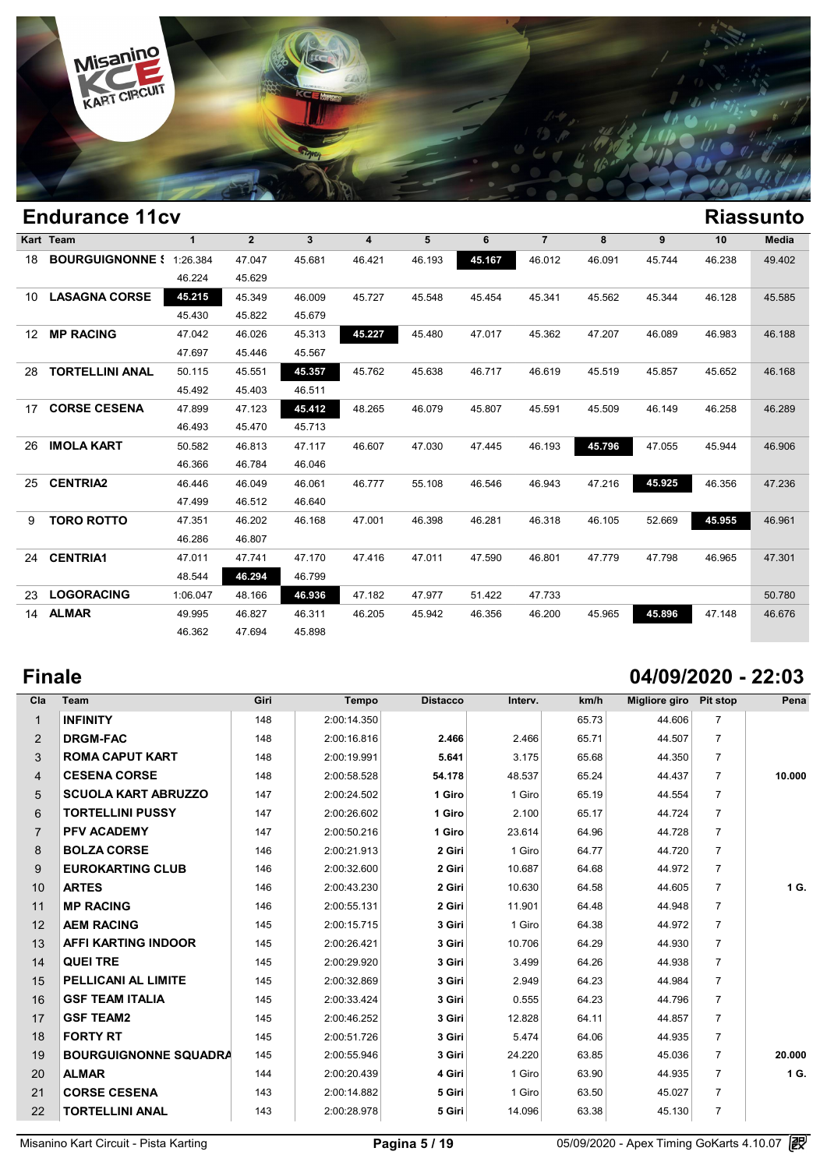

### **Endurance 11cv Riassunto Kart Team 1 2 3 4 5 6 7 8 9 10 Media BOURGUIGNONNE SQUADRA CO** 1:26.384 47.047 45.681 46.421 46.193 **45.167** 46.012 46.091 45.744 46.238 49.402  $\begin{array}{@{}c@{\hspace{1em}}c@{\hspace{1em}}c@{\hspace{1em}}c@{\hspace{1em}}c@{\hspace{1em}}c@{\hspace{1em}}c@{\hspace{1em}}c@{\hspace{1em}}c@{\hspace{1em}}c@{\hspace{1em}}c@{\hspace{1em}}c@{\hspace{1em}}c@{\hspace{1em}}c@{\hspace{1em}}c@{\hspace{1em}}c@{\hspace{1em}}c@{\hspace{1em}}c@{\hspace{1em}}c@{\hspace{1em}}c@{\hspace{1em}}c@{\hspace{1em}}c@{\hspace{1em}}c@{\hspace{1em}}c@{\hspace{$  **LASAGNA CORSE 45.215** 45.349 46.009 45.727 45.548 45.454 45.341 45.562 45.344 46.128 45.585  $45.384$  47.047 45.681 46.4<br>
46.224 45.629<br>
45.215 45.349 46.009 45.7<br>
45.430 45.822 45.679<br>
47.949 46.926 45.332 45.3 **MP RACING** 47.042 46.026 45.313 **45.227** 45.480 47.017 45.362 47.207 46.089 46.983 46.188 45.215 45.349 46.009 45.7<br>
45.430 45.822 45.679<br>
47.042 46.026 45.313 45.21<br>
47.697 45.446 45.567<br>
50.115 45.551 45.377 45.71 **TORTELLINI ANAL** 50.115 45.551 **45.357** 45.762 45.638 46.717 46.619 45.519 45.857 45.652 46.168 47.042 46.026 45.313 45.2<br>
47.697 45.446 45.567<br>
50.115 45.551 45.357 45.71<br>
45.492 45.403 46.511 **CORSE CESENA** 47.899 47.123 **45.412** 48.265 46.079 45.807 45.591 45.509 46.149 46.258 46.289 45.492 45.403 46.511 45.492 45.403 46.511<br>47.899 47.123 45.412 48.21<br>46.493 45.470 45.713 **IMOLA KART** 50.582 46.813 47.117 46.607 47.030 47.445 46.193 **45.796** 47.055 45.944 46.906 47.899 47.123 45.412 48.2<br>46.493 45.470 45.713<br>50.582 46.813 47.117 46.6<br>46.366 46.784 46.046 **CENTRIA2** 46.446 46.049 46.061 46.777 55.108 46.546 46.943 47.216 **45.925** 46.356 47.236 46.513 47.117 46.61<br>46.366 46.784 46.046<br>46.446 46.049 46.061 46.7<br>47.499 46.512 46.640 **TORO ROTTO** 47.351 46.202 46.168 47.001 46.398 46.281 46.318 46.105 52.669 **45.955** 46.961 46.446 46.049 46.04<br>
47.499 46.512 46.64<br>
47.351 46.202 46.14<br>
46.286 46.807 **CENTRIA1** 47.011 47.741 47.170 47.416 47.011 47.590 46.801 47.779 47.798 46.965 47.301 48.544 **46.294** 46.799 **LOGORACING** 1:06.047 48.166 **46.936** 47.182 47.977 51.422 47.733 50.780 **ALMAR** 49.995 46.827 46.311 46.205 45.942 46.356 46.200 45.965 **45.896** 47.148 46.676 46.544 46.294 46.799<br>
106.047 48.166 46.936 47.18<br>
49.995 46.827 46.311 46.21<br>
46.362 47.694 45.898

## **Finale 04/09/2020 - 22:03**

| Cla            | <b>Team</b>                  | Giri | Tempo       | <b>Distacco</b> | Interv. | km/h  | Migliore giro | Pit stop       | Pena   |
|----------------|------------------------------|------|-------------|-----------------|---------|-------|---------------|----------------|--------|
| $\mathbf{1}$   | <b>INFINITY</b>              | 148  | 2:00:14.350 |                 |         | 65.73 | 44.606        | $\overline{7}$ |        |
| $\overline{2}$ | <b>DRGM-FAC</b>              | 148  | 2:00:16.816 | 2.466           | 2.466   | 65.71 | 44.507        | $\overline{7}$ |        |
| 3              | <b>ROMA CAPUT KART</b>       | 148  | 2:00:19.991 | 5.641           | 3.175   | 65.68 | 44.350        | $\overline{7}$ |        |
| $\overline{4}$ | <b>CESENA CORSE</b>          | 148  | 2:00:58.528 | 54.178          | 48.537  | 65.24 | 44.437        | $\overline{7}$ | 10.000 |
| 5              | <b>SCUOLA KART ABRUZZO</b>   | 147  | 2:00:24.502 | 1 Giro          | 1 Giro  | 65.19 | 44.554        | $\overline{7}$ |        |
| 6              | <b>TORTELLINI PUSSY</b>      | 147  | 2:00:26.602 | 1 Giro          | 2.100   | 65.17 | 44.724        | $\overline{7}$ |        |
| $\overline{7}$ | <b>PFV ACADEMY</b>           | 147  | 2:00:50.216 | 1 Giro          | 23.614  | 64.96 | 44.728        | $\overline{7}$ |        |
| 8              | <b>BOLZA CORSE</b>           | 146  | 2:00:21.913 | 2 Giri          | 1 Giro  | 64.77 | 44.720        | $\overline{7}$ |        |
| 9              | <b>EUROKARTING CLUB</b>      | 146  | 2:00:32.600 | 2 Giri          | 10.687  | 64.68 | 44.972        | $\overline{7}$ |        |
| 10             | <b>ARTES</b>                 | 146  | 2:00:43.230 | 2 Giri          | 10.630  | 64.58 | 44.605        | $\overline{7}$ | 1 G.   |
| 11             | <b>MP RACING</b>             | 146  | 2:00:55.131 | 2 Giri          | 11.901  | 64.48 | 44.948        | $\overline{7}$ |        |
| 12             | <b>AEM RACING</b>            | 145  | 2:00:15.715 | 3 Giri          | 1 Giro  | 64.38 | 44.972        | $\overline{7}$ |        |
| 13             | <b>AFFI KARTING INDOOR</b>   | 145  | 2:00:26.421 | 3 Giri          | 10.706  | 64.29 | 44.930        | $\overline{7}$ |        |
| 14             | <b>QUEI TRE</b>              | 145  | 2:00:29.920 | 3 Giri          | 3.499   | 64.26 | 44.938        | $\overline{7}$ |        |
| 15             | PELLICANI AL LIMITE          | 145  | 2:00:32.869 | 3 Giri          | 2.949   | 64.23 | 44.984        | $\overline{7}$ |        |
| 16             | <b>GSF TEAM ITALIA</b>       | 145  | 2:00:33.424 | 3 Giri          | 0.555   | 64.23 | 44.796        | $\overline{7}$ |        |
| 17             | <b>GSF TEAM2</b>             | 145  | 2:00:46.252 | 3 Giri          | 12.828  | 64.11 | 44.857        | $\overline{7}$ |        |
| 18             | <b>FORTY RT</b>              | 145  | 2:00:51.726 | 3 Giri          | 5.474   | 64.06 | 44.935        | $\overline{7}$ |        |
| 19             | <b>BOURGUIGNONNE SQUADRA</b> | 145  | 2:00:55.946 | 3 Giri          | 24.220  | 63.85 | 45.036        | $\overline{7}$ | 20.000 |
| 20             | <b>ALMAR</b>                 | 144  | 2:00:20.439 | 4 Giri          | 1 Giro  | 63.90 | 44.935        | $\overline{7}$ | 1 G.   |
| 21             | <b>CORSE CESENA</b>          | 143  | 2:00:14.882 | 5 Giri          | 1 Giro  | 63.50 | 45.027        | $\overline{7}$ |        |
| 22             | <b>TORTELLINI ANAL</b>       | 143  | 2:00:28.978 | 5 Giri          | 14.096  | 63.38 | 45.130        | $\overline{7}$ |        |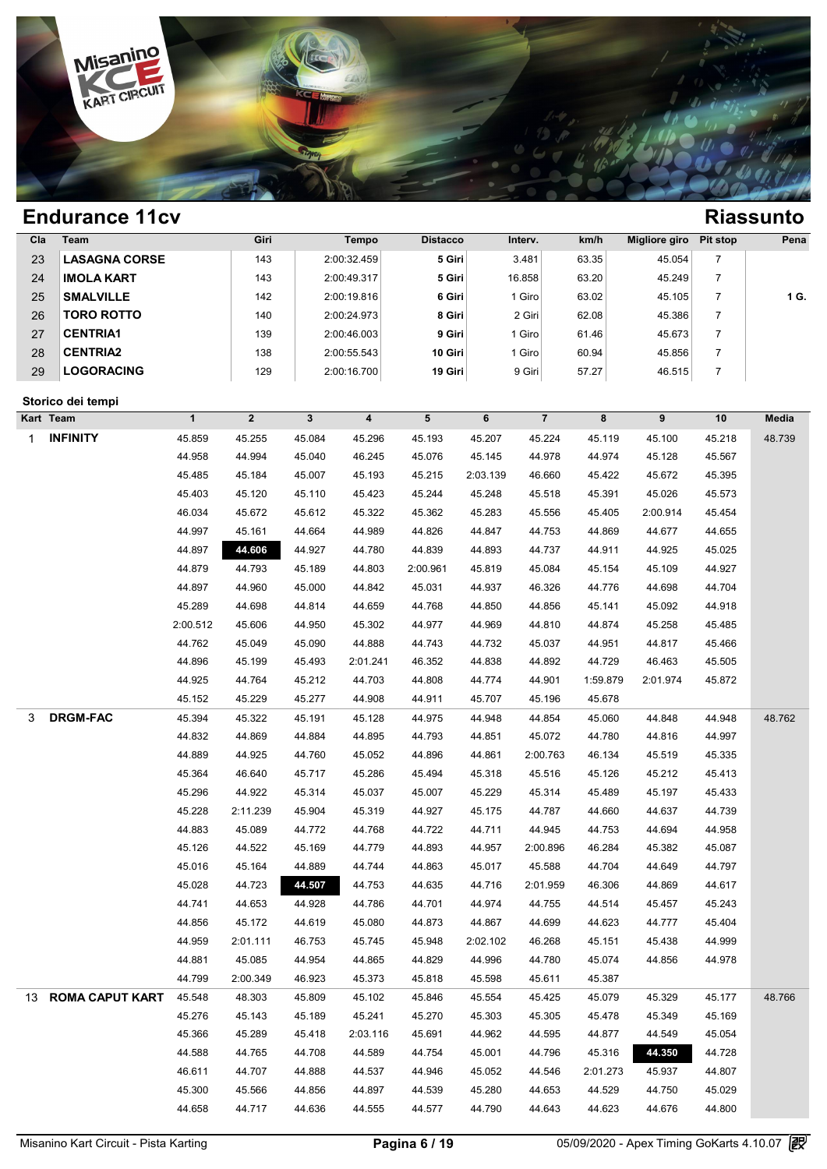

| Cla | <b>Team</b>          | Giri | Tempo       | <b>Distacco</b> | Interv. | km/h  | Migliore giro | Pit stop | Pena |
|-----|----------------------|------|-------------|-----------------|---------|-------|---------------|----------|------|
| 23  | <b>LASAGNA CORSE</b> | 143  | 2:00:32.459 | 5 Giri          | 3.481   | 63.35 | 45.054        |          |      |
| 24  | <b>IMOLA KART</b>    | 143  | 2:00:49.317 | 5 Giri          | 16.858  | 63.20 | 45.249        |          |      |
| 25  | <b>SMALVILLE</b>     | 142  | 2:00:19.816 | 6 Giri          | I Giro  | 63.02 | 45.105        |          | 1 G. |
| 26  | <b>TORO ROTTO</b>    | 140  | 2:00:24.973 | 8 Giri          | 2 Giri  | 62.08 | 45.386        |          |      |
| 27  | <b>CENTRIA1</b>      | 139  | 2:00:46.003 | 9 Giri          | Giro    | 61.46 | 45.673        |          |      |
| 28  | <b>CENTRIA2</b>      | 138  | 2:00:55.543 | 10 Giri         | I Giro  | 60.94 | 45.856        |          |      |
| 29  | <b>LOGORACING</b>    | 129  | 2:00:16.700 | 19 Giri         | 9 Giri  | 57.27 | 46.515        |          |      |

### **Storico dei tempi**

|    | Storico dei tempi      |              |                  |                |                         |          |          |                |          |          |        |        |
|----|------------------------|--------------|------------------|----------------|-------------------------|----------|----------|----------------|----------|----------|--------|--------|
|    | Kart Team              | $\mathbf{1}$ | $\boldsymbol{2}$ | 3 <sup>1</sup> | $\overline{\mathbf{4}}$ | 5        | 6        | $\overline{7}$ | 8        | 9        | 10     | Media  |
| 1  | <b>INFINITY</b>        | 45.859       | 45.255           | 45.084         | 45.296                  | 45.193   | 45.207   | 45.224         | 45.119   | 45.100   | 45.218 | 48.739 |
|    |                        | 44.958       | 44.994           | 45.040         | 46.245                  | 45.076   | 45.145   | 44.978         | 44.974   | 45.128   | 45.567 |        |
|    |                        | 45.485       | 45.184           | 45.007         | 45.193                  | 45.215   | 2:03.139 | 46.660         | 45.422   | 45.672   | 45.395 |        |
|    |                        | 45.403       | 45.120           | 45.110         | 45.423                  | 45.244   | 45.248   | 45.518         | 45.391   | 45.026   | 45.573 |        |
|    |                        | 46.034       | 45.672           | 45.612         | 45.322                  | 45.362   | 45.283   | 45.556         | 45.405   | 2:00.914 | 45.454 |        |
|    |                        | 44.997       | 45.161           | 44.664         | 44.989                  | 44.826   | 44.847   | 44.753         | 44.869   | 44.677   | 44.655 |        |
|    |                        | 44.897       | 44.606           | 44.927         | 44.780                  | 44.839   | 44.893   | 44.737         | 44.911   | 44.925   | 45.025 |        |
|    |                        | 44.879       | 44.793           | 45.189         | 44.803                  | 2:00.961 | 45.819   | 45.084         | 45.154   | 45.109   | 44.927 |        |
|    |                        | 44.897       | 44.960           | 45.000         | 44.842                  | 45.031   | 44.937   | 46.326         | 44.776   | 44.698   | 44.704 |        |
|    |                        | 45.289       | 44.698           | 44.814         | 44.659                  | 44.768   | 44.850   | 44.856         | 45.141   | 45.092   | 44.918 |        |
|    |                        | 2:00.512     | 45.606           | 44.950         | 45.302                  | 44.977   | 44.969   | 44.810         | 44.874   | 45.258   | 45.485 |        |
|    |                        | 44.762       | 45.049           | 45.090         | 44.888                  | 44.743   | 44.732   | 45.037         | 44.951   | 44.817   | 45.466 |        |
|    |                        | 44.896       | 45.199           | 45.493         | 2:01.241                | 46.352   | 44.838   | 44.892         | 44.729   | 46.463   | 45.505 |        |
|    |                        | 44.925       | 44.764           | 45.212         | 44.703                  | 44.808   | 44.774   | 44.901         | 1:59.879 | 2:01.974 | 45.872 |        |
|    |                        | 45.152       | 45.229           | 45.277         | 44.908                  | 44.911   | 45.707   | 45.196         | 45.678   |          |        |        |
| 3  | <b>DRGM-FAC</b>        | 45.394       | 45.322           | 45.191         | 45.128                  | 44.975   | 44.948   | 44.854         | 45.060   | 44.848   | 44.948 | 48.762 |
|    |                        | 44.832       | 44.869           | 44.884         | 44.895                  | 44.793   | 44.851   | 45.072         | 44.780   | 44.816   | 44.997 |        |
|    |                        | 44.889       | 44.925           | 44.760         | 45.052                  | 44.896   | 44.861   | 2:00.763       | 46.134   | 45.519   | 45.335 |        |
|    |                        | 45.364       | 46.640           | 45.717         | 45.286                  | 45.494   | 45.318   | 45.516         | 45.126   | 45.212   | 45.413 |        |
|    |                        | 45.296       | 44.922           | 45.314         | 45.037                  | 45.007   | 45.229   | 45.314         | 45.489   | 45.197   | 45.433 |        |
|    |                        | 45.228       | 2:11.239         | 45.904         | 45.319                  | 44.927   | 45.175   | 44.787         | 44.660   | 44.637   | 44.739 |        |
|    |                        | 44.883       | 45.089           | 44.772         | 44.768                  | 44.722   | 44.711   | 44.945         | 44.753   | 44.694   | 44.958 |        |
|    |                        | 45.126       | 44.522           | 45.169         | 44.779                  | 44.893   | 44.957   | 2:00.896       | 46.284   | 45.382   | 45.087 |        |
|    |                        | 45.016       | 45.164           | 44.889         | 44.744                  | 44.863   | 45.017   | 45.588         | 44.704   | 44.649   | 44.797 |        |
|    |                        | 45.028       | 44.723           | 44.507         | 44.753                  | 44.635   | 44.716   | 2:01.959       | 46.306   | 44.869   | 44.617 |        |
|    |                        | 44.741       | 44.653           | 44.928         | 44.786                  | 44.701   | 44.974   | 44.755         | 44.514   | 45.457   | 45.243 |        |
|    |                        | 44.856       | 45.172           | 44.619         | 45.080                  | 44.873   | 44.867   | 44.699         | 44.623   | 44.777   | 45.404 |        |
|    |                        | 44.959       | 2:01.111         | 46.753         | 45.745                  | 45.948   | 2:02.102 | 46.268         | 45.151   | 45.438   | 44.999 |        |
|    |                        | 44.881       | 45.085           | 44.954         | 44.865                  | 44.829   | 44.996   | 44.780         | 45.074   | 44.856   | 44.978 |        |
|    |                        | 44.799       | 2:00.349         | 46.923         | 45.373                  | 45.818   | 45.598   | 45.611         | 45.387   |          |        |        |
| 13 | <b>ROMA CAPUT KART</b> | 45.548       | 48.303           | 45.809         | 45.102                  | 45.846   | 45.554   | 45.425         | 45.079   | 45.329   | 45.177 | 48.766 |
|    |                        | 45.276       | 45.143           | 45.189         | 45.241                  | 45.270   | 45.303   | 45.305         | 45.478   | 45.349   | 45.169 |        |
|    |                        | 45.366       | 45.289           | 45.418         | 2:03.116                | 45.691   | 44.962   | 44.595         | 44.877   | 44.549   | 45.054 |        |
|    |                        | 44.588       | 44.765           | 44.708         | 44.589                  | 44.754   | 45.001   | 44.796         | 45.316   | 44.350   | 44.728 |        |
|    |                        | 46.611       | 44.707           | 44.888         | 44.537                  | 44.946   | 45.052   | 44.546         | 2:01.273 | 45.937   | 44.807 |        |
|    |                        | 45.300       | 45.566           | 44.856         | 44.897                  | 44.539   | 45.280   | 44.653         | 44.529   | 44.750   | 45.029 |        |
|    |                        | 44.658       | 44.717           | 44.636         | 44.555                  | 44.577   | 44.790   | 44.643         | 44.623   | 44.676   | 44.800 |        |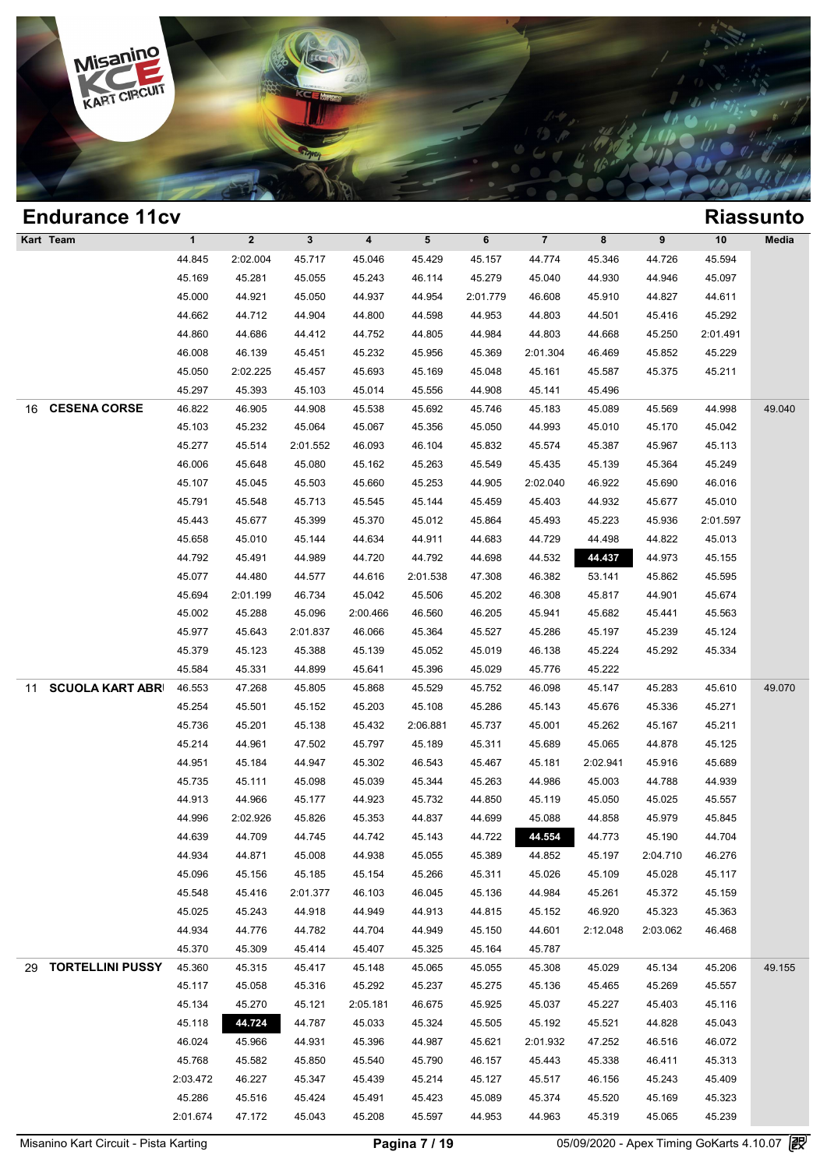

| <b>Endurance 11cv</b>         |              |              |              |          |                 |          |                |          |          |          | <b>Riassunto</b> |
|-------------------------------|--------------|--------------|--------------|----------|-----------------|----------|----------------|----------|----------|----------|------------------|
| Kart Team                     | $\mathbf{1}$ | $\mathbf{2}$ | $\mathbf{3}$ | 4        | $5\phantom{.0}$ | 6        | $\overline{7}$ | 8        | 9        | 10       | Media            |
|                               | 44.845       | 2:02.004     | 45.717       | 45.046   | 45.429          | 45.157   | 44.774         | 45.346   | 44.726   | 45.594   |                  |
|                               | 45.169       | 45.281       | 45.055       | 45.243   | 46.114          | 45.279   | 45.040         | 44.930   | 44.946   | 45.097   |                  |
|                               | 45.000       | 44.921       | 45.050       | 44.937   | 44.954          | 2:01.779 | 46.608         | 45.910   | 44.827   | 44.611   |                  |
|                               | 44.662       | 44.712       | 44.904       | 44.800   | 44.598          | 44.953   | 44.803         | 44.501   | 45.416   | 45.292   |                  |
|                               | 44.860       | 44.686       | 44.412       | 44.752   | 44.805          | 44.984   | 44.803         | 44.668   | 45.250   | 2:01.491 |                  |
|                               | 46.008       | 46.139       | 45.451       | 45.232   | 45.956          | 45.369   | 2:01.304       | 46.469   | 45.852   | 45.229   |                  |
|                               | 45.050       | 2:02.225     | 45.457       | 45.693   | 45.169          | 45.048   | 45.161         | 45.587   | 45.375   | 45.211   |                  |
|                               | 45.297       | 45.393       | 45.103       | 45.014   | 45.556          | 44.908   | 45.141         | 45.496   |          |          |                  |
| <b>CESENA CORSE</b><br>16     | 46.822       | 46.905       | 44.908       | 45.538   | 45.692          | 45.746   | 45.183         | 45.089   | 45.569   | 44.998   | 49.040           |
|                               | 45.103       | 45.232       | 45.064       | 45.067   | 45.356          | 45.050   | 44.993         | 45.010   | 45.170   | 45.042   |                  |
|                               | 45.277       | 45.514       | 2:01.552     | 46.093   | 46.104          | 45.832   | 45.574         | 45.387   | 45.967   | 45.113   |                  |
|                               | 46.006       | 45.648       | 45.080       | 45.162   | 45.263          | 45.549   | 45.435         | 45.139   | 45.364   | 45.249   |                  |
|                               | 45.107       | 45.045       | 45.503       | 45.660   | 45.253          | 44.905   | 2:02.040       | 46.922   | 45.690   | 46.016   |                  |
|                               | 45.791       | 45.548       | 45.713       | 45.545   | 45.144          | 45.459   | 45.403         | 44.932   | 45.677   | 45.010   |                  |
|                               | 45.443       | 45.677       | 45.399       | 45.370   | 45.012          | 45.864   | 45.493         | 45.223   | 45.936   | 2:01.597 |                  |
|                               | 45.658       | 45.010       | 45.144       | 44.634   | 44.911          | 44.683   | 44.729         | 44.498   | 44.822   | 45.013   |                  |
|                               | 44.792       | 45.491       | 44.989       | 44.720   | 44.792          | 44.698   | 44.532         | 44.437   | 44.973   | 45.155   |                  |
|                               | 45.077       | 44.480       | 44.577       | 44.616   | 2:01.538        | 47.308   | 46.382         | 53.141   | 45.862   | 45.595   |                  |
|                               | 45.694       | 2:01.199     | 46.734       | 45.042   | 45.506          | 45.202   | 46.308         | 45.817   | 44.901   | 45.674   |                  |
|                               | 45.002       | 45.288       | 45.096       | 2:00.466 | 46.560          | 46.205   | 45.941         | 45.682   | 45.441   | 45.563   |                  |
|                               | 45.977       | 45.643       | 2:01.837     | 46.066   | 45.364          | 45.527   | 45.286         | 45.197   | 45.239   | 45.124   |                  |
|                               | 45.379       | 45.123       | 45.388       | 45.139   | 45.052          | 45.019   | 46.138         | 45.224   | 45.292   | 45.334   |                  |
|                               | 45.584       | 45.331       | 44.899       | 45.641   | 45.396          | 45.029   | 45.776         | 45.222   |          |          |                  |
| <b>SCUOLA KART ABRI</b><br>11 | 46.553       | 47.268       | 45.805       | 45.868   | 45.529          | 45.752   | 46.098         | 45.147   | 45.283   | 45.610   | 49.070           |
|                               | 45.254       | 45.501       | 45.152       | 45.203   | 45.108          | 45.286   | 45.143         | 45.676   | 45.336   | 45.271   |                  |
|                               | 45.736       | 45.201       | 45.138       | 45.432   | 2:06.881        | 45.737   | 45.001         | 45.262   | 45.167   | 45.211   |                  |
|                               | 45.214       | 44.961       | 47.502       | 45.797   | 45.189          | 45.311   | 45.689         | 45.065   | 44.878   | 45.125   |                  |
|                               | 44.951       | 45.184       | 44.947       | 45.302   | 46.543          | 45.467   | 45.181         | 2:02.941 | 45.916   | 45.689   |                  |
|                               | 45.735       | 45.111       | 45.098       | 45.039   | 45.344          | 45.263   | 44.986         | 45.003   | 44.788   | 44.939   |                  |
|                               | 44.913       | 44.966       | 45.177       | 44.923   | 45.732          | 44.850   | 45.119         | 45.050   | 45.025   | 45.557   |                  |
|                               | 44.996       | 2:02.926     | 45.826       | 45.353   | 44.837          | 44.699   | 45.088         | 44.858   | 45.979   | 45.845   |                  |
|                               | 44.639       | 44.709       | 44.745       | 44.742   | 45.143          | 44.722   | 44.554         | 44.773   | 45.190   | 44.704   |                  |
|                               | 44.934       | 44.871       | 45.008       | 44.938   | 45.055          | 45.389   | 44.852         | 45.197   | 2:04.710 | 46.276   |                  |
|                               | 45.096       | 45.156       | 45.185       | 45.154   | 45.266          | 45.311   | 45.026         | 45.109   | 45.028   | 45.117   |                  |
|                               | 45.548       | 45.416       | 2:01.377     | 46.103   | 46.045          | 45.136   | 44.984         | 45.261   | 45.372   | 45.159   |                  |
|                               | 45.025       | 45.243       | 44.918       | 44.949   | 44.913          | 44.815   | 45.152         | 46.920   | 45.323   | 45.363   |                  |
|                               | 44.934       | 44.776       | 44.782       | 44.704   | 44.949          | 45.150   | 44.601         | 2:12.048 | 2:03.062 | 46.468   |                  |
|                               | 45.370       | 45.309       | 45.414       | 45.407   | 45.325          | 45.164   | 45.787         |          |          |          |                  |
| 29 TORTELLINI PUSSY           | 45.360       | 45.315       | 45.417       | 45.148   | 45.065          | 45.055   | 45.308         | 45.029   | 45.134   | 45.206   | 49.155           |
|                               | 45.117       | 45.058       | 45.316       | 45.292   | 45.237          | 45.275   | 45.136         | 45.465   | 45.269   | 45.557   |                  |
|                               | 45.134       | 45.270       | 45.121       | 2:05.181 | 46.675          | 45.925   | 45.037         | 45.227   | 45.403   | 45.116   |                  |
|                               | 45.118       | 44.724       | 44.787       | 45.033   | 45.324          | 45.505   | 45.192         | 45.521   | 44.828   | 45.043   |                  |
|                               | 46.024       | 45.966       | 44.931       | 45.396   | 44.987          | 45.621   | 2:01.932       | 47.252   | 46.516   | 46.072   |                  |
|                               | 45.768       | 45.582       | 45.850       | 45.540   | 45.790          | 46.157   | 45.443         | 45.338   | 46.411   | 45.313   |                  |
|                               | 2:03.472     | 46.227       | 45.347       | 45.439   | 45.214          | 45.127   | 45.517         | 46.156   | 45.243   | 45.409   |                  |
|                               | 45.286       | 45.516       | 45.424       | 45.491   | 45.423          | 45.089   | 45.374         | 45.520   | 45.169   | 45.323   |                  |
|                               | 2:01.674     | 47.172       | 45.043       | 45.208   | 45.597          | 44.953   | 44.963         | 45.319   | 45.065   | 45.239   |                  |
|                               |              |              |              |          |                 |          |                |          |          |          |                  |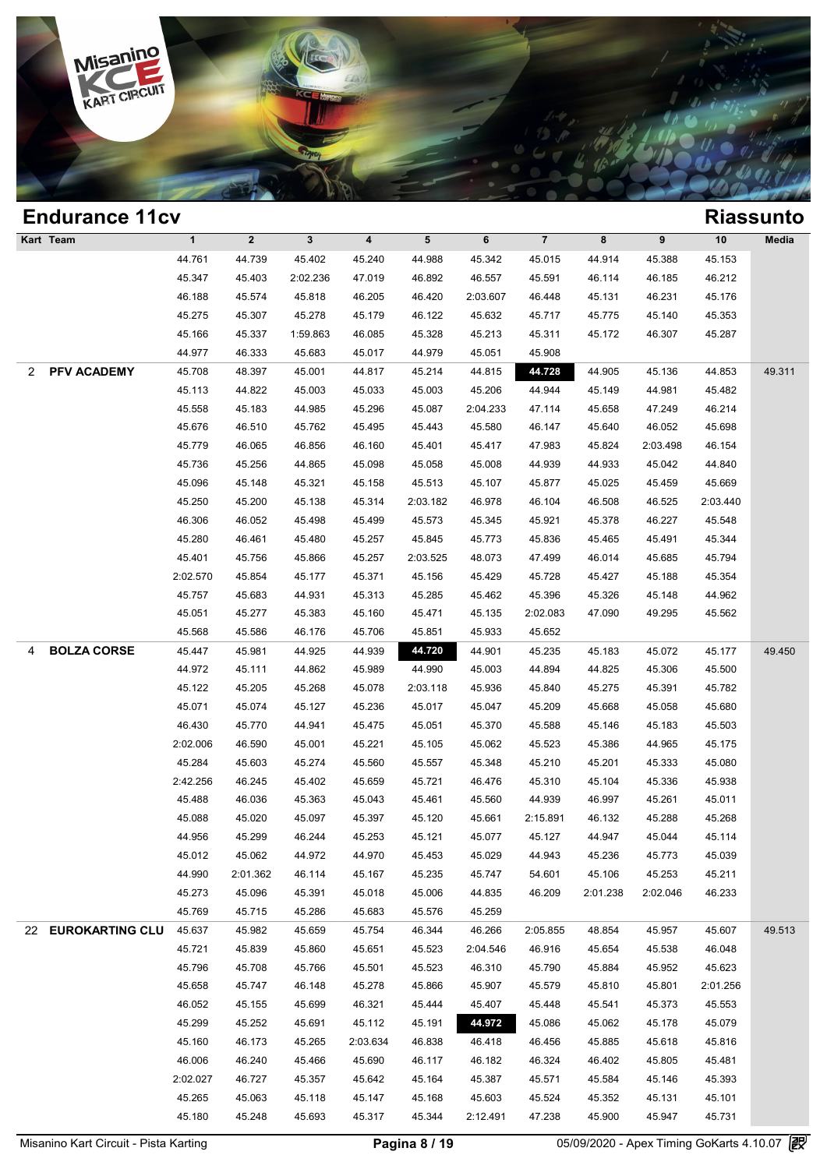

| $\overline{7}$<br>Kart Team<br>$\mathbf{1}$<br>$\mathbf{2}$<br>$\mathbf{3}$<br>4<br>$5\phantom{.0}$<br>6<br>8<br>9<br>10<br>Media<br>45.153<br>44.761<br>44.739<br>45.402<br>45.240<br>44.988<br>45.342<br>45.015<br>44.914<br>45.388<br>45.347<br>45.403<br>2:02.236<br>47.019<br>46.892<br>46.557<br>45.591<br>46.114<br>46.185<br>46.212<br>46.188<br>45.818<br>45.574<br>46.205<br>46.420<br>2:03.607<br>46.448<br>45.131<br>46.231<br>45.176<br>45.275<br>45.307<br>45.278<br>45.179<br>46.122<br>45.632<br>45.717<br>45.775<br>45.140<br>45.353<br>45.166<br>45.337<br>1:59.863<br>46.085<br>45.328<br>45.213<br>45.311<br>45.172<br>45.287<br>46.307<br>44.977<br>46.333<br>45.683<br>45.017<br>44.979<br>45.051<br>45.908<br><b>PFV ACADEMY</b><br>45.708<br>48.397<br>45.001<br>44.815<br>44.728<br>44.905<br>45.136<br>49.311<br>2<br>44.817<br>45.214<br>44.853<br>45.113<br>44.822<br>45.003<br>45.033<br>45.003<br>45.206<br>44.944<br>45.149<br>44.981<br>45.482<br>45.558<br>45.183<br>44.985<br>45.296<br>45.087<br>2:04.233<br>47.114<br>46.214<br>45.658<br>47.249<br>45.676<br>45.762<br>45.640<br>46.052<br>45.698<br>46.510<br>45.495<br>45.443<br>45.580<br>46.147<br>45.779<br>46.065<br>46.856<br>46.160<br>45.401<br>45.417<br>47.983<br>45.824<br>2:03.498<br>46.154<br>45.736<br>45.256<br>44.865<br>45.098<br>45.058<br>45.008<br>44.939<br>44.933<br>45.042<br>44.840<br>45.096<br>45.148<br>45.513<br>45.025<br>45.669<br>45.321<br>45.158<br>45.107<br>45.877<br>45.459<br>45.250<br>45.200<br>45.138<br>45.314<br>2:03.182<br>46.978<br>46.104<br>46.508<br>46.525<br>2:03.440<br>46.306<br>46.052<br>45.378<br>45.498<br>45.499<br>45.573<br>45.345<br>45.921<br>46.227<br>45.548<br>45.280<br>45.845<br>45.344<br>46.461<br>45.480<br>45.257<br>45.773<br>45.836<br>45.465<br>45.491<br>45.401<br>45.756<br>45.866<br>45.257<br>2:03.525<br>48.073<br>46.014<br>45.794<br>47.499<br>45.685<br>2:02.570<br>45.854<br>45.177<br>45.371<br>45.156<br>45.429<br>45.728<br>45.427<br>45.354<br>45.188<br>45.757<br>44.931<br>45.396<br>44.962<br>45.683<br>45.313<br>45.285<br>45.462<br>45.326<br>45.148<br>45.051<br>45.277<br>49.295<br>45.383<br>45.160<br>45.471<br>45.135<br>2:02.083<br>47.090<br>45.562<br>45.568<br>45.586<br>46.176<br>45.706<br>45.851<br>45.933<br>45.652<br><b>BOLZA CORSE</b><br>44.720<br>45.447<br>45.981<br>44.925<br>44.939<br>44.901<br>45.235<br>45.183<br>45.072<br>45.177<br>49.450<br>4<br>44.972<br>45.111<br>45.989<br>44.990<br>44.894<br>44.825<br>45.500<br>44.862<br>45.003<br>45.306<br>45.122<br>45.205<br>45.268<br>45.078<br>2:03.118<br>45.936<br>45.840<br>45.275<br>45.391<br>45.782<br>45.071<br>45.074<br>45.127<br>45.236<br>45.017<br>45.047<br>45.668<br>45.680<br>45.209<br>45.058<br>46.430<br>45.770<br>44.941<br>45.051<br>45.370<br>45.588<br>45.146<br>45.183<br>45.503<br>45.475<br>2:02.006<br>46.590<br>45.001<br>45.221<br>45.105<br>45.062<br>45.523<br>45.386<br>44.965<br>45.175<br>45.284<br>45.603<br>45.274<br>45.560<br>45.557<br>45.348<br>45.210<br>45.201<br>45.333<br>45.080<br>2:42.256<br>46.245<br>45.402<br>45.659<br>45.721<br>46.476<br>45.310<br>45.104<br>45.336<br>45.938<br>45.488<br>46.036<br>45.043<br>45.461<br>44.939<br>46.997<br>45.011<br>45.363<br>45.560<br>45.261<br>45.088<br>45.020<br>45.097<br>46.132<br>45.288<br>45.268<br>45.397<br>45.120<br>45.661<br>2:15.891<br>44.956<br>45.299<br>46.244<br>45.114<br>45.253<br>45.121<br>45.077<br>45.127<br>44.947<br>45.044<br>45.012<br>45.062<br>45.236<br>44.972<br>44.970<br>45.453<br>45.029<br>44.943<br>45.773<br>45.039<br>44.990<br>45.235<br>45.106<br>45.211<br>2:01.362<br>46.114<br>45.167<br>45.747<br>54.601<br>45.253<br>45.273<br>45.096<br>45.391<br>45.018<br>45.006<br>44.835<br>46.209<br>2:01.238<br>46.233<br>2:02.046<br>45.769<br>45.715<br>45.683<br>45.576<br>45.286<br>45.259<br>22 EUROKARTING CLU<br>45.637<br>45.982<br>45.659<br>46.344<br>46.266<br>2:05.855<br>48.854<br>45.607<br>49.513<br>45.754<br>45.957<br>45.721<br>45.839<br>46.916<br>45.654<br>46.048<br>45.860<br>45.651<br>45.523<br>2:04.546<br>45.538<br>45.796<br>45.708<br>45.766<br>45.501<br>45.523<br>46.310<br>45.790<br>45.884<br>45.952<br>45.623<br>45.658<br>45.747<br>46.148<br>45.278<br>45.866<br>45.907<br>45.579<br>45.810<br>2:01.256<br>45.801<br>46.052<br>46.321<br>45.444<br>45.155<br>45.699<br>45.407<br>45.448<br>45.541<br>45.373<br>45.553<br>45.299<br>45.252<br>45.191<br>44.972<br>45.086<br>45.062<br>45.691<br>45.112<br>45.178<br>45.079<br>45.160<br>46.173<br>45.265<br>46.838<br>45.885<br>45.816<br>2:03.634<br>46.418<br>46.456<br>45.618<br>46.006<br>46.240<br>45.466<br>45.690<br>46.117<br>46.324<br>46.402<br>45.481<br>46.182<br>45.805<br>2:02.027<br>45.584<br>46.727<br>45.357<br>45.642<br>45.164<br>45.387<br>45.571<br>45.146<br>45.393<br>45.265<br>45.063<br>45.118<br>45.147<br>45.168<br>45.603<br>45.524<br>45.352<br>45.131<br>45.101<br>45.180<br>45.248<br>45.317<br>45.344<br>47.238<br>45.900<br>45.731<br>45.693<br>2:12.491<br>45.947 | <b>Endurance 11cv</b> |  |  |  |  |  | <b>Riassunto</b> |
|-----------------------------------------------------------------------------------------------------------------------------------------------------------------------------------------------------------------------------------------------------------------------------------------------------------------------------------------------------------------------------------------------------------------------------------------------------------------------------------------------------------------------------------------------------------------------------------------------------------------------------------------------------------------------------------------------------------------------------------------------------------------------------------------------------------------------------------------------------------------------------------------------------------------------------------------------------------------------------------------------------------------------------------------------------------------------------------------------------------------------------------------------------------------------------------------------------------------------------------------------------------------------------------------------------------------------------------------------------------------------------------------------------------------------------------------------------------------------------------------------------------------------------------------------------------------------------------------------------------------------------------------------------------------------------------------------------------------------------------------------------------------------------------------------------------------------------------------------------------------------------------------------------------------------------------------------------------------------------------------------------------------------------------------------------------------------------------------------------------------------------------------------------------------------------------------------------------------------------------------------------------------------------------------------------------------------------------------------------------------------------------------------------------------------------------------------------------------------------------------------------------------------------------------------------------------------------------------------------------------------------------------------------------------------------------------------------------------------------------------------------------------------------------------------------------------------------------------------------------------------------------------------------------------------------------------------------------------------------------------------------------------------------------------------------------------------------------------------------------------------------------------------------------------------------------------------------------------------------------------------------------------------------------------------------------------------------------------------------------------------------------------------------------------------------------------------------------------------------------------------------------------------------------------------------------------------------------------------------------------------------------------------------------------------------------------------------------------------------------------------------------------------------------------------------------------------------------------------------------------------------------------------------------------------------------------------------------------------------------------------------------------------------------------------------------------------------------------------------------------------------------------------------------------------------------------------------------------------------------------------------------------------------------------------------------------------------------------------------------------------------------------------------------------------------------------------------------------------------------------------------------------------------------------------------------------------------------------------------------------------------------------------------------------------------------------------------------------------------------------------------------------------------------------------------------------------------------------------------------------------------------------------------------------------------------------------------------------------------------------------------------------------------------------------------------------------------------|-----------------------|--|--|--|--|--|------------------|
|                                                                                                                                                                                                                                                                                                                                                                                                                                                                                                                                                                                                                                                                                                                                                                                                                                                                                                                                                                                                                                                                                                                                                                                                                                                                                                                                                                                                                                                                                                                                                                                                                                                                                                                                                                                                                                                                                                                                                                                                                                                                                                                                                                                                                                                                                                                                                                                                                                                                                                                                                                                                                                                                                                                                                                                                                                                                                                                                                                                                                                                                                                                                                                                                                                                                                                                                                                                                                                                                                                                                                                                                                                                                                                                                                                                                                                                                                                                                                                                                                                                                                                                                                                                                                                                                                                                                                                                                                                                                                                                                                                                                                                                                                                                                                                                                                                                                                                                                                                                                                                                                                   |                       |  |  |  |  |  |                  |
|                                                                                                                                                                                                                                                                                                                                                                                                                                                                                                                                                                                                                                                                                                                                                                                                                                                                                                                                                                                                                                                                                                                                                                                                                                                                                                                                                                                                                                                                                                                                                                                                                                                                                                                                                                                                                                                                                                                                                                                                                                                                                                                                                                                                                                                                                                                                                                                                                                                                                                                                                                                                                                                                                                                                                                                                                                                                                                                                                                                                                                                                                                                                                                                                                                                                                                                                                                                                                                                                                                                                                                                                                                                                                                                                                                                                                                                                                                                                                                                                                                                                                                                                                                                                                                                                                                                                                                                                                                                                                                                                                                                                                                                                                                                                                                                                                                                                                                                                                                                                                                                                                   |                       |  |  |  |  |  |                  |
|                                                                                                                                                                                                                                                                                                                                                                                                                                                                                                                                                                                                                                                                                                                                                                                                                                                                                                                                                                                                                                                                                                                                                                                                                                                                                                                                                                                                                                                                                                                                                                                                                                                                                                                                                                                                                                                                                                                                                                                                                                                                                                                                                                                                                                                                                                                                                                                                                                                                                                                                                                                                                                                                                                                                                                                                                                                                                                                                                                                                                                                                                                                                                                                                                                                                                                                                                                                                                                                                                                                                                                                                                                                                                                                                                                                                                                                                                                                                                                                                                                                                                                                                                                                                                                                                                                                                                                                                                                                                                                                                                                                                                                                                                                                                                                                                                                                                                                                                                                                                                                                                                   |                       |  |  |  |  |  |                  |
|                                                                                                                                                                                                                                                                                                                                                                                                                                                                                                                                                                                                                                                                                                                                                                                                                                                                                                                                                                                                                                                                                                                                                                                                                                                                                                                                                                                                                                                                                                                                                                                                                                                                                                                                                                                                                                                                                                                                                                                                                                                                                                                                                                                                                                                                                                                                                                                                                                                                                                                                                                                                                                                                                                                                                                                                                                                                                                                                                                                                                                                                                                                                                                                                                                                                                                                                                                                                                                                                                                                                                                                                                                                                                                                                                                                                                                                                                                                                                                                                                                                                                                                                                                                                                                                                                                                                                                                                                                                                                                                                                                                                                                                                                                                                                                                                                                                                                                                                                                                                                                                                                   |                       |  |  |  |  |  |                  |
|                                                                                                                                                                                                                                                                                                                                                                                                                                                                                                                                                                                                                                                                                                                                                                                                                                                                                                                                                                                                                                                                                                                                                                                                                                                                                                                                                                                                                                                                                                                                                                                                                                                                                                                                                                                                                                                                                                                                                                                                                                                                                                                                                                                                                                                                                                                                                                                                                                                                                                                                                                                                                                                                                                                                                                                                                                                                                                                                                                                                                                                                                                                                                                                                                                                                                                                                                                                                                                                                                                                                                                                                                                                                                                                                                                                                                                                                                                                                                                                                                                                                                                                                                                                                                                                                                                                                                                                                                                                                                                                                                                                                                                                                                                                                                                                                                                                                                                                                                                                                                                                                                   |                       |  |  |  |  |  |                  |
|                                                                                                                                                                                                                                                                                                                                                                                                                                                                                                                                                                                                                                                                                                                                                                                                                                                                                                                                                                                                                                                                                                                                                                                                                                                                                                                                                                                                                                                                                                                                                                                                                                                                                                                                                                                                                                                                                                                                                                                                                                                                                                                                                                                                                                                                                                                                                                                                                                                                                                                                                                                                                                                                                                                                                                                                                                                                                                                                                                                                                                                                                                                                                                                                                                                                                                                                                                                                                                                                                                                                                                                                                                                                                                                                                                                                                                                                                                                                                                                                                                                                                                                                                                                                                                                                                                                                                                                                                                                                                                                                                                                                                                                                                                                                                                                                                                                                                                                                                                                                                                                                                   |                       |  |  |  |  |  |                  |
|                                                                                                                                                                                                                                                                                                                                                                                                                                                                                                                                                                                                                                                                                                                                                                                                                                                                                                                                                                                                                                                                                                                                                                                                                                                                                                                                                                                                                                                                                                                                                                                                                                                                                                                                                                                                                                                                                                                                                                                                                                                                                                                                                                                                                                                                                                                                                                                                                                                                                                                                                                                                                                                                                                                                                                                                                                                                                                                                                                                                                                                                                                                                                                                                                                                                                                                                                                                                                                                                                                                                                                                                                                                                                                                                                                                                                                                                                                                                                                                                                                                                                                                                                                                                                                                                                                                                                                                                                                                                                                                                                                                                                                                                                                                                                                                                                                                                                                                                                                                                                                                                                   |                       |  |  |  |  |  |                  |
|                                                                                                                                                                                                                                                                                                                                                                                                                                                                                                                                                                                                                                                                                                                                                                                                                                                                                                                                                                                                                                                                                                                                                                                                                                                                                                                                                                                                                                                                                                                                                                                                                                                                                                                                                                                                                                                                                                                                                                                                                                                                                                                                                                                                                                                                                                                                                                                                                                                                                                                                                                                                                                                                                                                                                                                                                                                                                                                                                                                                                                                                                                                                                                                                                                                                                                                                                                                                                                                                                                                                                                                                                                                                                                                                                                                                                                                                                                                                                                                                                                                                                                                                                                                                                                                                                                                                                                                                                                                                                                                                                                                                                                                                                                                                                                                                                                                                                                                                                                                                                                                                                   |                       |  |  |  |  |  |                  |
|                                                                                                                                                                                                                                                                                                                                                                                                                                                                                                                                                                                                                                                                                                                                                                                                                                                                                                                                                                                                                                                                                                                                                                                                                                                                                                                                                                                                                                                                                                                                                                                                                                                                                                                                                                                                                                                                                                                                                                                                                                                                                                                                                                                                                                                                                                                                                                                                                                                                                                                                                                                                                                                                                                                                                                                                                                                                                                                                                                                                                                                                                                                                                                                                                                                                                                                                                                                                                                                                                                                                                                                                                                                                                                                                                                                                                                                                                                                                                                                                                                                                                                                                                                                                                                                                                                                                                                                                                                                                                                                                                                                                                                                                                                                                                                                                                                                                                                                                                                                                                                                                                   |                       |  |  |  |  |  |                  |
|                                                                                                                                                                                                                                                                                                                                                                                                                                                                                                                                                                                                                                                                                                                                                                                                                                                                                                                                                                                                                                                                                                                                                                                                                                                                                                                                                                                                                                                                                                                                                                                                                                                                                                                                                                                                                                                                                                                                                                                                                                                                                                                                                                                                                                                                                                                                                                                                                                                                                                                                                                                                                                                                                                                                                                                                                                                                                                                                                                                                                                                                                                                                                                                                                                                                                                                                                                                                                                                                                                                                                                                                                                                                                                                                                                                                                                                                                                                                                                                                                                                                                                                                                                                                                                                                                                                                                                                                                                                                                                                                                                                                                                                                                                                                                                                                                                                                                                                                                                                                                                                                                   |                       |  |  |  |  |  |                  |
|                                                                                                                                                                                                                                                                                                                                                                                                                                                                                                                                                                                                                                                                                                                                                                                                                                                                                                                                                                                                                                                                                                                                                                                                                                                                                                                                                                                                                                                                                                                                                                                                                                                                                                                                                                                                                                                                                                                                                                                                                                                                                                                                                                                                                                                                                                                                                                                                                                                                                                                                                                                                                                                                                                                                                                                                                                                                                                                                                                                                                                                                                                                                                                                                                                                                                                                                                                                                                                                                                                                                                                                                                                                                                                                                                                                                                                                                                                                                                                                                                                                                                                                                                                                                                                                                                                                                                                                                                                                                                                                                                                                                                                                                                                                                                                                                                                                                                                                                                                                                                                                                                   |                       |  |  |  |  |  |                  |
|                                                                                                                                                                                                                                                                                                                                                                                                                                                                                                                                                                                                                                                                                                                                                                                                                                                                                                                                                                                                                                                                                                                                                                                                                                                                                                                                                                                                                                                                                                                                                                                                                                                                                                                                                                                                                                                                                                                                                                                                                                                                                                                                                                                                                                                                                                                                                                                                                                                                                                                                                                                                                                                                                                                                                                                                                                                                                                                                                                                                                                                                                                                                                                                                                                                                                                                                                                                                                                                                                                                                                                                                                                                                                                                                                                                                                                                                                                                                                                                                                                                                                                                                                                                                                                                                                                                                                                                                                                                                                                                                                                                                                                                                                                                                                                                                                                                                                                                                                                                                                                                                                   |                       |  |  |  |  |  |                  |
|                                                                                                                                                                                                                                                                                                                                                                                                                                                                                                                                                                                                                                                                                                                                                                                                                                                                                                                                                                                                                                                                                                                                                                                                                                                                                                                                                                                                                                                                                                                                                                                                                                                                                                                                                                                                                                                                                                                                                                                                                                                                                                                                                                                                                                                                                                                                                                                                                                                                                                                                                                                                                                                                                                                                                                                                                                                                                                                                                                                                                                                                                                                                                                                                                                                                                                                                                                                                                                                                                                                                                                                                                                                                                                                                                                                                                                                                                                                                                                                                                                                                                                                                                                                                                                                                                                                                                                                                                                                                                                                                                                                                                                                                                                                                                                                                                                                                                                                                                                                                                                                                                   |                       |  |  |  |  |  |                  |
|                                                                                                                                                                                                                                                                                                                                                                                                                                                                                                                                                                                                                                                                                                                                                                                                                                                                                                                                                                                                                                                                                                                                                                                                                                                                                                                                                                                                                                                                                                                                                                                                                                                                                                                                                                                                                                                                                                                                                                                                                                                                                                                                                                                                                                                                                                                                                                                                                                                                                                                                                                                                                                                                                                                                                                                                                                                                                                                                                                                                                                                                                                                                                                                                                                                                                                                                                                                                                                                                                                                                                                                                                                                                                                                                                                                                                                                                                                                                                                                                                                                                                                                                                                                                                                                                                                                                                                                                                                                                                                                                                                                                                                                                                                                                                                                                                                                                                                                                                                                                                                                                                   |                       |  |  |  |  |  |                  |
|                                                                                                                                                                                                                                                                                                                                                                                                                                                                                                                                                                                                                                                                                                                                                                                                                                                                                                                                                                                                                                                                                                                                                                                                                                                                                                                                                                                                                                                                                                                                                                                                                                                                                                                                                                                                                                                                                                                                                                                                                                                                                                                                                                                                                                                                                                                                                                                                                                                                                                                                                                                                                                                                                                                                                                                                                                                                                                                                                                                                                                                                                                                                                                                                                                                                                                                                                                                                                                                                                                                                                                                                                                                                                                                                                                                                                                                                                                                                                                                                                                                                                                                                                                                                                                                                                                                                                                                                                                                                                                                                                                                                                                                                                                                                                                                                                                                                                                                                                                                                                                                                                   |                       |  |  |  |  |  |                  |
|                                                                                                                                                                                                                                                                                                                                                                                                                                                                                                                                                                                                                                                                                                                                                                                                                                                                                                                                                                                                                                                                                                                                                                                                                                                                                                                                                                                                                                                                                                                                                                                                                                                                                                                                                                                                                                                                                                                                                                                                                                                                                                                                                                                                                                                                                                                                                                                                                                                                                                                                                                                                                                                                                                                                                                                                                                                                                                                                                                                                                                                                                                                                                                                                                                                                                                                                                                                                                                                                                                                                                                                                                                                                                                                                                                                                                                                                                                                                                                                                                                                                                                                                                                                                                                                                                                                                                                                                                                                                                                                                                                                                                                                                                                                                                                                                                                                                                                                                                                                                                                                                                   |                       |  |  |  |  |  |                  |
|                                                                                                                                                                                                                                                                                                                                                                                                                                                                                                                                                                                                                                                                                                                                                                                                                                                                                                                                                                                                                                                                                                                                                                                                                                                                                                                                                                                                                                                                                                                                                                                                                                                                                                                                                                                                                                                                                                                                                                                                                                                                                                                                                                                                                                                                                                                                                                                                                                                                                                                                                                                                                                                                                                                                                                                                                                                                                                                                                                                                                                                                                                                                                                                                                                                                                                                                                                                                                                                                                                                                                                                                                                                                                                                                                                                                                                                                                                                                                                                                                                                                                                                                                                                                                                                                                                                                                                                                                                                                                                                                                                                                                                                                                                                                                                                                                                                                                                                                                                                                                                                                                   |                       |  |  |  |  |  |                  |
|                                                                                                                                                                                                                                                                                                                                                                                                                                                                                                                                                                                                                                                                                                                                                                                                                                                                                                                                                                                                                                                                                                                                                                                                                                                                                                                                                                                                                                                                                                                                                                                                                                                                                                                                                                                                                                                                                                                                                                                                                                                                                                                                                                                                                                                                                                                                                                                                                                                                                                                                                                                                                                                                                                                                                                                                                                                                                                                                                                                                                                                                                                                                                                                                                                                                                                                                                                                                                                                                                                                                                                                                                                                                                                                                                                                                                                                                                                                                                                                                                                                                                                                                                                                                                                                                                                                                                                                                                                                                                                                                                                                                                                                                                                                                                                                                                                                                                                                                                                                                                                                                                   |                       |  |  |  |  |  |                  |
|                                                                                                                                                                                                                                                                                                                                                                                                                                                                                                                                                                                                                                                                                                                                                                                                                                                                                                                                                                                                                                                                                                                                                                                                                                                                                                                                                                                                                                                                                                                                                                                                                                                                                                                                                                                                                                                                                                                                                                                                                                                                                                                                                                                                                                                                                                                                                                                                                                                                                                                                                                                                                                                                                                                                                                                                                                                                                                                                                                                                                                                                                                                                                                                                                                                                                                                                                                                                                                                                                                                                                                                                                                                                                                                                                                                                                                                                                                                                                                                                                                                                                                                                                                                                                                                                                                                                                                                                                                                                                                                                                                                                                                                                                                                                                                                                                                                                                                                                                                                                                                                                                   |                       |  |  |  |  |  |                  |
|                                                                                                                                                                                                                                                                                                                                                                                                                                                                                                                                                                                                                                                                                                                                                                                                                                                                                                                                                                                                                                                                                                                                                                                                                                                                                                                                                                                                                                                                                                                                                                                                                                                                                                                                                                                                                                                                                                                                                                                                                                                                                                                                                                                                                                                                                                                                                                                                                                                                                                                                                                                                                                                                                                                                                                                                                                                                                                                                                                                                                                                                                                                                                                                                                                                                                                                                                                                                                                                                                                                                                                                                                                                                                                                                                                                                                                                                                                                                                                                                                                                                                                                                                                                                                                                                                                                                                                                                                                                                                                                                                                                                                                                                                                                                                                                                                                                                                                                                                                                                                                                                                   |                       |  |  |  |  |  |                  |
|                                                                                                                                                                                                                                                                                                                                                                                                                                                                                                                                                                                                                                                                                                                                                                                                                                                                                                                                                                                                                                                                                                                                                                                                                                                                                                                                                                                                                                                                                                                                                                                                                                                                                                                                                                                                                                                                                                                                                                                                                                                                                                                                                                                                                                                                                                                                                                                                                                                                                                                                                                                                                                                                                                                                                                                                                                                                                                                                                                                                                                                                                                                                                                                                                                                                                                                                                                                                                                                                                                                                                                                                                                                                                                                                                                                                                                                                                                                                                                                                                                                                                                                                                                                                                                                                                                                                                                                                                                                                                                                                                                                                                                                                                                                                                                                                                                                                                                                                                                                                                                                                                   |                       |  |  |  |  |  |                  |
|                                                                                                                                                                                                                                                                                                                                                                                                                                                                                                                                                                                                                                                                                                                                                                                                                                                                                                                                                                                                                                                                                                                                                                                                                                                                                                                                                                                                                                                                                                                                                                                                                                                                                                                                                                                                                                                                                                                                                                                                                                                                                                                                                                                                                                                                                                                                                                                                                                                                                                                                                                                                                                                                                                                                                                                                                                                                                                                                                                                                                                                                                                                                                                                                                                                                                                                                                                                                                                                                                                                                                                                                                                                                                                                                                                                                                                                                                                                                                                                                                                                                                                                                                                                                                                                                                                                                                                                                                                                                                                                                                                                                                                                                                                                                                                                                                                                                                                                                                                                                                                                                                   |                       |  |  |  |  |  |                  |
|                                                                                                                                                                                                                                                                                                                                                                                                                                                                                                                                                                                                                                                                                                                                                                                                                                                                                                                                                                                                                                                                                                                                                                                                                                                                                                                                                                                                                                                                                                                                                                                                                                                                                                                                                                                                                                                                                                                                                                                                                                                                                                                                                                                                                                                                                                                                                                                                                                                                                                                                                                                                                                                                                                                                                                                                                                                                                                                                                                                                                                                                                                                                                                                                                                                                                                                                                                                                                                                                                                                                                                                                                                                                                                                                                                                                                                                                                                                                                                                                                                                                                                                                                                                                                                                                                                                                                                                                                                                                                                                                                                                                                                                                                                                                                                                                                                                                                                                                                                                                                                                                                   |                       |  |  |  |  |  |                  |
|                                                                                                                                                                                                                                                                                                                                                                                                                                                                                                                                                                                                                                                                                                                                                                                                                                                                                                                                                                                                                                                                                                                                                                                                                                                                                                                                                                                                                                                                                                                                                                                                                                                                                                                                                                                                                                                                                                                                                                                                                                                                                                                                                                                                                                                                                                                                                                                                                                                                                                                                                                                                                                                                                                                                                                                                                                                                                                                                                                                                                                                                                                                                                                                                                                                                                                                                                                                                                                                                                                                                                                                                                                                                                                                                                                                                                                                                                                                                                                                                                                                                                                                                                                                                                                                                                                                                                                                                                                                                                                                                                                                                                                                                                                                                                                                                                                                                                                                                                                                                                                                                                   |                       |  |  |  |  |  |                  |
|                                                                                                                                                                                                                                                                                                                                                                                                                                                                                                                                                                                                                                                                                                                                                                                                                                                                                                                                                                                                                                                                                                                                                                                                                                                                                                                                                                                                                                                                                                                                                                                                                                                                                                                                                                                                                                                                                                                                                                                                                                                                                                                                                                                                                                                                                                                                                                                                                                                                                                                                                                                                                                                                                                                                                                                                                                                                                                                                                                                                                                                                                                                                                                                                                                                                                                                                                                                                                                                                                                                                                                                                                                                                                                                                                                                                                                                                                                                                                                                                                                                                                                                                                                                                                                                                                                                                                                                                                                                                                                                                                                                                                                                                                                                                                                                                                                                                                                                                                                                                                                                                                   |                       |  |  |  |  |  |                  |
|                                                                                                                                                                                                                                                                                                                                                                                                                                                                                                                                                                                                                                                                                                                                                                                                                                                                                                                                                                                                                                                                                                                                                                                                                                                                                                                                                                                                                                                                                                                                                                                                                                                                                                                                                                                                                                                                                                                                                                                                                                                                                                                                                                                                                                                                                                                                                                                                                                                                                                                                                                                                                                                                                                                                                                                                                                                                                                                                                                                                                                                                                                                                                                                                                                                                                                                                                                                                                                                                                                                                                                                                                                                                                                                                                                                                                                                                                                                                                                                                                                                                                                                                                                                                                                                                                                                                                                                                                                                                                                                                                                                                                                                                                                                                                                                                                                                                                                                                                                                                                                                                                   |                       |  |  |  |  |  |                  |
|                                                                                                                                                                                                                                                                                                                                                                                                                                                                                                                                                                                                                                                                                                                                                                                                                                                                                                                                                                                                                                                                                                                                                                                                                                                                                                                                                                                                                                                                                                                                                                                                                                                                                                                                                                                                                                                                                                                                                                                                                                                                                                                                                                                                                                                                                                                                                                                                                                                                                                                                                                                                                                                                                                                                                                                                                                                                                                                                                                                                                                                                                                                                                                                                                                                                                                                                                                                                                                                                                                                                                                                                                                                                                                                                                                                                                                                                                                                                                                                                                                                                                                                                                                                                                                                                                                                                                                                                                                                                                                                                                                                                                                                                                                                                                                                                                                                                                                                                                                                                                                                                                   |                       |  |  |  |  |  |                  |
|                                                                                                                                                                                                                                                                                                                                                                                                                                                                                                                                                                                                                                                                                                                                                                                                                                                                                                                                                                                                                                                                                                                                                                                                                                                                                                                                                                                                                                                                                                                                                                                                                                                                                                                                                                                                                                                                                                                                                                                                                                                                                                                                                                                                                                                                                                                                                                                                                                                                                                                                                                                                                                                                                                                                                                                                                                                                                                                                                                                                                                                                                                                                                                                                                                                                                                                                                                                                                                                                                                                                                                                                                                                                                                                                                                                                                                                                                                                                                                                                                                                                                                                                                                                                                                                                                                                                                                                                                                                                                                                                                                                                                                                                                                                                                                                                                                                                                                                                                                                                                                                                                   |                       |  |  |  |  |  |                  |
|                                                                                                                                                                                                                                                                                                                                                                                                                                                                                                                                                                                                                                                                                                                                                                                                                                                                                                                                                                                                                                                                                                                                                                                                                                                                                                                                                                                                                                                                                                                                                                                                                                                                                                                                                                                                                                                                                                                                                                                                                                                                                                                                                                                                                                                                                                                                                                                                                                                                                                                                                                                                                                                                                                                                                                                                                                                                                                                                                                                                                                                                                                                                                                                                                                                                                                                                                                                                                                                                                                                                                                                                                                                                                                                                                                                                                                                                                                                                                                                                                                                                                                                                                                                                                                                                                                                                                                                                                                                                                                                                                                                                                                                                                                                                                                                                                                                                                                                                                                                                                                                                                   |                       |  |  |  |  |  |                  |
|                                                                                                                                                                                                                                                                                                                                                                                                                                                                                                                                                                                                                                                                                                                                                                                                                                                                                                                                                                                                                                                                                                                                                                                                                                                                                                                                                                                                                                                                                                                                                                                                                                                                                                                                                                                                                                                                                                                                                                                                                                                                                                                                                                                                                                                                                                                                                                                                                                                                                                                                                                                                                                                                                                                                                                                                                                                                                                                                                                                                                                                                                                                                                                                                                                                                                                                                                                                                                                                                                                                                                                                                                                                                                                                                                                                                                                                                                                                                                                                                                                                                                                                                                                                                                                                                                                                                                                                                                                                                                                                                                                                                                                                                                                                                                                                                                                                                                                                                                                                                                                                                                   |                       |  |  |  |  |  |                  |
|                                                                                                                                                                                                                                                                                                                                                                                                                                                                                                                                                                                                                                                                                                                                                                                                                                                                                                                                                                                                                                                                                                                                                                                                                                                                                                                                                                                                                                                                                                                                                                                                                                                                                                                                                                                                                                                                                                                                                                                                                                                                                                                                                                                                                                                                                                                                                                                                                                                                                                                                                                                                                                                                                                                                                                                                                                                                                                                                                                                                                                                                                                                                                                                                                                                                                                                                                                                                                                                                                                                                                                                                                                                                                                                                                                                                                                                                                                                                                                                                                                                                                                                                                                                                                                                                                                                                                                                                                                                                                                                                                                                                                                                                                                                                                                                                                                                                                                                                                                                                                                                                                   |                       |  |  |  |  |  |                  |
|                                                                                                                                                                                                                                                                                                                                                                                                                                                                                                                                                                                                                                                                                                                                                                                                                                                                                                                                                                                                                                                                                                                                                                                                                                                                                                                                                                                                                                                                                                                                                                                                                                                                                                                                                                                                                                                                                                                                                                                                                                                                                                                                                                                                                                                                                                                                                                                                                                                                                                                                                                                                                                                                                                                                                                                                                                                                                                                                                                                                                                                                                                                                                                                                                                                                                                                                                                                                                                                                                                                                                                                                                                                                                                                                                                                                                                                                                                                                                                                                                                                                                                                                                                                                                                                                                                                                                                                                                                                                                                                                                                                                                                                                                                                                                                                                                                                                                                                                                                                                                                                                                   |                       |  |  |  |  |  |                  |
|                                                                                                                                                                                                                                                                                                                                                                                                                                                                                                                                                                                                                                                                                                                                                                                                                                                                                                                                                                                                                                                                                                                                                                                                                                                                                                                                                                                                                                                                                                                                                                                                                                                                                                                                                                                                                                                                                                                                                                                                                                                                                                                                                                                                                                                                                                                                                                                                                                                                                                                                                                                                                                                                                                                                                                                                                                                                                                                                                                                                                                                                                                                                                                                                                                                                                                                                                                                                                                                                                                                                                                                                                                                                                                                                                                                                                                                                                                                                                                                                                                                                                                                                                                                                                                                                                                                                                                                                                                                                                                                                                                                                                                                                                                                                                                                                                                                                                                                                                                                                                                                                                   |                       |  |  |  |  |  |                  |
|                                                                                                                                                                                                                                                                                                                                                                                                                                                                                                                                                                                                                                                                                                                                                                                                                                                                                                                                                                                                                                                                                                                                                                                                                                                                                                                                                                                                                                                                                                                                                                                                                                                                                                                                                                                                                                                                                                                                                                                                                                                                                                                                                                                                                                                                                                                                                                                                                                                                                                                                                                                                                                                                                                                                                                                                                                                                                                                                                                                                                                                                                                                                                                                                                                                                                                                                                                                                                                                                                                                                                                                                                                                                                                                                                                                                                                                                                                                                                                                                                                                                                                                                                                                                                                                                                                                                                                                                                                                                                                                                                                                                                                                                                                                                                                                                                                                                                                                                                                                                                                                                                   |                       |  |  |  |  |  |                  |
|                                                                                                                                                                                                                                                                                                                                                                                                                                                                                                                                                                                                                                                                                                                                                                                                                                                                                                                                                                                                                                                                                                                                                                                                                                                                                                                                                                                                                                                                                                                                                                                                                                                                                                                                                                                                                                                                                                                                                                                                                                                                                                                                                                                                                                                                                                                                                                                                                                                                                                                                                                                                                                                                                                                                                                                                                                                                                                                                                                                                                                                                                                                                                                                                                                                                                                                                                                                                                                                                                                                                                                                                                                                                                                                                                                                                                                                                                                                                                                                                                                                                                                                                                                                                                                                                                                                                                                                                                                                                                                                                                                                                                                                                                                                                                                                                                                                                                                                                                                                                                                                                                   |                       |  |  |  |  |  |                  |
|                                                                                                                                                                                                                                                                                                                                                                                                                                                                                                                                                                                                                                                                                                                                                                                                                                                                                                                                                                                                                                                                                                                                                                                                                                                                                                                                                                                                                                                                                                                                                                                                                                                                                                                                                                                                                                                                                                                                                                                                                                                                                                                                                                                                                                                                                                                                                                                                                                                                                                                                                                                                                                                                                                                                                                                                                                                                                                                                                                                                                                                                                                                                                                                                                                                                                                                                                                                                                                                                                                                                                                                                                                                                                                                                                                                                                                                                                                                                                                                                                                                                                                                                                                                                                                                                                                                                                                                                                                                                                                                                                                                                                                                                                                                                                                                                                                                                                                                                                                                                                                                                                   |                       |  |  |  |  |  |                  |
|                                                                                                                                                                                                                                                                                                                                                                                                                                                                                                                                                                                                                                                                                                                                                                                                                                                                                                                                                                                                                                                                                                                                                                                                                                                                                                                                                                                                                                                                                                                                                                                                                                                                                                                                                                                                                                                                                                                                                                                                                                                                                                                                                                                                                                                                                                                                                                                                                                                                                                                                                                                                                                                                                                                                                                                                                                                                                                                                                                                                                                                                                                                                                                                                                                                                                                                                                                                                                                                                                                                                                                                                                                                                                                                                                                                                                                                                                                                                                                                                                                                                                                                                                                                                                                                                                                                                                                                                                                                                                                                                                                                                                                                                                                                                                                                                                                                                                                                                                                                                                                                                                   |                       |  |  |  |  |  |                  |
|                                                                                                                                                                                                                                                                                                                                                                                                                                                                                                                                                                                                                                                                                                                                                                                                                                                                                                                                                                                                                                                                                                                                                                                                                                                                                                                                                                                                                                                                                                                                                                                                                                                                                                                                                                                                                                                                                                                                                                                                                                                                                                                                                                                                                                                                                                                                                                                                                                                                                                                                                                                                                                                                                                                                                                                                                                                                                                                                                                                                                                                                                                                                                                                                                                                                                                                                                                                                                                                                                                                                                                                                                                                                                                                                                                                                                                                                                                                                                                                                                                                                                                                                                                                                                                                                                                                                                                                                                                                                                                                                                                                                                                                                                                                                                                                                                                                                                                                                                                                                                                                                                   |                       |  |  |  |  |  |                  |
|                                                                                                                                                                                                                                                                                                                                                                                                                                                                                                                                                                                                                                                                                                                                                                                                                                                                                                                                                                                                                                                                                                                                                                                                                                                                                                                                                                                                                                                                                                                                                                                                                                                                                                                                                                                                                                                                                                                                                                                                                                                                                                                                                                                                                                                                                                                                                                                                                                                                                                                                                                                                                                                                                                                                                                                                                                                                                                                                                                                                                                                                                                                                                                                                                                                                                                                                                                                                                                                                                                                                                                                                                                                                                                                                                                                                                                                                                                                                                                                                                                                                                                                                                                                                                                                                                                                                                                                                                                                                                                                                                                                                                                                                                                                                                                                                                                                                                                                                                                                                                                                                                   |                       |  |  |  |  |  |                  |
|                                                                                                                                                                                                                                                                                                                                                                                                                                                                                                                                                                                                                                                                                                                                                                                                                                                                                                                                                                                                                                                                                                                                                                                                                                                                                                                                                                                                                                                                                                                                                                                                                                                                                                                                                                                                                                                                                                                                                                                                                                                                                                                                                                                                                                                                                                                                                                                                                                                                                                                                                                                                                                                                                                                                                                                                                                                                                                                                                                                                                                                                                                                                                                                                                                                                                                                                                                                                                                                                                                                                                                                                                                                                                                                                                                                                                                                                                                                                                                                                                                                                                                                                                                                                                                                                                                                                                                                                                                                                                                                                                                                                                                                                                                                                                                                                                                                                                                                                                                                                                                                                                   |                       |  |  |  |  |  |                  |
|                                                                                                                                                                                                                                                                                                                                                                                                                                                                                                                                                                                                                                                                                                                                                                                                                                                                                                                                                                                                                                                                                                                                                                                                                                                                                                                                                                                                                                                                                                                                                                                                                                                                                                                                                                                                                                                                                                                                                                                                                                                                                                                                                                                                                                                                                                                                                                                                                                                                                                                                                                                                                                                                                                                                                                                                                                                                                                                                                                                                                                                                                                                                                                                                                                                                                                                                                                                                                                                                                                                                                                                                                                                                                                                                                                                                                                                                                                                                                                                                                                                                                                                                                                                                                                                                                                                                                                                                                                                                                                                                                                                                                                                                                                                                                                                                                                                                                                                                                                                                                                                                                   |                       |  |  |  |  |  |                  |
|                                                                                                                                                                                                                                                                                                                                                                                                                                                                                                                                                                                                                                                                                                                                                                                                                                                                                                                                                                                                                                                                                                                                                                                                                                                                                                                                                                                                                                                                                                                                                                                                                                                                                                                                                                                                                                                                                                                                                                                                                                                                                                                                                                                                                                                                                                                                                                                                                                                                                                                                                                                                                                                                                                                                                                                                                                                                                                                                                                                                                                                                                                                                                                                                                                                                                                                                                                                                                                                                                                                                                                                                                                                                                                                                                                                                                                                                                                                                                                                                                                                                                                                                                                                                                                                                                                                                                                                                                                                                                                                                                                                                                                                                                                                                                                                                                                                                                                                                                                                                                                                                                   |                       |  |  |  |  |  |                  |
|                                                                                                                                                                                                                                                                                                                                                                                                                                                                                                                                                                                                                                                                                                                                                                                                                                                                                                                                                                                                                                                                                                                                                                                                                                                                                                                                                                                                                                                                                                                                                                                                                                                                                                                                                                                                                                                                                                                                                                                                                                                                                                                                                                                                                                                                                                                                                                                                                                                                                                                                                                                                                                                                                                                                                                                                                                                                                                                                                                                                                                                                                                                                                                                                                                                                                                                                                                                                                                                                                                                                                                                                                                                                                                                                                                                                                                                                                                                                                                                                                                                                                                                                                                                                                                                                                                                                                                                                                                                                                                                                                                                                                                                                                                                                                                                                                                                                                                                                                                                                                                                                                   |                       |  |  |  |  |  |                  |
|                                                                                                                                                                                                                                                                                                                                                                                                                                                                                                                                                                                                                                                                                                                                                                                                                                                                                                                                                                                                                                                                                                                                                                                                                                                                                                                                                                                                                                                                                                                                                                                                                                                                                                                                                                                                                                                                                                                                                                                                                                                                                                                                                                                                                                                                                                                                                                                                                                                                                                                                                                                                                                                                                                                                                                                                                                                                                                                                                                                                                                                                                                                                                                                                                                                                                                                                                                                                                                                                                                                                                                                                                                                                                                                                                                                                                                                                                                                                                                                                                                                                                                                                                                                                                                                                                                                                                                                                                                                                                                                                                                                                                                                                                                                                                                                                                                                                                                                                                                                                                                                                                   |                       |  |  |  |  |  |                  |
|                                                                                                                                                                                                                                                                                                                                                                                                                                                                                                                                                                                                                                                                                                                                                                                                                                                                                                                                                                                                                                                                                                                                                                                                                                                                                                                                                                                                                                                                                                                                                                                                                                                                                                                                                                                                                                                                                                                                                                                                                                                                                                                                                                                                                                                                                                                                                                                                                                                                                                                                                                                                                                                                                                                                                                                                                                                                                                                                                                                                                                                                                                                                                                                                                                                                                                                                                                                                                                                                                                                                                                                                                                                                                                                                                                                                                                                                                                                                                                                                                                                                                                                                                                                                                                                                                                                                                                                                                                                                                                                                                                                                                                                                                                                                                                                                                                                                                                                                                                                                                                                                                   |                       |  |  |  |  |  |                  |
|                                                                                                                                                                                                                                                                                                                                                                                                                                                                                                                                                                                                                                                                                                                                                                                                                                                                                                                                                                                                                                                                                                                                                                                                                                                                                                                                                                                                                                                                                                                                                                                                                                                                                                                                                                                                                                                                                                                                                                                                                                                                                                                                                                                                                                                                                                                                                                                                                                                                                                                                                                                                                                                                                                                                                                                                                                                                                                                                                                                                                                                                                                                                                                                                                                                                                                                                                                                                                                                                                                                                                                                                                                                                                                                                                                                                                                                                                                                                                                                                                                                                                                                                                                                                                                                                                                                                                                                                                                                                                                                                                                                                                                                                                                                                                                                                                                                                                                                                                                                                                                                                                   |                       |  |  |  |  |  |                  |
|                                                                                                                                                                                                                                                                                                                                                                                                                                                                                                                                                                                                                                                                                                                                                                                                                                                                                                                                                                                                                                                                                                                                                                                                                                                                                                                                                                                                                                                                                                                                                                                                                                                                                                                                                                                                                                                                                                                                                                                                                                                                                                                                                                                                                                                                                                                                                                                                                                                                                                                                                                                                                                                                                                                                                                                                                                                                                                                                                                                                                                                                                                                                                                                                                                                                                                                                                                                                                                                                                                                                                                                                                                                                                                                                                                                                                                                                                                                                                                                                                                                                                                                                                                                                                                                                                                                                                                                                                                                                                                                                                                                                                                                                                                                                                                                                                                                                                                                                                                                                                                                                                   |                       |  |  |  |  |  |                  |
|                                                                                                                                                                                                                                                                                                                                                                                                                                                                                                                                                                                                                                                                                                                                                                                                                                                                                                                                                                                                                                                                                                                                                                                                                                                                                                                                                                                                                                                                                                                                                                                                                                                                                                                                                                                                                                                                                                                                                                                                                                                                                                                                                                                                                                                                                                                                                                                                                                                                                                                                                                                                                                                                                                                                                                                                                                                                                                                                                                                                                                                                                                                                                                                                                                                                                                                                                                                                                                                                                                                                                                                                                                                                                                                                                                                                                                                                                                                                                                                                                                                                                                                                                                                                                                                                                                                                                                                                                                                                                                                                                                                                                                                                                                                                                                                                                                                                                                                                                                                                                                                                                   |                       |  |  |  |  |  |                  |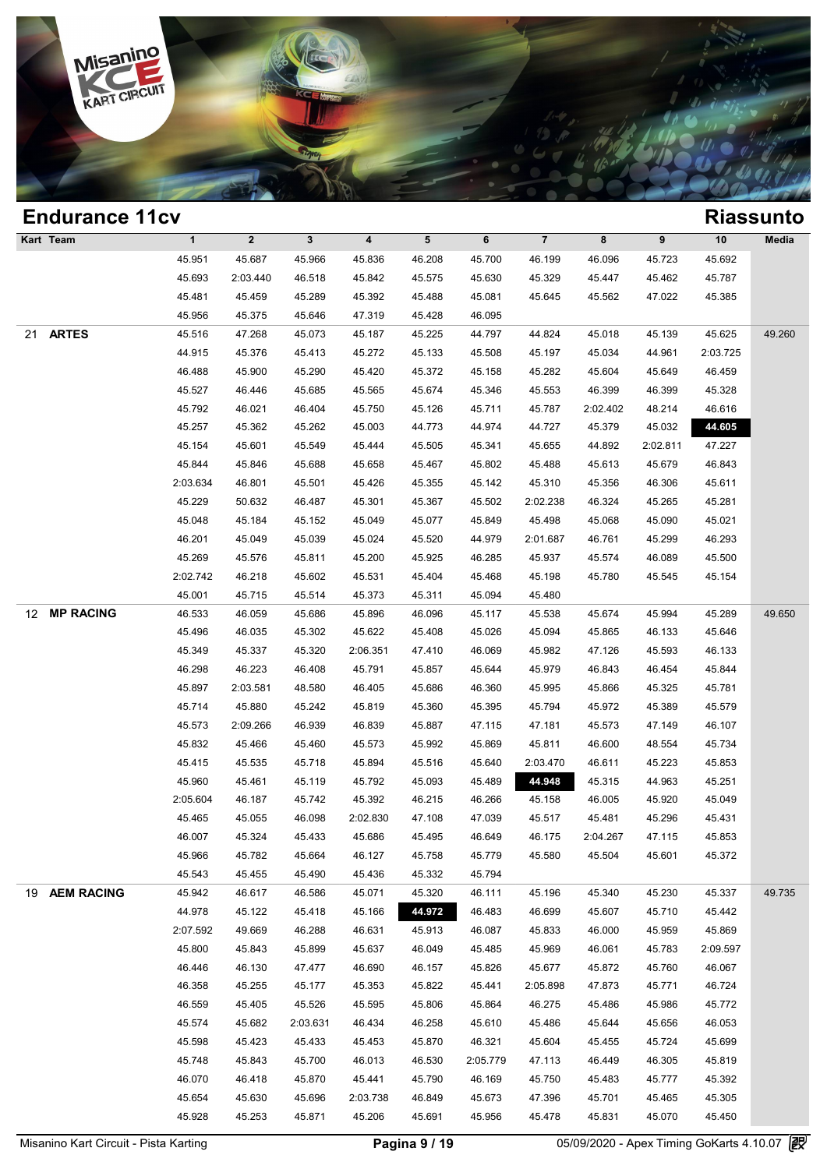

|    | <b>Endurance 11cv</b> |              |              |              |                         |        |          |                |          |          |          | <b>Riassunto</b> |
|----|-----------------------|--------------|--------------|--------------|-------------------------|--------|----------|----------------|----------|----------|----------|------------------|
|    | Kart Team             | $\mathbf{1}$ | $\mathbf{2}$ | $\mathbf{3}$ | $\overline{\mathbf{4}}$ | 5      | 6        | $\overline{7}$ | 8        | 9        | $10$     | Media            |
|    |                       | 45.951       | 45.687       | 45.966       | 45.836                  | 46.208 | 45.700   | 46.199         | 46.096   | 45.723   | 45.692   |                  |
|    |                       | 45.693       | 2:03.440     | 46.518       | 45.842                  | 45.575 | 45.630   | 45.329         | 45.447   | 45.462   | 45.787   |                  |
|    |                       | 45.481       | 45.459       | 45.289       | 45.392                  | 45.488 | 45.081   | 45.645         | 45.562   | 47.022   | 45.385   |                  |
|    |                       | 45.956       | 45.375       | 45.646       | 47.319                  | 45.428 | 46.095   |                |          |          |          |                  |
| 21 | <b>ARTES</b>          | 45.516       | 47.268       | 45.073       | 45.187                  | 45.225 | 44.797   | 44.824         | 45.018   | 45.139   | 45.625   | 49.260           |
|    |                       | 44.915       | 45.376       | 45.413       | 45.272                  | 45.133 | 45.508   | 45.197         | 45.034   | 44.961   | 2:03.725 |                  |
|    |                       | 46.488       | 45.900       | 45.290       | 45.420                  | 45.372 | 45.158   | 45.282         | 45.604   | 45.649   | 46.459   |                  |
|    |                       | 45.527       | 46.446       | 45.685       | 45.565                  | 45.674 | 45.346   | 45.553         | 46.399   | 46.399   | 45.328   |                  |
|    |                       | 45.792       | 46.021       | 46.404       | 45.750                  | 45.126 | 45.711   | 45.787         | 2:02.402 | 48.214   | 46.616   |                  |
|    |                       | 45.257       | 45.362       | 45.262       | 45.003                  | 44.773 | 44.974   | 44.727         | 45.379   | 45.032   | 44.605   |                  |
|    |                       | 45.154       | 45.601       | 45.549       | 45.444                  | 45.505 | 45.341   | 45.655         | 44.892   | 2:02.811 | 47.227   |                  |
|    |                       | 45.844       | 45.846       | 45.688       | 45.658                  | 45.467 | 45.802   | 45.488         | 45.613   | 45.679   | 46.843   |                  |
|    |                       | 2:03.634     | 46.801       | 45.501       | 45.426                  | 45.355 | 45.142   | 45.310         | 45.356   | 46.306   | 45.611   |                  |
|    |                       | 45.229       | 50.632       | 46.487       | 45.301                  | 45.367 | 45.502   | 2:02.238       | 46.324   | 45.265   | 45.281   |                  |
|    |                       | 45.048       | 45.184       | 45.152       | 45.049                  | 45.077 | 45.849   | 45.498         | 45.068   | 45.090   | 45.021   |                  |
|    |                       | 46.201       | 45.049       | 45.039       | 45.024                  | 45.520 | 44.979   | 2:01.687       | 46.761   | 45.299   | 46.293   |                  |
|    |                       | 45.269       | 45.576       | 45.811       | 45.200                  | 45.925 | 46.285   | 45.937         | 45.574   | 46.089   | 45.500   |                  |
|    |                       | 2:02.742     | 46.218       | 45.602       | 45.531                  | 45.404 | 45.468   | 45.198         | 45.780   | 45.545   | 45.154   |                  |
|    |                       | 45.001       | 45.715       | 45.514       | 45.373                  | 45.311 | 45.094   | 45.480         |          |          |          |                  |
| 12 | <b>MP RACING</b>      | 46.533       | 46.059       | 45.686       | 45.896                  | 46.096 | 45.117   | 45.538         | 45.674   | 45.994   | 45.289   | 49.650           |
|    |                       | 45.496       | 46.035       | 45.302       | 45.622                  | 45.408 | 45.026   | 45.094         | 45.865   | 46.133   | 45.646   |                  |
|    |                       | 45.349       | 45.337       | 45.320       | 2:06.351                | 47.410 | 46.069   | 45.982         | 47.126   | 45.593   | 46.133   |                  |
|    |                       | 46.298       | 46.223       | 46.408       | 45.791                  | 45.857 | 45.644   | 45.979         | 46.843   | 46.454   | 45.844   |                  |
|    |                       | 45.897       | 2:03.581     | 48.580       | 46.405                  | 45.686 | 46.360   | 45.995         | 45.866   | 45.325   | 45.781   |                  |
|    |                       | 45.714       | 45.880       | 45.242       | 45.819                  | 45.360 | 45.395   | 45.794         | 45.972   | 45.389   | 45.579   |                  |
|    |                       | 45.573       | 2:09.266     | 46.939       | 46.839                  | 45.887 | 47.115   | 47.181         | 45.573   | 47.149   | 46.107   |                  |
|    |                       | 45.832       | 45.466       | 45.460       | 45.573                  | 45.992 | 45.869   | 45.811         | 46.600   | 48.554   | 45.734   |                  |
|    |                       | 45.415       | 45.535       | 45.718       | 45.894                  | 45.516 | 45.640   | 2:03.470       | 46.611   | 45.223   | 45.853   |                  |
|    |                       | 45.960       | 45.461       | 45.119       | 45.792                  | 45.093 | 45.489   | 44.948         | 45.315   | 44.963   | 45.251   |                  |
|    |                       | 2:05.604     | 46.187       | 45.742       | 45.392                  | 46.215 | 46.266   | 45.158         | 46.005   | 45.920   | 45.049   |                  |
|    |                       | 45.465       | 45.055       | 46.098       | 2:02.830                | 47.108 | 47.039   | 45.517         | 45.481   | 45.296   | 45.431   |                  |
|    |                       | 46.007       | 45.324       | 45.433       | 45.686                  | 45.495 | 46.649   | 46.175         | 2:04.267 | 47.115   | 45.853   |                  |
|    |                       | 45.966       | 45.782       | 45.664       | 46.127                  | 45.758 | 45.779   | 45.580         | 45.504   | 45.601   | 45.372   |                  |
|    |                       | 45.543       | 45.455       | 45.490       | 45.436                  | 45.332 | 45.794   |                |          |          |          |                  |
|    | 19 AEM RACING         | 45.942       | 46.617       | 46.586       | 45.071                  | 45.320 | 46.111   | 45.196         | 45.340   | 45.230   | 45.337   | 49.735           |
|    |                       | 44.978       | 45.122       | 45.418       | 45.166                  | 44.972 | 46.483   | 46.699         | 45.607   | 45.710   | 45.442   |                  |
|    |                       | 2:07.592     | 49.669       | 46.288       | 46.631                  | 45.913 | 46.087   | 45.833         | 46.000   | 45.959   | 45.869   |                  |
|    |                       | 45.800       | 45.843       | 45.899       | 45.637                  | 46.049 | 45.485   | 45.969         | 46.061   | 45.783   | 2:09.597 |                  |
|    |                       | 46.446       | 46.130       | 47.477       | 46.690                  | 46.157 | 45.826   | 45.677         | 45.872   | 45.760   | 46.067   |                  |
|    |                       | 46.358       | 45.255       | 45.177       | 45.353                  | 45.822 | 45.441   | 2:05.898       | 47.873   | 45.771   | 46.724   |                  |
|    |                       | 46.559       | 45.405       | 45.526       | 45.595                  | 45.806 | 45.864   | 46.275         | 45.486   | 45.986   | 45.772   |                  |
|    |                       | 45.574       | 45.682       | 2:03.631     | 46.434                  | 46.258 | 45.610   | 45.486         | 45.644   | 45.656   | 46.053   |                  |
|    |                       | 45.598       | 45.423       | 45.433       | 45.453                  | 45.870 | 46.321   | 45.604         | 45.455   | 45.724   | 45.699   |                  |
|    |                       | 45.748       | 45.843       | 45.700       | 46.013                  | 46.530 | 2:05.779 | 47.113         | 46.449   | 46.305   | 45.819   |                  |
|    |                       | 46.070       | 46.418       | 45.870       | 45.441                  | 45.790 | 46.169   | 45.750         | 45.483   | 45.777   | 45.392   |                  |
|    |                       | 45.654       | 45.630       | 45.696       | 2:03.738                | 46.849 | 45.673   | 47.396         | 45.701   | 45.465   | 45.305   |                  |
|    |                       | 45.928       | 45.253       | 45.871       | 45.206                  | 45.691 | 45.956   | 45.478         | 45.831   | 45.070   | 45.450   |                  |
|    |                       |              |              |              |                         |        |          |                |          |          |          |                  |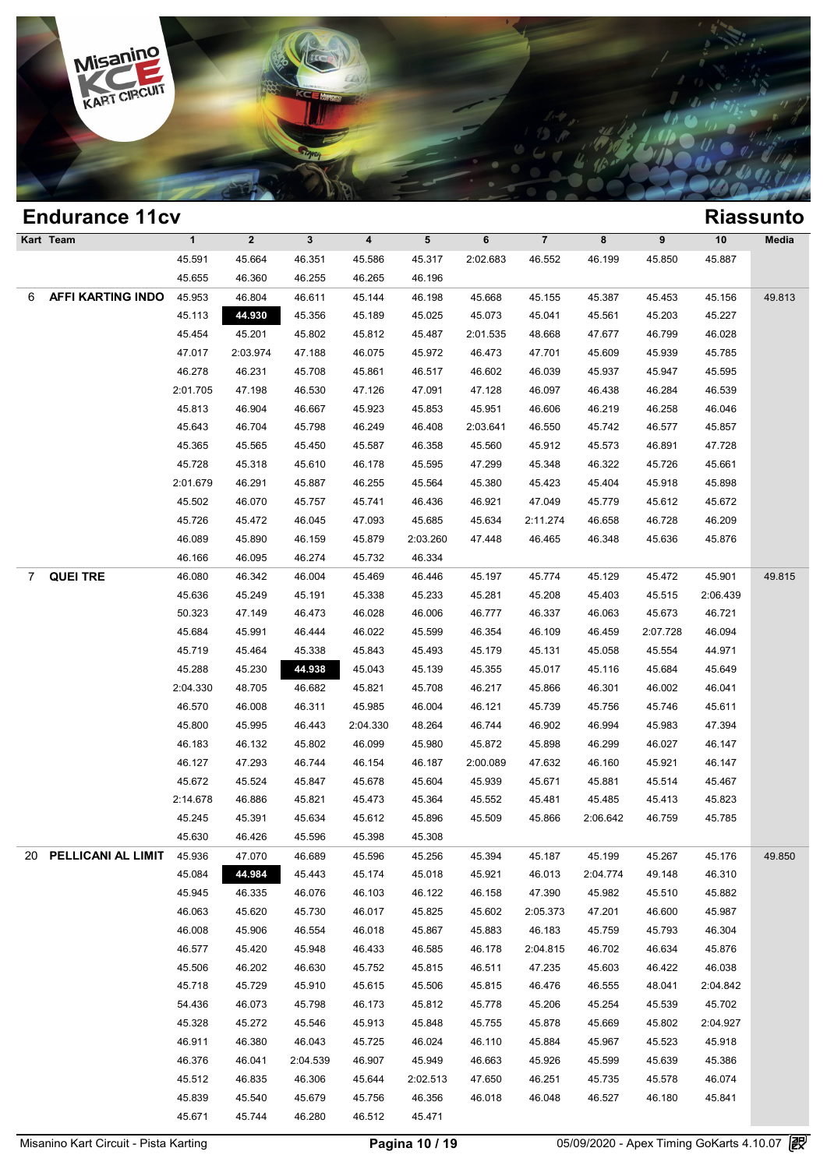

|   | <b>Endurance 11cv</b>    |              |              |              |          |                 |          |                |          |          |          | <b>Riassunto</b> |
|---|--------------------------|--------------|--------------|--------------|----------|-----------------|----------|----------------|----------|----------|----------|------------------|
|   | Kart Team                | $\mathbf{1}$ | $\mathbf{2}$ | $\mathbf{3}$ | 4        | $5\phantom{.0}$ | 6        | $\overline{7}$ | 8        | 9        | 10       | Media            |
|   |                          | 45.591       | 45.664       | 46.351       | 45.586   | 45.317          | 2:02.683 | 46.552         | 46.199   | 45.850   | 45.887   |                  |
|   |                          | 45.655       | 46.360       | 46.255       | 46.265   | 46.196          |          |                |          |          |          |                  |
| 6 | <b>AFFI KARTING INDO</b> | 45.953       | 46.804       | 46.611       | 45.144   | 46.198          | 45.668   | 45.155         | 45.387   | 45.453   | 45.156   | 49.813           |
|   |                          | 45.113       | 44.930       | 45.356       | 45.189   | 45.025          | 45.073   | 45.041         | 45.561   | 45.203   | 45.227   |                  |
|   |                          | 45.454       | 45.201       | 45.802       | 45.812   | 45.487          | 2:01.535 | 48.668         | 47.677   | 46.799   | 46.028   |                  |
|   |                          | 47.017       | 2:03.974     | 47.188       | 46.075   | 45.972          | 46.473   | 47.701         | 45.609   | 45.939   | 45.785   |                  |
|   |                          | 46.278       | 46.231       | 45.708       | 45.861   | 46.517          | 46.602   | 46.039         | 45.937   | 45.947   | 45.595   |                  |
|   |                          | 2:01.705     | 47.198       | 46.530       | 47.126   | 47.091          | 47.128   | 46.097         | 46.438   | 46.284   | 46.539   |                  |
|   |                          | 45.813       | 46.904       | 46.667       | 45.923   | 45.853          | 45.951   | 46.606         | 46.219   | 46.258   | 46.046   |                  |
|   |                          | 45.643       | 46.704       | 45.798       | 46.249   | 46.408          | 2:03.641 | 46.550         | 45.742   | 46.577   | 45.857   |                  |
|   |                          | 45.365       | 45.565       | 45.450       | 45.587   | 46.358          | 45.560   | 45.912         | 45.573   | 46.891   | 47.728   |                  |
|   |                          | 45.728       | 45.318       | 45.610       | 46.178   | 45.595          | 47.299   | 45.348         | 46.322   | 45.726   | 45.661   |                  |
|   |                          | 2:01.679     | 46.291       | 45.887       | 46.255   | 45.564          | 45.380   | 45.423         | 45.404   | 45.918   | 45.898   |                  |
|   |                          | 45.502       | 46.070       | 45.757       | 45.741   | 46.436          | 46.921   | 47.049         | 45.779   | 45.612   | 45.672   |                  |
|   |                          | 45.726       | 45.472       | 46.045       | 47.093   | 45.685          | 45.634   | 2:11.274       | 46.658   | 46.728   | 46.209   |                  |
|   |                          | 46.089       | 45.890       | 46.159       | 45.879   | 2:03.260        | 47.448   | 46.465         | 46.348   | 45.636   | 45.876   |                  |
|   |                          | 46.166       | 46.095       | 46.274       | 45.732   | 46.334          |          |                |          |          |          |                  |
| 7 | <b>QUEI TRE</b>          | 46.080       | 46.342       | 46.004       | 45.469   | 46.446          | 45.197   | 45.774         | 45.129   | 45.472   | 45.901   | 49.815           |
|   |                          | 45.636       | 45.249       | 45.191       | 45.338   | 45.233          | 45.281   | 45.208         | 45.403   | 45.515   | 2:06.439 |                  |
|   |                          | 50.323       | 47.149       | 46.473       | 46.028   | 46.006          | 46.777   | 46.337         | 46.063   | 45.673   | 46.721   |                  |
|   |                          | 45.684       | 45.991       | 46.444       | 46.022   | 45.599          | 46.354   | 46.109         | 46.459   | 2:07.728 | 46.094   |                  |
|   |                          | 45.719       | 45.464       | 45.338       | 45.843   | 45.493          | 45.179   | 45.131         | 45.058   | 45.554   | 44.971   |                  |
|   |                          | 45.288       | 45.230       | 44.938       | 45.043   | 45.139          | 45.355   | 45.017         | 45.116   | 45.684   | 45.649   |                  |
|   |                          | 2:04.330     | 48.705       | 46.682       | 45.821   | 45.708          | 46.217   | 45.866         | 46.301   | 46.002   | 46.041   |                  |
|   |                          | 46.570       | 46.008       | 46.311       | 45.985   | 46.004          | 46.121   | 45.739         | 45.756   | 45.746   | 45.611   |                  |
|   |                          | 45.800       | 45.995       | 46.443       | 2:04.330 | 48.264          | 46.744   | 46.902         | 46.994   | 45.983   | 47.394   |                  |
|   |                          | 46.183       | 46.132       | 45.802       | 46.099   | 45.980          | 45.872   | 45.898         | 46.299   | 46.027   | 46.147   |                  |
|   |                          | 46.127       | 47.293       | 46.744       | 46.154   | 46.187          | 2:00.089 | 47.632         | 46.160   | 45.921   | 46.147   |                  |
|   |                          | 45.672       | 45.524       | 45.847       | 45.678   | 45.604          | 45.939   | 45.671         | 45.881   | 45.514   | 45.467   |                  |
|   |                          | 2:14.678     | 46.886       | 45.821       | 45.473   | 45.364          | 45.552   | 45.481         | 45.485   | 45.413   | 45.823   |                  |
|   |                          | 45.245       | 45.391       | 45.634       | 45.612   | 45.896          | 45.509   | 45.866         | 2:06.642 | 46.759   | 45.785   |                  |
|   |                          | 45.630       | 46.426       | 45.596       | 45.398   | 45.308          |          |                |          |          |          |                  |
|   | 20 PELLICANI AL LIMIT    | 45.936       | 47.070       | 46.689       | 45.596   | 45.256          | 45.394   | 45.187         | 45.199   | 45.267   | 45.176   | 49.850           |
|   |                          | 45.084       | 44.984       | 45.443       | 45.174   | 45.018          | 45.921   | 46.013         | 2:04.774 | 49.148   | 46.310   |                  |
|   |                          | 45.945       | 46.335       | 46.076       | 46.103   | 46.122          | 46.158   | 47.390         | 45.982   | 45.510   | 45.882   |                  |
|   |                          | 46.063       | 45.620       | 45.730       | 46.017   | 45.825          | 45.602   | 2:05.373       | 47.201   | 46.600   | 45.987   |                  |
|   |                          | 46.008       | 45.906       | 46.554       | 46.018   | 45.867          | 45.883   | 46.183         | 45.759   | 45.793   | 46.304   |                  |
|   |                          | 46.577       | 45.420       | 45.948       | 46.433   | 46.585          | 46.178   | 2:04.815       | 46.702   | 46.634   | 45.876   |                  |
|   |                          | 45.506       | 46.202       | 46.630       | 45.752   | 45.815          | 46.511   | 47.235         | 45.603   | 46.422   | 46.038   |                  |
|   |                          | 45.718       | 45.729       | 45.910       | 45.615   | 45.506          | 45.815   | 46.476         | 46.555   | 48.041   | 2:04.842 |                  |
|   |                          | 54.436       | 46.073       | 45.798       | 46.173   | 45.812          | 45.778   | 45.206         | 45.254   | 45.539   | 45.702   |                  |
|   |                          | 45.328       | 45.272       | 45.546       | 45.913   | 45.848          | 45.755   | 45.878         | 45.669   | 45.802   | 2:04.927 |                  |
|   |                          | 46.911       | 46.380       | 46.043       | 45.725   | 46.024          | 46.110   | 45.884         | 45.967   | 45.523   | 45.918   |                  |
|   |                          | 46.376       | 46.041       | 2:04.539     | 46.907   | 45.949          | 46.663   | 45.926         | 45.599   | 45.639   | 45.386   |                  |
|   |                          | 45.512       | 46.835       | 46.306       | 45.644   | 2:02.513        | 47.650   | 46.251         | 45.735   | 45.578   | 46.074   |                  |
|   |                          | 45.839       | 45.540       | 45.679       | 45.756   | 46.356          | 46.018   | 46.048         | 46.527   | 46.180   | 45.841   |                  |
|   |                          | 45.671       | 45.744       | 46.280       | 46.512   | 45.471          |          |                |          |          |          |                  |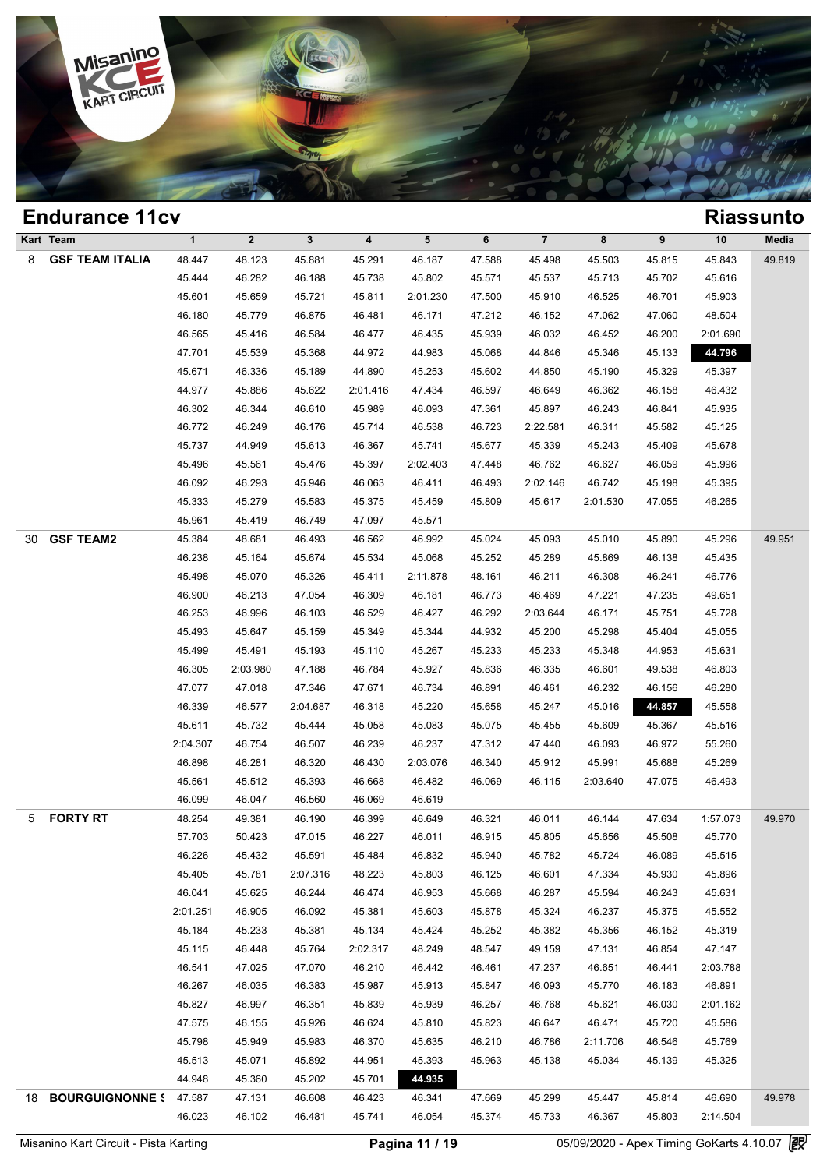

### **Endurance 11cv Riassunto Kart Team 1 2 3 4 5 6 7 8 9 10 Media** 8 **GSF TEAM ITALIA** 48.447 48.123 45.881 45.291 46.187 47.588 45.498 45.503 45.815 45.843 49.819 1 2 3 4 5 6 7 8 9 10 Med<br>48.447 48.123 45.881 45.291 46.187 47.588 45.498 45.503 45.815 45.843 49.8<br>45.444 46.282 46.188 45.738 45.802 45.571 45.537 45.713 45.702 45.616<br>45.611 45.650 45.721 45.811 200.1230 47.500 45.910 4 1 2 3 4 5 6 7 8 9 10 Med<br>48.447 48.123 45.881 45.291 46.187 47.588 45.498 45.503 45.815 45.843 49.8<br>45.444 46.282 46.188 45.738 45.802 45.571 45.537 45.713 45.702 45.616<br>45.601 45.659 45.721 45.811 2:01.230 47.500 45.910 4 46.180 46.180 46.187 46.187 47.588 45.498 45.503 45.815 45.843 49.8<br>45.444 46.282 46.188 45.738 45.802 45.571 45.537 45.713 45.702 45.616<br>45.601 45.659 45.721 45.811 2:01.230 47.500 45.910 46.525 46.701 45.903<br>46.180 45.779 46.44 46.282 46.188 45.738 45.802 45.571 45.537 45.713 45.702 45.616<br>45.601 45.659 45.721 45.811 2:01.230 47.500 45.910 46.525 46.701 45.903<br>46.180 45.779 46.875 46.481 46.171 47.212 46.152 47.062 47.060 48.504<br>46.565 45.41 45.601 45.659 45.721 45.811 2:01.230 47.500 45.910 46.525 46.701 45.903<br>46.180 45.779 46.875 46.481 46.171 47.212 46.152 47.062 47.060 48.504<br>46.565 45.416 46.584 46.477 46.435 45.939 46.032 46.452 46.200 2:01.690<br>47.701 4 46.180 45.779 46.875 46.481 46.171 47.212 46.152 47.062 47.060 48.504<br>46.565 45.416 46.584 46.477 46.435 45.939 46.032 46.452 46.200 2:01.690<br>47.701 45.539 45.368 44.972 44.983 45.068 44.846 45.346 45.133 45.761<br>45.671 46. 46.565 45.416 46.584 46.477 46.435 45.939 46.032 46.452 46.200 2:01.690<br>47.701 45.539 45.368 44.972 44.983 45.068 44.846 45.346 45.133 44.796<br>45.671 46.336 45.189 44.890 45.253 45.602 44.850 45.190 45.329 45.397<br>44.977 45. 47.701 45.539 45.368 44.972 44.983 45.068 44.846 45.346 45.133 44.796<br>45.671 46.336 45.189 44.890 45.253 45.602 44.850 45.190 45.329 45.397<br>44.977 45.886 45.622 2:01.416 47.434 46.597 46.649 46.362 46.158 46.432<br>46.302 46. 46.671 46.336 45.189 44.890 45.253 45.602 44.850 45.190 45.329 45.397<br>44.977 45.886 45.622 2:01.416 47.434 46.597 46.649 46.362 46.158 46.432<br>46.302 46.344 46.610 45.989 46.093 47.361 45.897 46.243 46.841 45.935<br>46.772 46. 44.977 45.886 45.622 2:01.416 47.434 46.597 46.649 46.362 46.158 46.432<br>46.302 46.344 46.610 45.989 46.093 47.361 45.897 46.243 46.841 45.935<br>46.772 46.249 46.176 45.714 46.538 46.723 2:22.581 46.311 45.582 45.125<br>45.737 4 46.302 46.344 46.610 45.989 46.093 47.361 45.897 46.243 46.841 45.935<br>46.772 46.249 46.176 45.714 46.538 46.723 2:22.581 46.311 45.582 45.125<br>45.737 44.949 45.613 46.367 45.741 45.677 45.339 45.243 45.409 45.678<br>45.496 45. 46.772 46.249 46.176 45.714 46.538 46.723 2:22.581 46.311 45.582 45.125<br>45.737 44.949 45.613 46.367 45.741 45.677 45.339 45.243 45.409 45.678<br>45.496 45.561 45.476 45.397 2:02.403 47.448 46.762 46.627 46.059 45.996<br>46.092 4 45.737 44.949 45.613 46.367 45.741 45.677 45.339 45.243 45.409 45.678<br>45.496 45.561 45.476 45.397 2:02.403 47.448 46.762 46.627 46.059 45.996<br>46.092 46.293 45.946 46.063 46.411 46.493 2:02.146 46.742 45.198 45.395<br>45.333 4 45.496 45.561 45.476 45.397 2:02.403 47.4<br>46.092 46.293 45.946 46.063 46.411 46.4<br>45.333 45.279 45.583 45.375 45.459 45.8<br>45.961 45.419 46.749 47.097 45.571 30 **GSF TEAM2** 45.384 48.681 46.493 46.562 46.992 45.024 45.093 45.010 45.890 45.296 49.951 45.333 45.279 45.583 45.375 45.459 45.809 45.617 2:01.530 47.055 46.265<br>45.961 45.419 46.749 47.097 45.571<br>45.384 48.681 46.493 46.562 46.992 45.024 45.093 45.010 45.890 45.296 49.9<br>46.238 45.164 45.674 45.534 45.068 45.25 45.961 45.419 46.749 47.097 45.571<br>45.384 48.681 46.493 46.562 46.992 45.024 45.093 45.010 45.890 45.296 49.9<br>46.238 45.164 45.674 45.534 45.068 45.252 45.269 45.869 46.138 45.435<br>45.498 45.070 45.326 45.411 2:11.878 48.16 46.238 48.681 46.493 46.562 46.992 45.024 45.093 45.010 45.890 45.296 49.9<br>46.238 45.164 45.674 45.534 45.068 45.252 45.289 45.869 46.138 45.435<br>45.498 45.070 45.326 45.411 2:11.878 48.161 46.211 46.308 46.241 46.776<br>46.900 46.253 45.164 45.674 45.534 45.068 45.252 45.269 46.309 46.138 45.435<br>45.498 45.070 45.326 45.411 2:11.878 48.161 46.211 46.308 46.241 46.776<br>46.900 46.213 47.054 46.309 46.181 46.773 46.469 47.221 47.235 49.651<br>46.253 46. 45.498 45.070 45.326 45.411 2:11.878 48.161 46.211 46.308 46.241 46.776<br>46.900 46.213 47.054 46.309 46.181 46.773 46.469 47.221 47.235 49.651<br>46.253 46.996 46.103 46.529 46.427 46.292 2:03.644 46.171 45.751 45.728<br>45.493 4 46.900 46.213 47.054 46.309 46.181 46.773 46.469 47.221 47.235 49.651<br>46.253 46.996 46.103 46.529 46.427 46.292 2:03.644 46.171 45.751 45.728<br>45.493 45.647 45.159 45.349 45.344 44.932 45.200 45.298 45.404 45.055<br>45.499 45. 46.253 46.996 46.103 46.529 46.427 46.292 2:03.644 46.171 45.751 45.728<br>45.493 45.647 45.159 45.349 45.344 44.932 45.200 45.298 45.404 45.055<br>45.499 45.491 45.193 45.110 45.267 45.233 45.333 45.348 44.953 45.631<br>46.305 2:0 45.493 45.647 45.159 45.349 45.344 44.932 45.200 45.298 45.404 45.055<br>45.499 45.491 45.193 45.110 45.267 45.233 45.233 45.348 44.953 45.631<br>46.305 2:03.980 47.188 46.784 45.927 45.836 46.335 46.601 49.538 46.803<br>47.077 47.0 46.499 45.491 45.193 45.110 45.267 45.233 45.233 45.348 44.953 45.631<br>46.305 2:03.980 47.188 46.784 45.927 45.836 46.335 46.601 49.538 46.803<br>47.077 47.018 47.346 47.671 46.734 46.891 46.461 46.232 46.156 46.280<br>46.339 46. 46.305 2:03.980 47.188 46.784 45.927 45.836 46.335 46.601 49.538 46.803<br>47.077 47.018 47.346 47.671 46.734 46.891 46.461 46.232 46.156 46.280<br>46.339 46.577 2:04.687 46.318 45.220 45.658 45.247 45.0 47.077 47.018 47.346 47.671 46.734 46.891 46.461 46.232 46.156 46.280<br>46.339 46.577 2:04.687 46.318 45.220 45.658 45.247 45.016 44.857 45.558<br>45.611 45.732 45.444 45.058 45.083 45.075 45.455 45.609 45.367 45.516<br>2:04.307 4 46.339 46.577 2:04.687 46.318 45.220 45.658 45.247 45.016 44.857 45.558<br>45.611 45.732 45.444 45.058 45.083 45.075 45.455 45.609 45.367 45.516<br>1:04.307 46.754 46.507 46.239 46.237 47.312 47.440 46.093 46.972 55.260<br>46.898 4 45.611 45.732 45.444 45.058 45.083 45.075 45.455 45.609 45.367 45.516<br>
2:04.307 46.754 46.507 46.239 46.237 47.312 47.440 46.093 46.972 55.260<br>
46.898 46.281 46.320 46.430 2:03.076 46.340 45.912 45.991 45.688 45.269<br>
45.56 46.207 46.754 46.507 46.239 46.237 47.3<br>
46.898 46.281 46.320 46.430 2:03.076 46.3<br>
45.561 45.512 45.393 46.668 46.482 46.0<br>
46.099 46.047 46.560 46.069 46.619 5 **FORTY RT** 48.254 49.381 46.190 46.399 46.649 46.321 46.011 46.144 47.634 1:57.073 49.970 46.099 46.047 46.560 46.668 46.482 46.069 46.115 2:03.640 47.075 46.493<br>46.099 46.047 46.560 46.069 46.619<br>48.254 49.381 46.190 46.399 46.649 46.321 46.011 46.144 47.634 1:57.073 49.9<br>57.703 50.423 47.015 46.227 46.011 46. 46.099 46.047 46.560 46.069 46.619<br>48.254 49.381 46.190 46.399 46.649 46.321 46.011 46.144 47.634 1:57.073 49.9<br>57.703 50.423 47.015 46.227 46.011 46.915 45.805 45.656 45.508 45.770<br>46.226 45.432 45.591 45.484 46.832 45.94 46.226 49.381 46.190 46.399 46.649 46.321 46.011 46.144 47.634 1:57.073 49.9<br>
57.703 50.423 47.015 46.227 46.011 46.915 45.805 45.656 45.508 45.770<br>
46.226 45.432 45.591 45.484 46.832 45.940 45.782 45.724 46.089 45.515<br>
45. 57.703 50.423 47.015 46.227 46.011 46.915 45.805 45.656 45.508 45.770<br>46.226 45.432 45.591 45.484 46.832 45.940 45.782 45.724 46.089 45.515<br>45.405 45.781 2:07.316 48.223 45.803 46.125 46.601 47.334 45.930 45.896<br>46.041 45 46.226 45.432 45.591 45.484 46.832 45.940 45.782 45.724 46.089 45.515<br>45.405 45.781 2:07.316 48.223 45.803 46.125 46.601 47.334 45.930 45.896<br>46.041 45.625 46.244 46.474 46.953 45.668 46.287 45.594 46.243 45.631<br>2:01.251 46 45.405 45.781 2:07.316 48.223 45.803 46.125 46.601 47.334 45.930 45.896<br>46.041 45.625 46.244 46.474 46.953 45.668 46.287 45.594 46.243 45.631<br>2:01.251 46.905 46.092 45.381 45.603 45.878 45.324 46.237 45.375 45.552<br>45.184 45 46.041 45.625 46.244 46.474 46.953 45.668 46.287 45.594 46.243 45.631<br>
1.01.251 46.905 46.092 45.381 45.603 45.878 45.324 46.237 45.375 45.552<br>
45.184 45.233 45.381 45.134 45.424 45.252 45.382 45.356 46.152 45.319<br>
45.115 46.237 46.905 46.092 45.381 45.603 45.878 45.324 46.237 45.375 45.552<br>45.184 45.233 45.381 45.134 45.424 45.252 45.382 45.356 46.152 45.319<br>45.115 46.448 45.764 2:02.317 48.249 48.547 49.159 47.131 46.854 47.147<br>46.541 47 45.184 45.233 45.381 45.134 45.424 45.252 45.382 45.356 46.152 45.319<br>45.115 46.448 45.764 2:02.317 48.249 48.547 49.159 47.131 46.854 47.147<br>46.541 47.025 47.070 46.210 46.442 46.461 47.237 46.651 46.441 2:03.788<br>46.267 4 46.541 46.448 45.764 2:02.317 48.249 48.547 49.159 47.131 46.854 47.147<br>46.541 47.025 47.070 46.210 46.442 46.461 47.237 46.651 46.441 2:03.788<br>46.267 46.035 46.383 45.987 45.913 45.847 46.093 45.770 46.183 46.891<br>45.827 46 46.541 47.025 47.070 46.210 46.442 46.461 47.237 46.651 46.441 2:03.788<br>46.267 46.035 46.383 45.987 45.913 45.847 46.093 45.770 46.183 46.891<br>45.827 46.997 46.351 45.839 45.939 46.257 46.768 45.621 46.030 2:01.162<br>47.575 4 46.267 46.035 46.383 45.987 45.913 45.847 46.093 45.770 46.183 46.891<br>45.827 46.997 46.351 45.839 45.939 46.257 46.768 45.621 46.030 2:01.162<br>47.575 46.155 45.926 46.624 45.810 45.823 46.647 46.471 45.720 45.586<br>45.798 45. 46.827 46.997 46.351 45.839 45.939 46.257 46.768 45.621 46.030 2:01.162<br>47.575 46.155 45.926 46.624 45.810 45.823 46.647 46.471 45.720 45.586<br>45.798 45.949 45.983 46.370 45.635 46.210 46.786 2:11.706 46.546 45.769<br>45.513 4 47.575 46.155 45.926 46.624 45.810 45<br>
45.798 45.949 45.983 46.370 45.635 46<br>
45.513 45.071 45.892 44.951 45.393 45<br>
44.948 45.360 45.202 45.701 44.935 18 **BOURGUIGNONNE SQUADRA CO** 47.587 47.131 46.608 46.423 46.341 47.669 45.299 45.447 45.814 46.690 49.978 45.513 45.071 45.892 44.951 45.393 45.963 45.138 45.034 45.139 45.325<br>44.948 45.360 45.202 45.701 44.935<br>47.587 47.131 46.608 46.423 46.341 47.669 45.299 45.447 45.814 46.690 49.9<br>46.023 46.102 46.481 45.741 46.054 45.374 4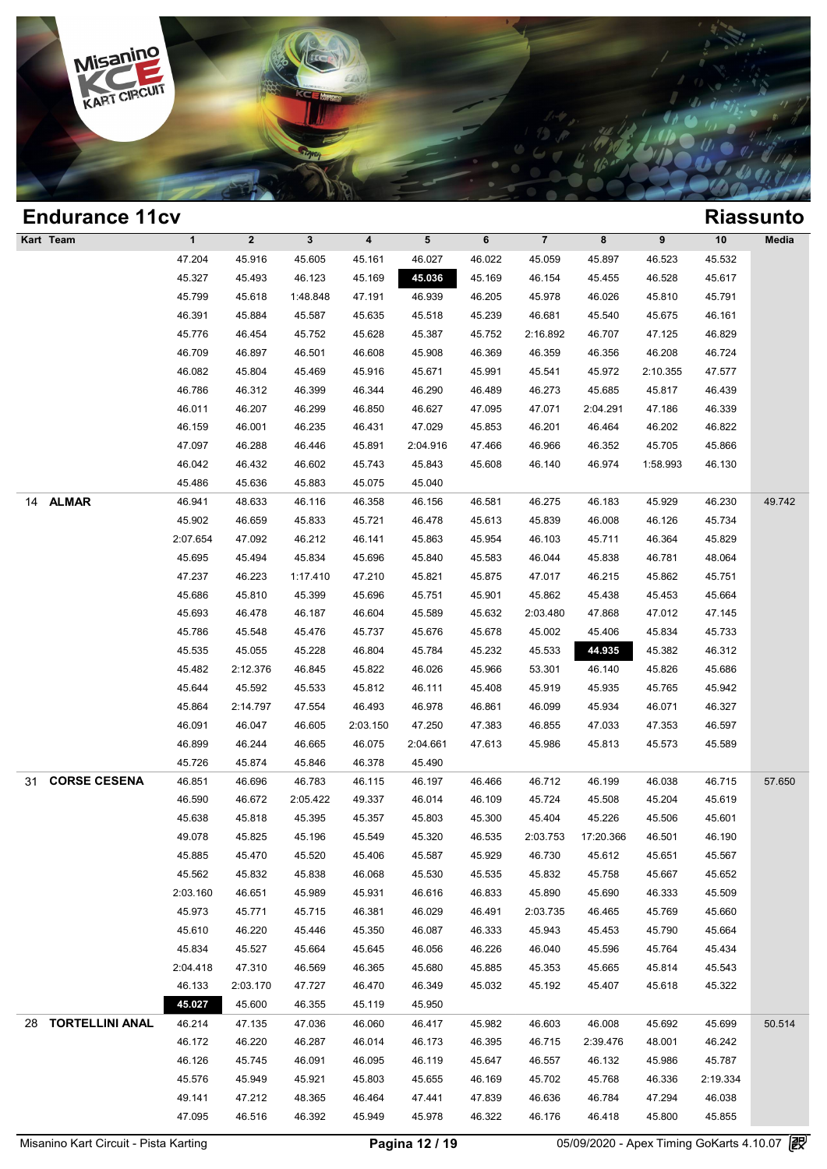

### **Endurance 11cv Riassunto Kart Team 1 2 3 4 5 6 7 8 9 10 Media Process 25.2011**<br>
47.204 45.916 45.605 45.161 46.027 46.022 45.059 45.897 46.523 45.532<br>
45.327 45.492 45.123 45.160 45.026 45.160 46.154 45.455 46.523 45.532 **KICLSSUII**<br>
1 2 3 4 5 6 7 8 9 10 Med<br>
47.204 45.916 45.605 45.161 46.027 46.022 45.059 45.897 46.523 45.532<br>
45.327 45.493 46.123 45.169 45.086 45.169 46.154 45.455 46.528 45.617<br>
45.799 45.617 45.799 45.898 47.191 46.939 1 2 3 4 5 6 7 8 9 10 Med<br>47.204 45.916 45.605 45.161 46.027 46.022 45.059 45.897 46.523 45.532<br>45.327 45.493 46.123 45.169 45.169 46.164 45.455 46.528 45.617<br>45.799 45.618 1:48.848 47.191 46.939 46.205 45.978 46.026 45.810 46.327 45.916 45.605 45.161 46.027 46.022 45.059 45.897 46.523 45.532<br>45.327 45.493 46.123 45.169 45.036 45.169 46.154 45.455 46.528 45.617<br>45.799 45.618 1:48.848 47.191 46.939 46.205 45.978 46.026 45.810 45.791<br>46.391 45.8 45.799 45.618 1:48.848 47.191 46.939 46.205 45.978 46.026 45.810 45.791 46.391 45.884 45.587 45.635 45.518 46.205 46.681 45.540 45.675 46.161<br>46.776 46.454 45.752 45.628 45.387 45.752 2:16.892 46.707 47.125 46.829 46.700 46 46.709 45.618 1:48.848 47.191 46.939 46.205 45.978 46.026 45.810 45.791<br>46.391 45.884 45.587 45.635 45.518 45.239 46.681 45.540 45.675 46.161<br>45.776 46.454 45.752 45.628 45.387 45.752 2:16.892 46.707 47.125 46.829<br>46.709 4 46.391 45.884 45.587 45.635 45.518 45.239 46.681 45.540 45.675 46.161<br>45.776 46.454 45.752 45.628 45.387 45.752 2:16.892 46.707 47.125 46.829<br>46.709 46.897 46.501 46.608 45.908 46.369 46.359 46.356 46.208 46.724<br>46.082 45. 46.709 46.454 45.752 45.628 45.387 45.752 2:16.892 46.707 47.125 46.829<br>46.709 46.897 46.501 46.608 45.908 46.369 46.359 46.356 46.208 46.724<br>46.082 45.804 45.469 45.916 45.671 45.991 45.541 45.972 2:10.355 47.577<br>46.786 4 46.709 46.897 46.501 46.608 45.908 46.369 46.359 46.356 46.208 46.724<br>46.082 45.804 45.469 45.916 45.671 45.991 45.541 45.972 2:10.355 47.577<br>46.786 46.312 46.399 46.344 46.290 46.489 46.273 45.685 45.817 46.439<br>46.011 46. 46.082 45.804 45.469 45.916 45.671 45.991 45.541 45.972 2:10.355 47.577<br>46.786 46.312 46.399 46.344 46.290 46.489 46.273 45.685 45.817 46.439<br>46.011 46.207 46.299 46.850 46.627 47.095 47.071 2:04.291 47.186 46.339<br>46.159 4 46.786 46.312 46.399 46.344 46.290 46.489 46.273 45.685 45.817 46.439<br>46.011 46.207 46.299 46.850 46.627 47.095 47.071 2:04.291 47.186 46.339<br>46.159 46.001 46.235 46.431 47.029 45.853 46.201 46.464 46.202 46.822<br>47.097 46. 46.011 46.207 46.299 46.850 46.627 47.095 47.071 2:04.291 47.186 46.339<br>46.159 46.001 46.235 46.431 47.029 45.853 46.201 46.464 46.202 46.822<br>47.097 46.288 46.446 45.891 2:04.916 47.466 46.966 46.352 45.705 45.866<br>46.042 4 46.159 46.001 46.235 46.431 47.029 45.8<br>47.097 46.288 46.446 45.891 2:04.916 47.4<br>46.042 46.432 46.602 45.743 45.843 45.6<br>45.486 45.636 45.883 45.075 45.040 14 **ALMAR** 46.941 48.633 46.116 46.358 46.156 46.581 46.275 46.183 45.929 46.230 49.742 46.042 46.432 46.602 45.743 45.843 45.608 46.140 46.974 1:58.993 46.130<br>45.486 45.636 45.883 45.075 45.040<br>46.941 48.633 46.116 46.358 46.156 46.581 46.275 46.183 45.929 46.230 49.7<br>45.902 46.659 45.833 45.721 46.478 45.61 46.941 48.633 45.883 45.075 45.040<br>46.941 48.633 46.116 46.358 46.156 46.581 46.275 46.183 45.929 46.230 49.7<br>45.902 46.659 45.833 45.721 46.478 45.613 45.839 46.008 46.126 45.734<br>2:07.654 47.092 46.212 46.141 45.863 45.954 46.941 48.633 46.116 46.358 46.156 46.581 46.275 46.183 45.929 46.230 49.7<br>45.902 46.659 45.833 45.721 46.478 45.613 45.839 46.008 46.126 45.734<br>1:07.654 47.092 46.212 46.141 45.863 45.954 46.103 45.711 46.364 45.829<br>45.69 45.902 46.659 45.833 45.721 46.478 45.613 45.839 46.008 46.126 45.734<br>
2:07.654 47.092 46.212 46.141 45.863 45.954 46.103 45.711 46.364 45.829<br>
45.695 45.494 45.834 45.696 45.840 45.583 46.044 45.838 46.781 48.064<br>
47.237 45.695 47.092 46.212 46.141 45.863 45.954 46.103 45.711 46.364 45.829<br>45.695 45.494 45.834 45.696 45.840 45.583 46.044 45.838 46.781 48.064<br>47.237 46.223 1:17.410 47.210 45.821 45.875 47.017 46.215 45.862 45.751<br>45.686 45 45.695 45.494 45.834 45.696 45.840 45.583 46.044 45.838 46.781 48.064<br>47.237 46.223 1:17.410 47.210 45.821 45.875 47.017 46.215 45.862 45.751<br>45.686 45.810 45.399 45.696 45.751 45.901 45.862 45.438 45.453 45.664<br>45.693 46. 46.223 1:17.410 47.210 45.821 45.875 47.017 46.215 45.862 45.751<br>45.686 45.810 45.399 45.696 45.751 45.901 45.862 45.438 45.453 45.664<br>45.693 46.478 46.187 46.604 45.589 45.632 2:03.480 47.868 47.012 47.145<br>45.786 45.548 4 45.686 45.810 45.399 45.696 45.751 45.901 45.862 45.438 45.453 45.664<br>45.693 46.478 46.187 46.604 45.589 45.632 2:03.480 47.868 47.012 47.145<br>45.786 45.548 45.476 45.737 45.676 45.678 45.002 45.406 45.834 45.733<br>45.535 45. 45.693 46.478 46.187 46.604 45.589 45.632 2:03.480 47.868 47.012 47.145<br>45.786 45.548 45.476 45.737 45.676 45.678 45.002 45.406 45.834 45.733<br>45.535 45.055 45.228 46.804 45.784 45.232 45.533 44.595 45.382 46.312<br>45.482 2:1 45.786 45.548 45.476 45.737 45.676 45.678 45.002 45.406 45.834 45.733<br>45.535 45.055 45.228 46.804 45.784 45.232 45.533 44.935 45.382 46.312<br>45.482 2:12.376 46.845 45.822 46.026 45.966 53.301 46.140 45.826 45.686<br>45.644 45.5 45.35 45.055 45.228 46.804 45.784 45.232 45.533 44.935 45.382 46.312<br>45.482 2:12.376 46.845 45.822 46.026 45.966 53.301 46.140 45.826 45.686<br>45.644 45.592 45.533 45.812 46.111 45.408 45.919 45.935 45.765 45.942<br>45.864 2:14. 46.482 2:12.376 46.845 45.822 46.026 45.966 53.301 46.140 45.826 45.686<br>45.644 45.592 45.533 45.812 46.111 45.408 45.919 45.935 45.765 45.942<br>45.864 2:14.797 47.554 46.493 46.978 46.861 46.099 45.934 46.071 46.327<br>46.091 46 46.644 46.592 45.533 45.812 46.111 45.408 45.919 45.935 45.765 45.942<br>45.864 2:14.797 47.554 46.493 46.978 46.861 46.099 45.934 46.071 46.327<br>46.091 46.047 46.605 2:03.150 47.250 47.383 46.855 47.033 47.353 46.597<br>46.899 4 46.894 2:14.797 47.554 46.493 46.978 46.8<br>46.091 46.047 46.605 2:03.150 47.250 47.3<br>46.899 46.244 46.665 46.075 2:04.661 47.6<br>45.726 45.874 45.846 46.378 45.490 31 **CORSE CESENA** 46.851 46.696 46.783 46.115 46.197 46.466 46.712 46.199 46.038 46.715 57.650 46.899 46.244 46.665 46.075 2:04.661 47.613 45.986 45.813 45.573 45.589<br>45.726 45.874 45.846 46.378 45.490<br>46.851 46.696 46.783 46.115 46.197 46.466 46.712 46.199 46.038 46.715 57.6<br>46.590 46.672 2:05.422 49.337 46.014 46. 45.726 45.874 45.846 46.378 45.490<br>46.851 46.696 46.783 46.115 46.197 46.466 46.712 46.199 46.038 46.715 57.6<br>46.590 46.672 2:05.422 49.337 46.014 46.109 45.724 45.508 45.204 45.619<br>45.638 45.818 45.395 45.357 45.803 45.30 46.851 46.696 46.783 46.115 46.197 46.466 46.712 46.199 46.038 46.715 57.6<br>46.590 46.672 2:05.422 49.337 46.014 46.109 45.724 45.508 45.204 45.619<br>45.638 45.818 45.395 45.357 45.803 45.300 45.404 45.226 45.506 45.601<br>49.07 46.590 46.672 2:05.422 49.337 46.014 46.109 45.724 45.508 45.204 45.619<br>45.638 45.818 45.395 45.357 45.803 45.300 45.404 45.226 45.506 45.601<br>49.078 45.825 45.196 45.549 45.320 46.535 2:03.753 17:20.366 46.501 46.190<br>45.885 45.638 45.818 45.395 45.357 45.803 45.300 45.404 45.226 45.506 45.601<br>49.078 45.825 45.196 45.549 45.320 46.535 2:03.753 17:20.366 46.501 46.190<br>45.885 45.470 45.520 45.406 45.587 45.929 46.730 45.612 45.651 45.567<br>45.562 45.885 46.470 45.520 46.466 45.520 46.535 2:03.753 17:20.366 46.501 46.190<br>45.885 45.470 45.520 45.406 45.587 45.929 46.730 45.612 45.651 45.567<br>45.562 45.832 45.838 46.068 45.530 45.535 45.832 45.758 45.667 45.652<br>2:03.16 45.885 45.470 45.520 45.406 45.587 45.929 46.730 45.612 45.651 45.567<br>45.562 45.832 45.838 46.068 45.530 45.535 45.832 45.758 45.667 45.652<br>2:03.160 46.651 45.989 45.931 46.616 46.833 45.890 45.690 46.333 45.509<br>45.973 45.7 45.562 45.832 45.838 46.068 45.530 45.535 45.832 45.758 45.667 45.652<br>
2:03.160 46.651 45.989 45.931 46.616 46.833 45.890 45.690 46.333 45.509<br>
45.973 45.771 45.715 46.381 46.029 46.491 2:03.735 46.465 45.769 45.660<br>
45.61 45.973 46.651 45.989 45.931 46.616 46.833 45.890 45.690 46.333 45.509<br>45.973 45.771 45.715 46.381 46.029 46.491 2:03.735 46.465 45.769 45.660<br>45.610 46.220 45.446 45.350 46.087 46.333 45.943 45.453 45.790 45.664<br>45.834 45 45.973 45.771 45.715 46.381 46.029 46.491 2:03.735 46.465 45.769 45.660<br>45.610 46.220 45.446 45.350 46.087 46.333 45.943 45.453 45.790 45.664<br>45.834 45.527 45.664 45.645 46.056 46.226 46.040 45.596 45.764 45.434<br>2:04.418 47 46.610 46.220 45.446 45.350 46.087 46.333 45.943 45.453 45.790 45.664<br>45.834 45.527 45.664 45.645 46.056 46.226 46.040 45.596 45.764 45.434<br>46.133 2:03.170 47.727 46.470 46.349 45.032 45.192 45.407 45.618 45.322<br>45.927 46. 45.834 45.527 45.664 45.645 46.056 46.2<br>
1.04.418 47.310 46.569 46.365 45.680 45.8<br>
1.04.53 2.03.170 47.727 46.470 46.349 45.0<br>
1.045.027 45.600 46.355 45.119 45.950 28 **TORTELLINI ANAL** 46.214 47.135 47.036 46.060 46.417 45.982 46.603 46.008 45.692 45.699 50.514 46.173 2:03.170 47.727 46.470 46.349 45.032 45.192 45.407 45.618 45.322<br>
46.027 46.600 46.355 45.119 45.950<br>
46.214 47.135 47.036 46.060 46.417 45.982 46.603 46.008 45.692 45.699 50.5<br>
46.172 46.220 46.287 46.014 46.173 46. 46.214 47.135 47.036 46.060 46.417 45.982 46.603 46.008 45.692 45.699 50.5<br>46.172 46.220 46.287 46.014 46.173 46.395 46.715 2:39.476 48.001 46.242<br>46.126 45.745 46.091 46.095 46.119 45.647 46.557 46.132 45.986 45.787<br>45.57 46.214 47.135 47.036 46.060 46.417 45.982 46.603 46.008 45.692 45.699 50.5<br>46.172 46.220 46.287 46.014 46.173 46.395 46.715 2:39.476 48.001 46.242<br>46.126 45.745 46.091 46.095 46.119 45.647 46.557 46.132 45.986 45.787<br>45.57 46.172 46.220 46.287 46.014 46.173 46.395 46.715 2:39.476 48.001 46.242<br>46.126 45.745 46.091 46.095 46.119 45.647 46.557 46.132 45.986 45.787<br>45.576 45.949 45.921 45.803 45.655 46.169 45.702 45.768 46.336 2:19.334<br>49.141 4 46.126 45.745 46.091 46.095 46.119 45.647 46.557 46.132 45.986 45.787<br>45.576 45.949 45.921 45.803 45.655 46.169 45.702 45.768 46.336 2:19.334<br>49.141 47.212 48.365 46.464 47.441 47.839 46.636 46.784 47.294 46.038<br>47.095 46.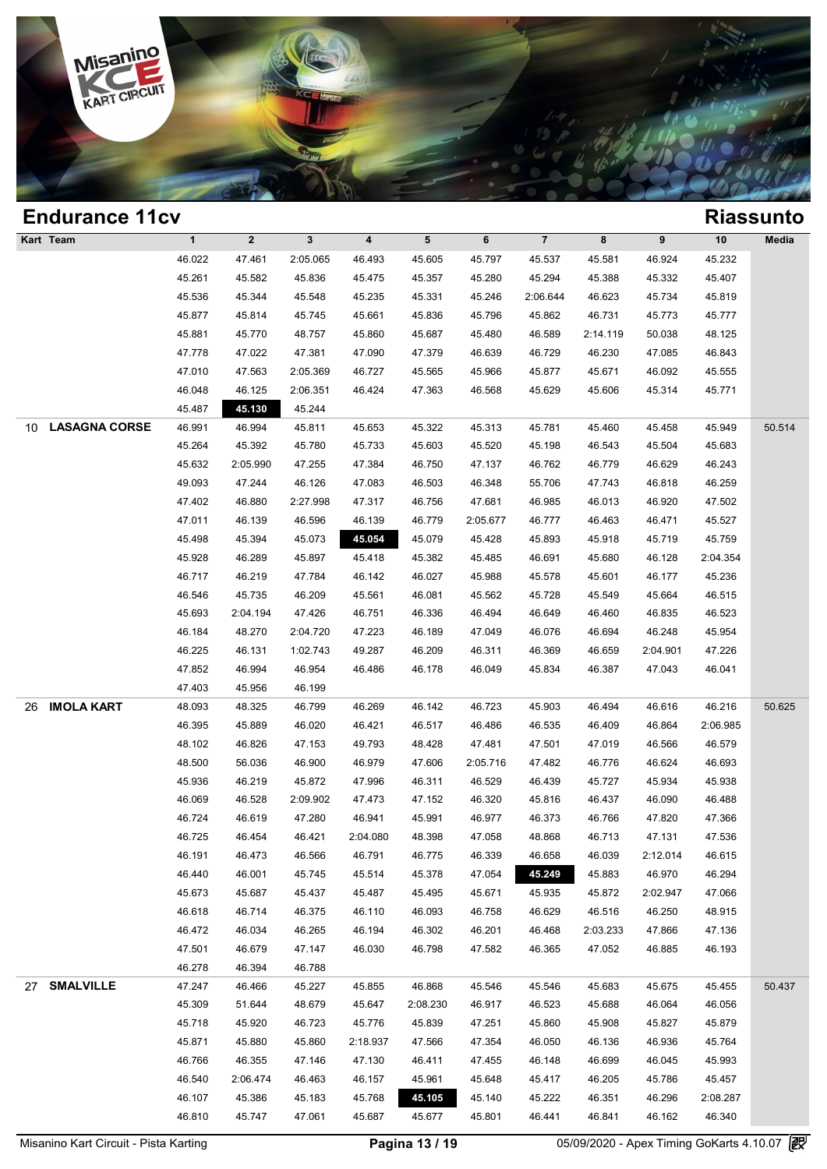

|    | <b>Endurance 11cv</b> |              |              |              |          |           |          |                |          |          |          | <b>Riassunto</b> |
|----|-----------------------|--------------|--------------|--------------|----------|-----------|----------|----------------|----------|----------|----------|------------------|
|    | Kart Team             | $\mathbf{1}$ | $\mathbf{2}$ | $\mathbf{3}$ | 4        | ${\bf 5}$ | 6        | $\overline{7}$ | 8        | 9        | 10       | Media            |
|    |                       | 46.022       | 47.461       | 2:05.065     | 46.493   | 45.605    | 45.797   | 45.537         | 45.581   | 46.924   | 45.232   |                  |
|    |                       | 45.261       | 45.582       | 45.836       | 45.475   | 45.357    | 45.280   | 45.294         | 45.388   | 45.332   | 45.407   |                  |
|    |                       | 45.536       | 45.344       | 45.548       | 45.235   | 45.331    | 45.246   | 2:06.644       | 46.623   | 45.734   | 45.819   |                  |
|    |                       | 45.877       | 45.814       | 45.745       | 45.661   | 45.836    | 45.796   | 45.862         | 46.731   | 45.773   | 45.777   |                  |
|    |                       | 45.881       | 45.770       | 48.757       | 45.860   | 45.687    | 45.480   | 46.589         | 2:14.119 | 50.038   | 48.125   |                  |
|    |                       | 47.778       | 47.022       | 47.381       | 47.090   | 47.379    | 46.639   | 46.729         | 46.230   | 47.085   | 46.843   |                  |
|    |                       | 47.010       | 47.563       | 2:05.369     | 46.727   | 45.565    | 45.966   | 45.877         | 45.671   | 46.092   | 45.555   |                  |
|    |                       | 46.048       | 46.125       | 2:06.351     | 46.424   | 47.363    | 46.568   | 45.629         | 45.606   | 45.314   | 45.771   |                  |
|    |                       | 45.487       | 45.130       | 45.244       |          |           |          |                |          |          |          |                  |
| 10 | <b>LASAGNA CORSE</b>  | 46.991       | 46.994       | 45.811       | 45.653   | 45.322    | 45.313   | 45.781         | 45.460   | 45.458   | 45.949   | 50.514           |
|    |                       | 45.264       | 45.392       | 45.780       | 45.733   | 45.603    | 45.520   | 45.198         | 46.543   | 45.504   | 45.683   |                  |
|    |                       | 45.632       | 2:05.990     | 47.255       | 47.384   | 46.750    | 47.137   | 46.762         | 46.779   | 46.629   | 46.243   |                  |
|    |                       | 49.093       | 47.244       | 46.126       | 47.083   | 46.503    | 46.348   | 55.706         | 47.743   | 46.818   | 46.259   |                  |
|    |                       | 47.402       | 46.880       | 2:27.998     | 47.317   | 46.756    | 47.681   | 46.985         | 46.013   | 46.920   | 47.502   |                  |
|    |                       | 47.011       | 46.139       | 46.596       | 46.139   | 46.779    | 2:05.677 | 46.777         | 46.463   | 46.471   | 45.527   |                  |
|    |                       | 45.498       | 45.394       | 45.073       | 45.054   | 45.079    | 45.428   | 45.893         | 45.918   | 45.719   | 45.759   |                  |
|    |                       | 45.928       | 46.289       | 45.897       | 45.418   | 45.382    | 45.485   | 46.691         | 45.680   | 46.128   | 2:04.354 |                  |
|    |                       | 46.717       | 46.219       | 47.784       | 46.142   | 46.027    | 45.988   | 45.578         | 45.601   | 46.177   | 45.236   |                  |
|    |                       | 46.546       | 45.735       | 46.209       | 45.561   | 46.081    | 45.562   | 45.728         | 45.549   | 45.664   | 46.515   |                  |
|    |                       | 45.693       | 2:04.194     | 47.426       | 46.751   | 46.336    | 46.494   | 46.649         | 46.460   | 46.835   | 46.523   |                  |
|    |                       | 46.184       | 48.270       | 2:04.720     | 47.223   | 46.189    | 47.049   | 46.076         | 46.694   | 46.248   | 45.954   |                  |
|    |                       | 46.225       | 46.131       | 1:02.743     | 49.287   | 46.209    | 46.311   | 46.369         | 46.659   | 2:04.901 | 47.226   |                  |
|    |                       | 47.852       | 46.994       | 46.954       | 46.486   | 46.178    | 46.049   | 45.834         | 46.387   | 47.043   | 46.041   |                  |
|    |                       | 47.403       | 45.956       | 46.199       |          |           |          |                |          |          |          |                  |
| 26 | <b>IMOLA KART</b>     | 48.093       | 48.325       | 46.799       | 46.269   | 46.142    | 46.723   | 45.903         | 46.494   | 46.616   | 46.216   | 50.625           |
|    |                       | 46.395       | 45.889       | 46.020       | 46.421   | 46.517    | 46.486   | 46.535         | 46.409   | 46.864   | 2:06.985 |                  |
|    |                       | 48.102       | 46.826       | 47.153       | 49.793   | 48.428    | 47.481   | 47.501         | 47.019   | 46.566   | 46.579   |                  |
|    |                       | 48.500       | 56.036       | 46.900       | 46.979   | 47.606    | 2:05.716 | 47.482         | 46.776   | 46.624   | 46.693   |                  |
|    |                       | 45.936       | 46.219       | 45.872       | 47.996   | 46.311    | 46.529   | 46.439         | 45.727   | 45.934   | 45.938   |                  |
|    |                       | 46.069       | 46.528       | 2:09.902     | 47.473   | 47.152    | 46.320   | 45.816         | 46.437   | 46.090   | 46.488   |                  |
|    |                       | 46.724       | 46.619       | 47.280       | 46.941   | 45.991    | 46.977   | 46.373         | 46.766   | 47.820   | 47.366   |                  |
|    |                       | 46.725       | 46.454       | 46.421       | 2:04.080 | 48.398    | 47.058   | 48.868         | 46.713   | 47.131   | 47.536   |                  |
|    |                       | 46.191       | 46.473       | 46.566       | 46.791   | 46.775    | 46.339   | 46.658         | 46.039   | 2:12.014 | 46.615   |                  |
|    |                       | 46.440       | 46.001       | 45.745       | 45.514   | 45.378    | 47.054   | 45.249         | 45.883   | 46.970   | 46.294   |                  |
|    |                       | 45.673       | 45.687       | 45.437       | 45.487   | 45.495    | 45.671   | 45.935         | 45.872   | 2:02.947 | 47.066   |                  |
|    |                       | 46.618       | 46.714       | 46.375       | 46.110   | 46.093    | 46.758   | 46.629         | 46.516   | 46.250   | 48.915   |                  |
|    |                       | 46.472       | 46.034       | 46.265       | 46.194   | 46.302    | 46.201   | 46.468         | 2:03.233 | 47.866   | 47.136   |                  |
|    |                       | 47.501       | 46.679       | 47.147       | 46.030   | 46.798    | 47.582   | 46.365         | 47.052   | 46.885   | 46.193   |                  |
|    |                       | 46.278       | 46.394       | 46.788       |          |           |          |                |          |          |          |                  |
|    | 27 SMALVILLE          | 47.247       | 46.466       | 45.227       | 45.855   | 46.868    | 45.546   | 45.546         | 45.683   | 45.675   | 45.455   | 50.437           |
|    |                       | 45.309       | 51.644       | 48.679       | 45.647   | 2:08.230  | 46.917   | 46.523         | 45.688   | 46.064   | 46.056   |                  |
|    |                       | 45.718       | 45.920       | 46.723       | 45.776   | 45.839    | 47.251   | 45.860         | 45.908   | 45.827   | 45.879   |                  |
|    |                       | 45.871       | 45.880       | 45.860       | 2:18.937 | 47.566    | 47.354   | 46.050         | 46.136   | 46.936   | 45.764   |                  |
|    |                       | 46.766       | 46.355       | 47.146       | 47.130   | 46.411    | 47.455   | 46.148         | 46.699   | 46.045   | 45.993   |                  |
|    |                       | 46.540       | 2:06.474     | 46.463       | 46.157   | 45.961    | 45.648   | 45.417         | 46.205   | 45.786   | 45.457   |                  |
|    |                       | 46.107       | 45.386       | 45.183       | 45.768   | 45.105    | 45.140   | 45.222         | 46.351   | 46.296   | 2:08.287 |                  |
|    |                       |              |              |              |          |           |          |                |          |          |          |                  |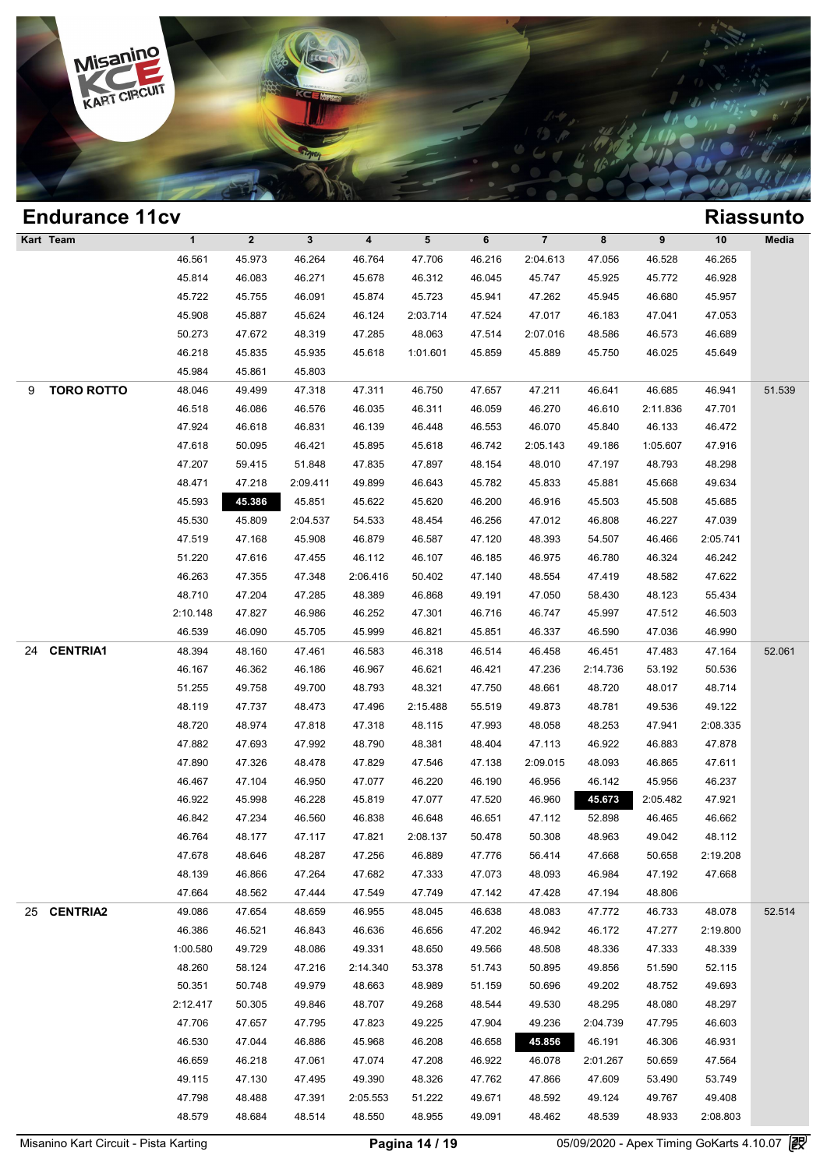

| <b>Endurance 11cv</b>  |              |              |              |          |                 |        |                |          |          |          | <b>Riassunto</b> |
|------------------------|--------------|--------------|--------------|----------|-----------------|--------|----------------|----------|----------|----------|------------------|
| Kart Team              | $\mathbf{1}$ | $\mathbf{2}$ | $\mathbf{3}$ | 4        | $5\phantom{.0}$ | 6      | $\overline{7}$ | 8        | 9        | 10       | Media            |
|                        | 46.561       | 45.973       | 46.264       | 46.764   | 47.706          | 46.216 | 2:04.613       | 47.056   | 46.528   | 46.265   |                  |
|                        | 45.814       | 46.083       | 46.271       | 45.678   | 46.312          | 46.045 | 45.747         | 45.925   | 45.772   | 46.928   |                  |
|                        | 45.722       | 45.755       | 46.091       | 45.874   | 45.723          | 45.941 | 47.262         | 45.945   | 46.680   | 45.957   |                  |
|                        | 45.908       | 45.887       | 45.624       | 46.124   | 2:03.714        | 47.524 | 47.017         | 46.183   | 47.041   | 47.053   |                  |
|                        | 50.273       | 47.672       | 48.319       | 47.285   | 48.063          | 47.514 | 2:07.016       | 48.586   | 46.573   | 46.689   |                  |
|                        | 46.218       | 45.835       | 45.935       | 45.618   | 1:01.601        | 45.859 | 45.889         | 45.750   | 46.025   | 45.649   |                  |
|                        | 45.984       | 45.861       | 45.803       |          |                 |        |                |          |          |          |                  |
| <b>TORO ROTTO</b><br>9 | 48.046       | 49.499       | 47.318       | 47.311   | 46.750          | 47.657 | 47.211         | 46.641   | 46.685   | 46.941   | 51.539           |
|                        | 46.518       | 46.086       | 46.576       | 46.035   | 46.311          | 46.059 | 46.270         | 46.610   | 2:11.836 | 47.701   |                  |
|                        | 47.924       | 46.618       | 46.831       | 46.139   | 46.448          | 46.553 | 46.070         | 45.840   | 46.133   | 46.472   |                  |
|                        | 47.618       | 50.095       | 46.421       | 45.895   | 45.618          | 46.742 | 2:05.143       | 49.186   | 1:05.607 | 47.916   |                  |
|                        | 47.207       | 59.415       | 51.848       | 47.835   | 47.897          | 48.154 | 48.010         | 47.197   | 48.793   | 48.298   |                  |
|                        | 48.471       | 47.218       | 2:09.411     | 49.899   | 46.643          | 45.782 | 45.833         | 45.881   | 45.668   | 49.634   |                  |
|                        | 45.593       | 45.386       | 45.851       | 45.622   | 45.620          | 46.200 | 46.916         | 45.503   | 45.508   | 45.685   |                  |
|                        | 45.530       | 45.809       | 2:04.537     | 54.533   | 48.454          | 46.256 | 47.012         | 46.808   | 46.227   | 47.039   |                  |
|                        | 47.519       | 47.168       | 45.908       | 46.879   | 46.587          | 47.120 | 48.393         | 54.507   | 46.466   | 2:05.741 |                  |
|                        | 51.220       | 47.616       | 47.455       | 46.112   | 46.107          | 46.185 | 46.975         | 46.780   | 46.324   | 46.242   |                  |
|                        | 46.263       | 47.355       | 47.348       | 2:06.416 | 50.402          | 47.140 | 48.554         | 47.419   | 48.582   | 47.622   |                  |
|                        | 48.710       | 47.204       | 47.285       | 48.389   | 46.868          | 49.191 | 47.050         | 58.430   | 48.123   | 55.434   |                  |
|                        | 2:10.148     | 47.827       | 46.986       | 46.252   | 47.301          | 46.716 | 46.747         | 45.997   | 47.512   | 46.503   |                  |
|                        | 46.539       | 46.090       | 45.705       | 45.999   | 46.821          | 45.851 | 46.337         | 46.590   | 47.036   | 46.990   |                  |
| <b>CENTRIA1</b><br>24  | 48.394       | 48.160       | 47.461       | 46.583   | 46.318          | 46.514 | 46.458         | 46.451   | 47.483   | 47.164   | 52.061           |
|                        | 46.167       | 46.362       | 46.186       | 46.967   | 46.621          | 46.421 | 47.236         | 2:14.736 | 53.192   | 50.536   |                  |
|                        | 51.255       | 49.758       | 49.700       | 48.793   | 48.321          | 47.750 | 48.661         | 48.720   | 48.017   | 48.714   |                  |
|                        | 48.119       | 47.737       | 48.473       | 47.496   | 2:15.488        | 55.519 | 49.873         | 48.781   | 49.536   | 49.122   |                  |
|                        | 48.720       | 48.974       | 47.818       | 47.318   | 48.115          | 47.993 | 48.058         | 48.253   | 47.941   | 2:08.335 |                  |
|                        | 47.882       | 47.693       | 47.992       | 48.790   | 48.381          | 48.404 | 47.113         | 46.922   | 46.883   | 47.878   |                  |
|                        | 47.890       | 47.326       | 48.478       | 47.829   | 47.546          | 47.138 | 2:09.015       | 48.093   | 46.865   | 47.611   |                  |
|                        | 46.467       | 47.104       | 46.950       | 47.077   | 46.220          | 46.190 | 46.956         | 46.142   | 45.956   | 46.237   |                  |
|                        | 46.922       | 45.998       | 46.228       | 45.819   | 47.077          | 47.520 | 46.960         | 45.673   | 2:05.482 | 47.921   |                  |
|                        | 46.842       | 47.234       | 46.560       | 46.838   | 46.648          | 46.651 | 47.112         | 52.898   | 46.465   | 46.662   |                  |
|                        | 46.764       | 48.177       | 47.117       | 47.821   | 2:08.137        | 50.478 | 50.308         | 48.963   | 49.042   | 48.112   |                  |
|                        | 47.678       | 48.646       | 48.287       | 47.256   | 46.889          | 47.776 | 56.414         | 47.668   | 50.658   | 2:19.208 |                  |
|                        | 48.139       | 46.866       | 47.264       | 47.682   | 47.333          | 47.073 | 48.093         | 46.984   | 47.192   | 47.668   |                  |
|                        | 47.664       | 48.562       | 47.444       | 47.549   | 47.749          | 47.142 | 47.428         | 47.194   | 48.806   |          |                  |
| 25 CENTRIA2            | 49.086       | 47.654       | 48.659       | 46.955   | 48.045          | 46.638 | 48.083         | 47.772   | 46.733   | 48.078   | 52.514           |
|                        | 46.386       | 46.521       | 46.843       | 46.636   | 46.656          | 47.202 | 46.942         | 46.172   | 47.277   | 2:19.800 |                  |
|                        | 1:00.580     | 49.729       | 48.086       | 49.331   | 48.650          | 49.566 | 48.508         | 48.336   | 47.333   | 48.339   |                  |
|                        | 48.260       | 58.124       | 47.216       | 2:14.340 | 53.378          | 51.743 | 50.895         | 49.856   | 51.590   | 52.115   |                  |
|                        | 50.351       | 50.748       | 49.979       | 48.663   | 48.989          | 51.159 | 50.696         | 49.202   | 48.752   | 49.693   |                  |
|                        | 2:12.417     | 50.305       | 49.846       | 48.707   | 49.268          | 48.544 | 49.530         | 48.295   | 48.080   | 48.297   |                  |
|                        | 47.706       | 47.657       | 47.795       | 47.823   | 49.225          | 47.904 | 49.236         | 2:04.739 | 47.795   | 46.603   |                  |
|                        | 46.530       | 47.044       | 46.886       | 45.968   | 46.208          | 46.658 | 45.856         | 46.191   | 46.306   | 46.931   |                  |
|                        | 46.659       | 46.218       | 47.061       | 47.074   | 47.208          | 46.922 | 46.078         | 2:01.267 | 50.659   | 47.564   |                  |
|                        | 49.115       | 47.130       | 47.495       | 49.390   | 48.326          | 47.762 | 47.866         | 47.609   | 53.490   | 53.749   |                  |
|                        | 47.798       | 48.488       | 47.391       | 2:05.553 | 51.222          | 49.671 | 48.592         | 49.124   | 49.767   | 49.408   |                  |
|                        | 48.579       | 48.684       | 48.514       | 48.550   | 48.955          | 49.091 | 48.462         | 48.539   | 48.933   | 2:08.803 |                  |
|                        |              |              |              |          |                 |        |                |          |          |          |                  |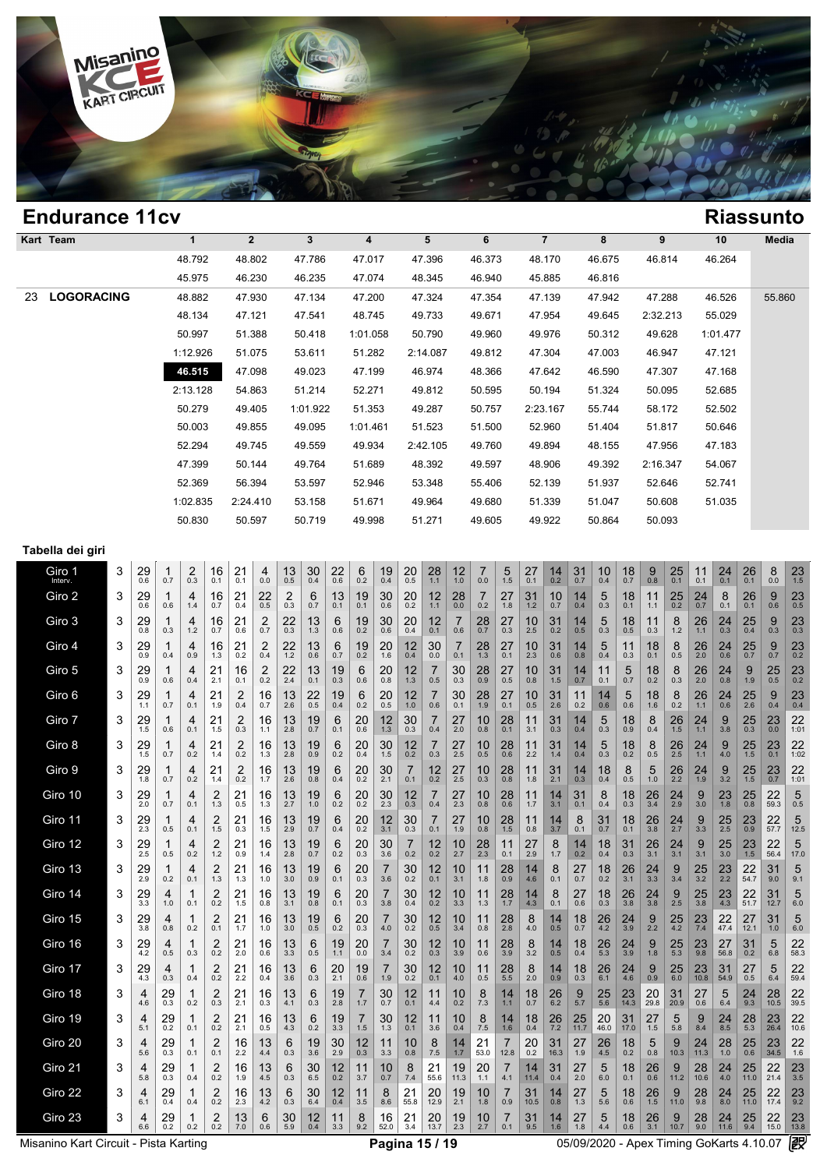

| <b>Endurance 11cv</b>   |          |                |          |          |          |        |                |        |          |          | <b>Riassunto</b> |
|-------------------------|----------|----------------|----------|----------|----------|--------|----------------|--------|----------|----------|------------------|
| Kart Team               | 1        | $\overline{2}$ | 3        | 4        | 5        | 6      | $\overline{7}$ | 8      | 9        | 10       | Media            |
|                         | 48.792   | 48.802         | 47.786   | 47.017   | 47.396   | 46.373 | 48.170         | 46.675 | 46.814   | 46.264   |                  |
|                         | 45.975   | 46.230         | 46.235   | 47.074   | 48.345   | 46.940 | 45.885         | 46.816 |          |          |                  |
| <b>LOGORACING</b><br>23 | 48.882   | 47.930         | 47.134   | 47.200   | 47.324   | 47.354 | 47.139         | 47.942 | 47.288   | 46.526   | 55.860           |
|                         | 48.134   | 47.121         | 47.541   | 48.745   | 49.733   | 49.671 | 47.954         | 49.645 | 2:32.213 | 55.029   |                  |
|                         | 50.997   | 51.388         | 50.418   | 1:01.058 | 50.790   | 49.960 | 49.976         | 50.312 | 49.628   | 1:01.477 |                  |
|                         | 1:12.926 | 51.075         | 53.611   | 51.282   | 2:14.087 | 49.812 | 47.304         | 47.003 | 46.947   | 47.121   |                  |
|                         | 46.515   | 47.098         | 49.023   | 47.199   | 46.974   | 48.366 | 47.642         | 46.590 | 47.307   | 47.168   |                  |
|                         | 2:13.128 | 54.863         | 51.214   | 52.271   | 49.812   | 50.595 | 50.194         | 51.324 | 50.095   | 52.685   |                  |
|                         | 50.279   | 49.405         | 1:01.922 | 51.353   | 49.287   | 50.757 | 2:23.167       | 55.744 | 58.172   | 52.502   |                  |
|                         | 50.003   | 49.855         | 49.095   | 1:01.461 | 51.523   | 51.500 | 52.960         | 51.404 | 51.817   | 50.646   |                  |
|                         | 52.294   | 49.745         | 49.559   | 49.934   | 2:42.105 | 49.760 | 49.894         | 48.155 | 47.956   | 47.183   |                  |
|                         | 47.399   | 50.144         | 49.764   | 51.689   | 48.392   | 49.597 | 48.906         | 49.392 | 2:16.347 | 54.067   |                  |
|                         | 52.369   | 56.394         | 53.597   | 52.946   | 53.348   | 55.406 | 52.139         | 51.937 | 52.646   | 52.741   |                  |
|                         | 1:02.835 | 2:24.410       | 53.158   | 51.671   | 49.964   | 49.680 | 51.339         | 51.047 | 50.608   | 51.035   |                  |
|                         | 50.830   | 50.597         | 50.719   | 49.998   | 51.271   | 49.605 | 49.922         | 50.864 | 50.093   |          |                  |

### **Tabella dei giri**

| rabella del giri  |   |           |               |            |                                |                       |              |               |           |               |                        |                       |                       |            |             |                       |                     |                  |                |                      |                     |                     |                            |                     |               |                  |                     |                     |                     |
|-------------------|---|-----------|---------------|------------|--------------------------------|-----------------------|--------------|---------------|-----------|---------------|------------------------|-----------------------|-----------------------|------------|-------------|-----------------------|---------------------|------------------|----------------|----------------------|---------------------|---------------------|----------------------------|---------------------|---------------|------------------|---------------------|---------------------|---------------------|
| Giro 1<br>Interv. | 3 | 29<br>0.6 | 1<br>0.7      | 2<br>0.3   | 16<br>0.1                      | 21<br>0.1             | 4<br>0.0     | $13_{0.5}$    | 30<br>0.4 | $^{22}_{0.6}$ | $6_{0.2}$              | $19 \atop 0.4$        | $^{20}_{0.5}$         | 28<br>1.1  | 12<br>1.0   | $\overline{7}$<br>0.0 | $\frac{5}{1.5}$     | 27<br>0.1        | $14_{0.2}$     | $31$ 0.7             | 10<br>0.4           | $18$ <sub>0.7</sub> | $9$ $_{\scriptstyle{0.8}}$ | $25$ <sub>0.1</sub> | 11<br>0.1     | $^{24}_{0.1}$    | $^{26}_{0.1}$       | 8<br>0.0            | 23<br>1.5           |
| Giro 2            | 3 | 29<br>0.6 | 0.6           | 4<br>1.4   | 16<br>0.7                      | 21<br>0.4             | 22<br>0.5    | 2<br>0.3      | 6<br>0.7  | 13<br>0.1     | 19<br>0.1              | 30<br>0.6             | 20<br>0.2             | 12<br>1.1  | 28<br>0.0   | $\overline{7}$<br>0.2 | 27<br>1.8           | 31<br>1.2        | 10<br>0.7      | 14<br>0.4            | 5<br>0.3            | 18<br>0.1           | 11<br>1.1                  | 25<br>0.2           | 24<br>0.7     | 8<br>0.1         | 26<br>0.1           | 9<br>0.6            | 23<br>0.5           |
| Giro 3            | 3 | 29<br>0.8 | 1<br>0.3      | 4<br>$1.2$ | 16<br>0.7                      | 21<br>0.6             | 2<br>0.7     | 22<br>0.3     | 13<br>1.3 | 6<br>0.6      | 19<br>0.2              | 30 <sub>0.6</sub>     | 20<br>0.4             | 12<br>0.1  | 7<br>0.6    | 28<br>0.7             | 27<br>0.3           | 10<br>2.5        | 31<br>0.2      | 14<br>0.5            | 5<br>0.3            | 18<br>0.5           | 11<br>0.3                  | 8<br>1.2            | 26<br>$1.1$   | 24<br>0.3        | $\frac{25}{0.4}$    | $9_{0.3}$           | $23$ <sub>0.3</sub> |
| Giro 4            | 3 | 29<br>0.9 | 1<br>0.4      | 4<br>0.9   | 16<br>1.3                      | 21<br>0.2             | 2<br>0.4     | 22<br>1.2     | 13<br>0.6 | 6<br>0.7      | 19<br>0.2              | 20<br>1.6             | 12<br>0.4             | 30<br>0.0  | 7<br>0.1    | 28<br>1.3             | 27<br>0.1           | 10<br>2.3        | 31<br>0.6      | 14<br>0.8            | 5<br>0.4            | 11<br>0.3           | 18<br>0.1                  | 8<br>0.5            | 26<br>2.0     | 24<br>0.6        | 25<br>0.7           | 9 0.7               | 23<br>0.2           |
| Giro 5            | 3 | 29<br>0.9 | 0.6           | 4<br>0.4   | 21<br>2.1                      | 16<br>0.1             | $^{2}_{0.2}$ | $^{22}_{2.4}$ | 13<br>0.1 | $19_{0.3}$    | $6_{0.6}$              | $^{20}_{0.8}$         | 12<br>1.3             | 7<br>0.5   | 30<br>0.3   | $^{28}_{0.9}$         | $27_{0.5}$          | 10<br>0.8        | 31<br>1.5      | 14<br>0.7            | 11<br>0.1           | 5<br>0.7            | $18_{0.2}$                 | $_{0.3}^{8}$        | 26<br>2.0     | $^{24}_{0.8}$    | 9<br>1.9            | $25$ <sub>0.5</sub> | $23$ <sub>0.2</sub> |
| Giro 6            | 3 | 29<br>1.1 | 1<br>0.7      | 4<br>0.1   | 21<br>1.9                      | 2<br>0.4              | 16<br>0.7    | 13<br>2.6     | 22<br>0.5 | 19<br>0.4     | 6<br>0.2               | 20<br>0.5             | 12<br>$1.0$           | 7<br>0.6   | 30<br>0.1   | 28<br>1.9             | 27<br>0.1           | 10<br>0.5        | 31<br>2.6      | 11<br>0.2            | 14<br>0.6           | 5<br>0.6            | 18<br>1.6                  | 8<br>0.2            | 26<br>$1.1$   | 24<br>0.6        | 25<br>2.6           | 9<br>0.4            | 23<br>0.4           |
| Giro 7            | 3 | 29<br>1.5 | 1<br>0.6      | 4<br>0.1   | 21<br>1.5                      | 2<br>0.3              | 16<br>1.1    | 13<br>2.8     | 19<br>0.7 | 6<br>0.1      | 20<br>0.6              | 12<br>1.3             | 30<br>0.3             | 7<br>0.4   | 27<br>2.0   | 10<br>0.8             | 28<br>0.1           | 11<br>3.1        | 31<br>0.3      | 14<br>0.4            | 5<br>0.3            | 18<br>0.9           | 8<br>0.4                   | 26<br>1.5           | 24<br>1.1     | 9<br>3.8         | 25<br>0.3           | 23<br>0.0           | 22<br>1:01          |
| Giro 8            | 3 | 29<br>1.5 | 1<br>0.7      | 4<br>0.2   | 21<br>1.4                      | $^{2}_{0.2}$          | 16<br>1.3    | 13<br>2.8     | 19<br>0.9 | 6<br>0.2      | $^{20}_{0.4}$          | 30<br>1.5             | 12<br>0.2             | 7<br>0.3   | $27_{2.5}$  | $10_{0.5}$            | $^{28}_{0.6}$       | 11<br>2.2        | 31<br>1.4      | 14<br>0.4            | 5<br>0.3            | 18<br>0.2           | 8<br>0.5                   | 26<br>2.5           | 24<br>1.1     | 9<br>4.0         | $25$ <sub>1.5</sub> | 23<br>0.1           | 22<br>1:02          |
| Giro 9            | 3 | 29<br>1.8 | 1<br>0.7      | 4<br>0.2   | 21<br>1.4                      | $\overline{2}$<br>0.2 | 16<br>1.7    | 13<br>2.6     | 19<br>0.8 | 6<br>0.4      | 20<br>0.2              | 30<br>2.1             | $\overline{7}$<br>0.1 | 12<br>0.2  | 27<br>2.5   | 10<br>0.3             | 28<br>0.8           | 11<br>1.8        | 31<br>2.1      | 14<br>0.3            | 18<br>0.4           | 8<br>0.5            | 5<br>1.0                   | 26<br>2.2           | 24<br>1.9     | 9<br>3.2         | 25<br>1.5           | 23<br>0.7           | 22<br>1:01          |
| Giro 10           | 3 | 29<br>2.0 | 1<br>0.7      | 4<br>0.1   | 2<br>1.3                       | 21<br>0.5             | 16<br>1.3    | 13<br>2.7     | 19<br>1.0 | 6<br>0.2      | 20<br>$0.\overline{2}$ | $30$ <sub>2.3</sub>   | 12<br>0.3             | 7<br>0.4   | 27<br>2.3   | 10<br>0.8             | 28<br>0.6           | 11<br>1.7        | 14<br>3.1      | 31<br>0.1            | 8<br>0.4            | 18<br>0.3           | $\frac{26}{3.4}$           | 24<br>2.9           | 9<br>3.0      | 23<br>1.8        | 25<br>0.8           | 22<br>59.3          | 5<br>0.5            |
| Giro 11           | 3 | 29<br>2.3 | 1<br>0.5      | 4<br>0.1   | 2<br>1.5                       | 21<br>0.3             | 16<br>1.5    | 13<br>2.9     | 19<br>0.7 | 6<br>0.4      | 20<br>0.2              | 12<br>3.1             | 30<br>0.3             | 7<br>0.1   | 27<br>1.9   | 10<br>0.8             | 28<br>1.5           | 11<br>0.8        | 14<br>3.7      | 8<br>0.1             | 31<br>0.7           | 18<br>0.1           | 26<br>3.8                  | 24<br>2.7           | 9<br>3.3      | $\frac{25}{2.5}$ | 23<br>0.9           | 22<br>57.7          | 5<br>12.5           |
| Giro 12           | 3 | 29<br>2.5 | 1<br>0.5      | 4<br>0.2   | $\overline{\mathbf{c}}$<br>1.2 | 21<br>0.9             | 16<br>1.4    | 13<br>2.8     | 19<br>0.7 | 6<br>0.2      | $^{20}_{0.3}$          | $30_{3.6}$            | 7<br>0.2              | 12<br>0.2  | 10<br>2.7   | $^{28}_{2.3}$         | 11<br>0.1           | $^{27}_{2.9}$    | 8<br>1.7       | 14<br>0.2            | 18<br>0.4           | 31<br>0.3           | 26<br>3.1                  | 24<br>3.1           | 9<br>3.1      | $\frac{25}{3.0}$ | $23$ <sub>1.5</sub> | 22<br>56.4          | 5<br>17.0           |
| Giro 13           | 3 | 29<br>2.9 | 1<br>0.2      | 4<br>0.1   | 2<br>1.3                       | 21<br>1.3             | 16<br>1.0    | 13<br>3.0     | 19<br>0.9 | 6<br>0.1      | 20<br>0.3              | 7<br>3.6              | 30<br>0.2             | 12<br>0.1  | 10<br>3.1   | 11<br>1.8             | 28<br>0.9           | 14<br>4.6        | 8<br>0.1       | 27<br>0.7            | 18<br>0.2           | 26<br>3.1           | 24<br>3.3                  | 9<br>3.4            | 25<br>3.2     | 23<br>2.2        | 22<br>54.7          | 31<br>9.0           | 5<br>9.1            |
| Giro 14           | 3 | 29<br>3.3 | 4<br>1.0      | 1<br>0.1   | $^{2}_{0.2}$                   | $^{21}_{1.5}$         | 16<br>0.8    | 13<br>3.1     | 19<br>0.8 | 6<br>0.1      | $^{20}_{0.3}$          | $\overline{7}$<br>3.8 | 30<br>0.4             | 12<br>0.2  | 10<br>3.3   | 11<br>1.3             | $28$ <sub>1.7</sub> | $\frac{14}{4.3}$ | 8<br>0.1       | 27<br>0.6            | 18<br>0.3           | 26<br>3.8           | 24<br>3.8                  | 9<br>2.5            | 25<br>3.8     | 23<br>4.3        | 22<br>51.7          | 31<br>12.7          | 5<br>$6.0\,$        |
| Giro 15           | 3 | 29<br>3.8 | 4<br>0.8      | 1<br>0.2   | 2<br>0.1                       | 21<br>1.7             | 16<br>1.0    | 13<br>3.0     | 19<br>0.5 | 6<br>0.2      | 20<br>0.3              | 7<br>4.0              | 30<br>0.2             | 12<br>0.5  | 10<br>3.4   | 11<br>0.8             | $^{28}_{2.8}$       | $8_{4.0}$        | 14<br>0.5      | 18<br>0.7            | $^{26}_{4.2}$       | $\frac{24}{3.9}$    | $\underset{2.2}{9}$        | $25$<br>4.2         | $^{23}_{7.4}$ | 22<br>47.4       | 27<br>12.1          | 31<br>1.0           | 5<br>6.0            |
| Giro 16           | 3 | 29<br>4.2 | 4<br>0.5      | 1<br>0.3   | 2<br>0.2                       | 21<br>2.0             | 16<br>0.6    | 13<br>3.3     | 6<br>0.5  | 19<br>1.1     | 20<br>0.0              | $\overline{7}$<br>3.4 | 30<br>0.2             | 12<br>0.3  | 10<br>3.9   | 11<br>0.6             | 28<br>3.9           | 8<br>3.2         | 14<br>0.5      | 18<br>0.4            | 26<br>5.3           | 24<br>3.9           | 9<br>1.8                   | 25<br>5.3           | 23<br>9.8     | 27<br>56.8       | 31<br>0.2           | 5<br>6.8            | 22<br>58.3          |
| Giro 17           | 3 | 29<br>4.3 | 4<br>0.3      | 1<br>0.4   | $^{2}_{0.2}$                   | $^{21}_{2.2}$         | 16<br>0.4    | 13<br>3.6     | 6<br>0.3  | 20<br>2.1     | 19<br>0.6              | $\overline{7}$<br>1.9 | 30<br>0.2             | 12<br>0.1  | 10<br>4.0   | 11<br>0.5             | $28$ <sub>5.5</sub> | 8<br>2.0         | 14<br>0.9      | 18<br>0.3            | 26<br>6.1           | 24<br>4.6           | 9<br>0.9                   | 25<br>6.0           | 23<br>10.8    | 31<br>54.9       | 27<br>0.5           | 5<br>6.4            | 22<br>59.4          |
| Giro 18           | 3 | 4<br>4.6  | 29<br>0.3     | 1<br>0.2   | 2<br>0.3                       | 21<br>2.1             | 16<br>0.3    | 13<br>4.1     | 6<br>0.3  | 19<br>2.8     | 7<br>1.7               | 30<br>0.7             | 12<br>0.1             | 11<br>4.4  | 10<br>0.2   | 8<br>7.3              | 14<br>1.1           | 18<br>0.7        | 26<br>6.2      | $\frac{9}{5.7}$      | $25$ <sub>5.6</sub> | 23<br>14.3          | 20<br>29.8                 | 31<br>20.9          | 27<br>0.6     | 5<br>6.4         | 24<br>9.3           | 28<br>10.5          | 22<br>39.5          |
| Giro 19           | 3 | 4<br>5.1  | $^{29}_{0.2}$ | 1<br>0.1   | $^{2}_{0.2}$                   | $^{21}_{2.1}$         | 16<br>0.5    | 13<br>4.3     | 6<br>0.2  | $19_{3.3}$    | $\frac{7}{1.5}$        | $30$ <sub>1.3</sub>   | 12<br>0.1             | 11<br>3.6  | 10<br>0.4   | $\frac{8}{7.5}$       | $14 \n1.6$          | $18_{0.4}$       | $26 \atop 7.2$ | $25$ <sub>11.7</sub> | $^{20}_{46.0}$      | 31<br>17.0          | 27<br>1.5                  | 5<br>5.8            | 9<br>8.4      | $^{24}_{8.5}$    | $28$ <sub>5.3</sub> | 23<br>26.4          | 22<br>10.6          |
| Giro 20           | 3 | 4<br>5.6  | 29<br>0.3     | 1<br>0.1   | 2<br>0.1                       | 16<br>2.2             | 13<br>4.4    | 6<br>0.3      | 19<br>3.6 | 30<br>2.9     | 12<br>0.3              | 11<br>3.3             | 10<br>0.8             | 8<br>7.5   | 14<br>$1.7$ | 21<br>53.0            | 7<br>12.8           | 20<br>0.2        | 31<br>16.3     | 27<br>1.9            | 26<br>4.5           | 18<br>0.2           | 5<br>0.8                   | 9<br>10.3           | 24<br>11.3    | 28<br>1.0        | 25<br>0.6           | 23<br>34.5          | 22<br>1.6           |
| Giro 21           | 3 | 4<br>5.8  | 29<br>0.3     | 1<br>0.4   | 2<br>0.2                       | 16<br>1.9             | 13<br>4.5    | 6<br>0.3      | 30<br>6.5 | 12<br>0.2     | 11<br>3.7              | 10<br>0.7             | 8<br>7.4              | 21<br>55.6 | 19<br>11.3  | 20<br>1.1             | 7<br>4.1            | 14<br>11.4       | 31<br>0.4      | 27<br>2.0            | 5<br>6.0            | 18<br>0.1           | 26<br>0.6                  | 9<br>11.2           | 28<br>10.6    | 24<br>4.0        | 25<br>11.0          | 22<br>21.4          | 23<br>3.5           |
| Giro 22           | 3 | 4<br>6.1  | 29<br>0.4     | 1<br>0.4   | $^{2}_{0.2}$                   | 16<br>2.3             | 13<br>4.2    | 6<br>0.3      | 30<br>6.4 | 12<br>0.4     | 11<br>3.5              | 8<br>8.6              | 21<br>55.8            | 20<br>12.9 | 19<br>2.1   | 10<br>1.8             | 7<br>0.9            | 31<br>10.5       | 14<br>0.8      | 27<br>1.3            | 5<br>5.6            | 18<br>0.6           | $^{26}_{1.5}$              | 9<br>11.0           | 28<br>9.8     | 24<br>8.0        | 25<br>11.0          | $22$<br>17.4        | $23$ <sub>9.2</sub> |
| Giro 23           | 3 | 4<br>6.6  | 29<br>0.2     | 0.2        | 2<br>0.2                       | 13<br>7.0             | 6<br>0.6     | 30<br>5.9     | 12<br>0.4 | 11<br>3.3     | 8<br>9.2               | 16<br>52.0            | 21<br>3.4             | 20<br>13.7 | 19<br>2.3   | 10<br>2.7             | 7<br>0.1            | 31<br>9.5        | 14<br>1.6      | 27<br>1.8            | 5<br>4.4            | 18<br>0.6           | 26<br>3.1                  | 9<br>10.7           | 28<br>9.0     | 24<br>11.6       | 25<br>9.4           | 22<br>15.0          | 23<br>13.8          |

Misanino Kart Circuit - Pista Karting **Company of Company Pagina 15 / 19** 05/09/2020 - Apex Timing GoKarts 4.10.07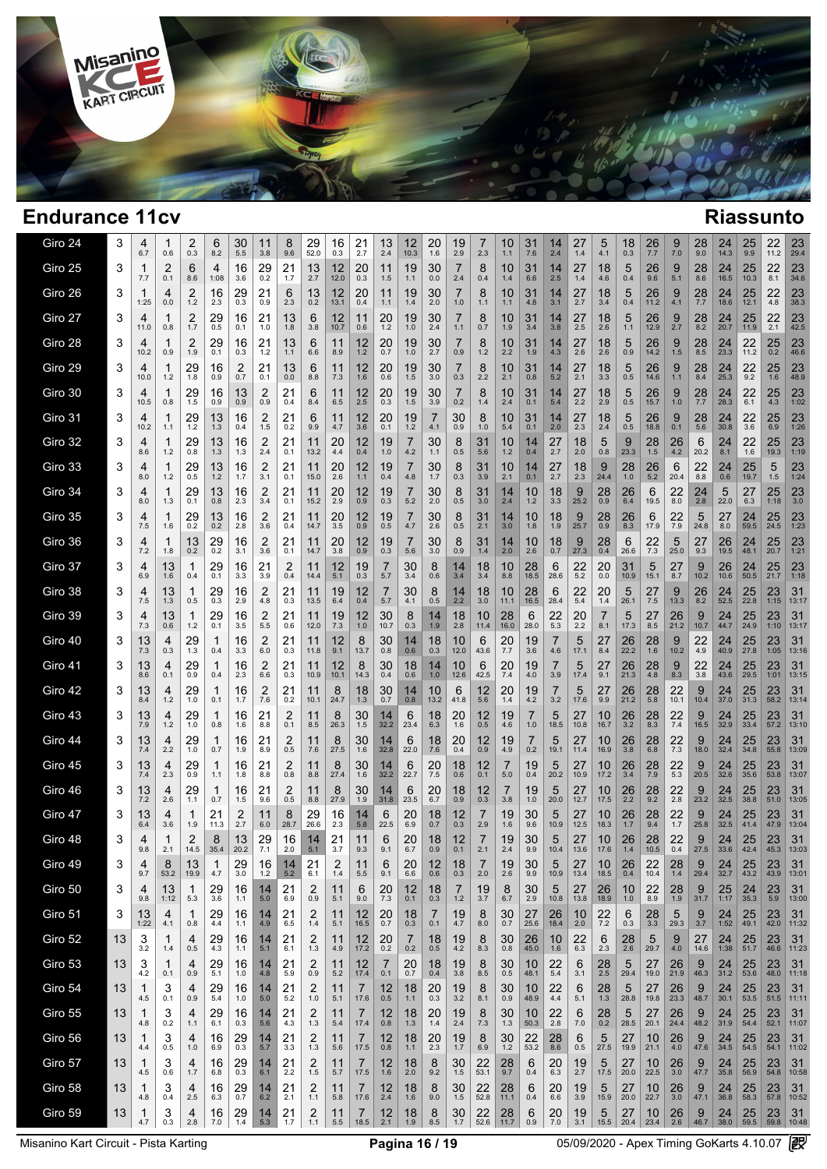

T

| Giro 24 | 3  | 4<br>6.7            | 1<br>0.6   | 2<br>0.3                     | 6<br>8.2              | 30<br>5.5     | 11<br>3.8             | 8<br>9.6      | 29<br>52.0      | 16<br>0.3          | 21<br>2.7   | 13<br>2.4      | 12<br>10.3      | 20<br>1.6     | 19<br>2.9  | 2.3        | 10<br>1.1   | 31<br>7.6  | 14<br>2.4     | 27<br>1.4  | 5<br>4.1   | 18<br>0.3          | 26<br>7.7  | 9,7.0             | 28<br>9.0  | 24<br>14.3           | 25<br>9.9  | 22<br>11.2             | 23<br>29.4       |
|---------|----|---------------------|------------|------------------------------|-----------------------|---------------|-----------------------|---------------|-----------------|--------------------|-------------|----------------|-----------------|---------------|------------|------------|-------------|------------|---------------|------------|------------|--------------------|------------|-------------------|------------|----------------------|------------|------------------------|------------------|
| Giro 25 | 3  | 1<br>7.7            | 2<br>0.1   | 6<br>8.6                     | 4<br>1:08             | 16<br>3.6     | 29<br>0.2             | 21<br>1.7     | 13<br>2.7       | 12<br>12.0         | 20<br>0.3   | 11<br>1.5      | 19<br>1.1       | 30<br>0.0     | 7<br>2.4   | 8<br>0.4   | 10<br>1.4   | 31<br>6.6  | 14<br>2.5     | 27<br>1.4  | 18<br>4.6  | 5<br>0.4           | 26<br>9.6  | 9<br>5.1          | 28<br>8.6  | 24<br>16.5           | 25<br>10.3 | 22<br>8.1              | 23<br>34.6       |
| Giro 26 | 3  | 1<br>1:25           | 4<br>0.0   | 2<br>1.2                     | 16<br>2.3             | 29<br>0.3     | 21<br>0.9             | 6<br>2.3      | 13<br>0.2       | 12<br>13.1         | 20<br>0.4   | 11<br>1.1      | 19<br>1.4       | 30<br>2.0     | 7<br>1.0   | 8<br>1.1   | 10<br>1.1   | 31<br>4.8  | 14<br>3.1     | 27<br>2.7  | 18<br>3.4  | 5<br>0.4           | 26<br>11.2 | 9<br>4.1          | 28<br>7.7  | 24<br>18.6           | 25<br>12.1 | 22<br>4.8              | 23<br>38.3       |
| Giro 27 | 3  | 4<br>11.0           | 0.8        | 2<br>1.7                     | 29<br>0.5             | 16<br>0.1     | 21<br>1.0             | 13<br>1.8     | 6<br>3.8        | 12<br>10.7         | 11<br>0.6   | 20<br>1.2      | 19<br>1.0       | 30<br>2.4     | 7<br>1.1   | 8<br>0.7   | 10<br>1.9   | 31<br>3.4  | 14<br>3.8     | 27<br>2.5  | 18<br>2.6  | 5<br>1.1           | 26<br>12.9 | 9<br>2.7          | 28<br>8.2  | 24<br>20.7           | 25<br>11.9 | 22<br>2.1              | 23<br>42.5       |
| Giro 28 | 3  | 4<br>10.2           | 0.9        | 2<br>1.9                     | 29<br>0.1             | 16<br>0.3     | 21<br>1.2             | 13<br>1.1     | 6<br>6.6        | 11<br>8.9          | 12<br>1.2   | 20<br>0.7      | 19<br>1.0       | 30<br>2.7     | 7<br>0.9   | 8<br>1.2   | 10<br>2.2   | 31<br>1.9  | 14<br>4.3     | 27<br>2.6  | 18<br>2.6  | 5<br>0.9           | 26<br>14.2 | 9<br>1.5          | 28<br>8.5  | 24<br>23.3           | 22<br>11.2 | $25$ <sub>0.2</sub>    | 23<br>46.6       |
| Giro 29 | 3  | 4<br>10.0           | 1.2        | 29<br>1.8                    | 16<br>0.9             | 2<br>0.7      | 21<br>0.1             | 13<br>0.0     | 6<br>8.8        | 11<br>7.3          | 12<br>1.6   | 20<br>0.6      | 19<br>1.5       | 30<br>3.0     | 7<br>0.3   | 8<br>2.2   | 10<br>2.1   | 31<br>0.8  | 14<br>5.2     | 27<br>2.1  | 18<br>3.3  | 5<br>0.5           | 26<br>14.6 | 9<br>1.1          | 28<br>8.4  | 24<br>25.3           | 22<br>9.2  | 25<br>$1.\overline{6}$ | 23<br>48.9       |
| Giro 30 | 3  | 4<br>10.5           | 0.8        | 29<br>1.5                    | 16<br>0.9             | 13<br>0.9     | 2<br>0.9              | 21<br>0.4     | 6<br>8.4        | 11<br>6.5          | 12<br>2.5   | 20<br>0.3      | 19<br>1.5       | 30<br>3.9     | 0.2        | 8<br>1.4   | 10<br>2.4   | 31<br>0.1  | 14<br>5.4     | 27<br>2.2  | 18<br>2.9  | 5<br>0.5           | 26<br>15.7 | 9<br>1.0          | 28<br>7.7  | 24<br>28.3           | 22<br>6.1  | 25<br>4.3              | 23<br>1:02       |
| Giro 31 | 3  | 4<br>10.2           | 1.1        | 29<br>$1.2$                  | 13<br>1.3             | 16<br>0.4     | 2<br>1.5              | 21<br>0.2     | 6<br>9.9        | 11<br>4.7          | 12<br>3.6   | 20<br>0.1      | 19<br>1.2       | 4.1           | 30<br>0.9  | 8<br>1.0   | 10<br>5.4   | 31<br>0.1  | 14<br>2.0     | 27<br>2.3  | 18<br>2.4  | 5<br>0.5           | 26<br>18.8 | 9<br>0.1          | 28<br>5.6  | 24<br>30.8           | 22<br>3.6  | 25<br>6.9              | 23<br>1:26       |
| Giro 32 | 3  | 4<br>8.6            | 1.2        | 29<br>0.8                    | 13<br>1.3             | 16<br>1.3     | $\overline{2}$<br>2.4 | 21<br>0.1     | 11<br>13.2      | 20<br>4.4          | 12<br>0.4   | 19<br>1.0      | 4.2             | 30<br>1.1     | 8<br>0.5   | 31<br>5.6  | 10<br>1.2   | 14<br>0.4  | 27<br>2.7     | 18<br>2.0  | 5<br>0.8   | 9<br>23.3          | 28<br>1.5  | 26<br>4.2         | 6<br>20.2  | 24<br>8.1            | 22<br>1.6  | 25<br>19.3             | 23<br>1:19       |
| Giro 33 | 3  | 4<br>8.0            | 1<br>1.2   | 29<br>0.5                    | 13<br>1.2             | 16<br>1.7     | 2<br>3.1              | 21<br>0.1     | 11<br>15.0      | 20<br>2.6          | 12<br>1.1   | 19<br>0.4      | 4.8             | 30<br>1.7     | 8<br>0.3   | 31<br>3.9  | 10<br>2.1   | 14<br>0.1  | 27<br>2.7     | 18<br>2.3  | 9<br>24.4  | 28<br>1.0          | 26<br>5.2  | 6<br>20.4         | 22<br>8.8  | 24<br>0.6            | 25<br>19.7 | 5<br>1.5               | 23<br>1:24       |
| Giro 34 | 3  | 4<br>8.0            | 1<br>1.3   | 29<br>0.1                    | 13<br>0.8             | 16<br>2.3     | 2<br>3.4              | 21<br>0.1     | 11<br>15.2      | 20<br>2.9          | 12<br>0.9   | 19<br>0.3      | 7<br>5.2        | 30<br>2.0     | 8<br>0.5   | 31<br>3.0  | 14<br>2.4   | 10<br>1.2  | 18<br>3.3     | 9<br>25.2  | 28<br>0.9  | 26<br>6.4          | 6<br>19.5  | 22<br>8.0         | 24<br>2.8  | 5<br>22.0            | 27<br>6.3  | 25<br>1:18             | 23<br>3.0        |
| Giro 35 | 3  | 4<br>7.5            | 1<br>1.6   | 29<br>0.2                    | 13<br>0.2             | 16<br>2.8     | 2<br>3.6              | 21<br>0.4     | 11<br>14.7      | 20<br>3.5          | 12<br>0.9   | 19<br>0.5      | 4.7             | 30<br>2.6     | 8<br>0.5   | 31<br>2.1  | 14<br>3.0   | 10<br>1.8  | 18<br>1.9     | 9<br>25.7  | 28<br>0.9  | 26<br>8.3          | 6<br>17.9  | 22<br>7.9         | 5<br>24.8  | 27<br>8.0            | 24<br>59.5 | 25<br>24.5             | 23<br>1:23       |
| Giro 36 | 3  | 4<br>7.2            | 1.8        | 13<br>0.2                    | 29<br>0.2             | 16<br>3.1     | 2<br>3.6              | 21<br>0.1     | 11<br>14.7      | 20<br>3.8          | 12<br>0.9   | 19<br>0.3      | 5.6             | 30<br>3.0     | 8<br>0.9   | 31<br>1.4  | 14<br>2.0   | 10<br>2.6  | 18<br>0.7     | 9<br>27.3  | 28<br>0.4  | 6<br>26.6          | 22<br>7.3  | 5<br>25.0         | 27<br>9.3  | 26<br>19.5           | 24<br>48.1 | 25<br>20.7             | 23<br>1:21       |
| Giro 37 | 3  | 4<br>6.9            | 13<br>1.6  | 1<br>0.4                     | 29<br>0.1             | 16<br>3.3     | 21<br>3.9             | 2<br>0.4      | 11<br>14.4      | 12<br>5.1          | 19<br>0.3   | 7<br>5.7       | 30<br>3.4       | 8<br>0.6      | 14<br>3.4  | 18<br>3.4  | 10<br>8.8   | 28<br>18.5 | 6<br>28.6     | 22<br>5.2  | 20<br>0.0  | 31<br>10.9         | 5<br>15.1  | 27<br>8.7         | 9<br>10.2  | 26<br>10.6           | 24<br>50.5 | 25<br>21.7             | 23<br>1:18       |
| Giro 38 | 3  | 4<br>7.5            | 13<br>1.3  | 1<br>0.5                     | 29<br>0.3             | 16<br>2.9     | 2<br>4.8              | 21<br>0.3     | 11<br>13.5      | 19<br>6.4          | 12<br>0.4   | 5.7            | 30<br>4.1       | 8<br>0.5      | 14<br>2.2  | 18<br>3.0  | 10<br>11.1  | 28<br>16.5 | 6<br>28.4     | 22<br>5.4  | 20<br>1.4  | 5<br>26.1          | 27<br>7.5  | 9<br>13.3         | 26<br>8.2  | 24<br>52.5           | 25<br>22.8 | 23<br>1:15             | 31<br>13:17      |
| Giro 39 | 3  | 4<br>7.3            | 13<br>0.6  | 1<br>$1.2$                   | 29<br>0.1             | 16<br>3.5     | 2<br>5.5              | 21<br>0.6     | 11<br>12.0      | 19<br>7.3          | 12<br>1.0   | 30<br>10.7     | 8<br>0.3        | 14<br>1.9     | 18<br>2.8  | 10<br>11.4 | 28<br>16.0  | 6<br>28.0  | 22<br>5.3     | 20<br>2.2  | 7<br>8.1   | 5<br>17.3          | 27<br>8.5  | 26<br>21.2        | 9<br>10.7  | 24<br>44.7           | 25<br>24.9 | 23<br>1:10             | 31<br>13:17      |
| Giro 40 | 3  | 13<br>7.3           | 4<br>0.3   | 29<br>1.3                    | 1<br>0.4              | 16<br>3.3     | 2<br>6.0              | 21<br>0.3     | 11<br>11.8      | 12<br>9.1          | 8<br>13.7   | 30<br>0.8      | 14<br>0.6       | 18<br>0.3     | 10<br>12.0 | 6<br>43.6  | 20<br>7.7   | 19<br>3.6  | 7<br>4.6      | 5<br>17.1  | 27<br>8.4  | 26<br>22.2         | 28<br>1.6  | 9<br>10.2         | 22<br>4.9  | 24<br>40.9           | 25<br>27.8 | 23<br>1:05             | 31<br>13:16      |
| Giro 41 | 3  | 13<br>8.6           | 4<br>0.1   | 29<br>0.9                    | 1<br>0.4              | 16<br>2.3     | 2<br>6.6              | 21<br>0.3     | 11<br>10.9      | 12<br>10.1         | 8<br>14.3   | 30<br>0.4      | 18<br>0.6       | 14<br>1.0     | 10<br>12.6 | 6<br>42.5  | 20<br>7.4   | 19<br>4.0  | 7<br>3.9      | 5<br>17.4  | 27<br>9.1  | 26<br>21.3         | 28<br>4.8  | 9<br>8.3          | 22<br>3.8  | 24<br>43.6           | 25<br>29.5 | 23<br>1:01             | 31<br>13:15      |
| Giro 42 | 3  | 13<br>8.4           | 4<br>1.2   | 29<br>1.0                    | 1<br>0.1              | 16<br>1.7     | 2<br>7.6              | 21<br>0.2     | 11<br>10.1      | 8<br>24.7          | 18<br>1.3   | 30<br>0.7      | 14<br>0.8       | 10<br>13.2    | 6<br>41.8  | 12<br>5.6  | 20<br>1.4   | 19<br>4.2  | 3.2           | 5<br>17.6  | 27<br>9.9  | 26<br>21.2         | 28<br>5.8  | 22<br>10.1        | 9<br>10.4  | 24<br>37.0           | 25<br>31.3 | 23<br>58.2             | 31<br>13:14      |
| Giro 43 | 3  | 13<br>7.9           | 4<br>1.2   | 29<br>1.0                    | 1<br>0.8              | 16<br>1.6     | 21<br>8.8             | 2<br>0.1      | 11<br>8.5       | 8<br>26.3          | 30<br>1.5   | 14<br>32.2     | 6<br>23.4       | 18<br>6.3     | 20<br>1.6  | 12<br>0.5  | 19<br>4.6   | 1.0        | 5<br>18.5     | 27<br>10.8 | 10<br>16.7 | 26<br>3.2          | 28<br>8.3  | 22<br>7.4         | 9<br>16.5  | 24<br>32.9           | 25<br>33.4 | 23<br>57.2             | 31<br>13:10      |
| Giro 44 | 3  | 13<br>7.4           | 4<br>2.2   | 29<br>1.0                    | 1<br>0.7              | 16<br>1.9     | 21<br>8.9             | 2<br>0.5      | 11<br>7.6       | 8<br>27.5          | 30<br>1.6   | 14<br>32.8     | 6<br>22.0       | 18<br>7.6     | 20<br>0.4  | 12<br>0.9  | 19<br>4.9   | 7<br>0.2   | 5<br>19.1     | 27<br>11.4 | 10<br>16.9 | 26<br>3.8          | 28<br>6.8  | 22<br>7.3         | 9<br>18.0  | 24<br>32.4           | 25<br>34.8 | 23<br>55.8             | 31<br>13:09      |
| Giro 45 | 3  | 13<br>7.4           | 4<br>2.3   | 29<br>0.9                    | 1<br>1.1              | 16<br>1.8     | 21<br>8.8             | 2<br>0.8      | 11<br>8.8       | 8<br>27.4          | 30<br>1.6   | 14<br>32.2     | 6<br>22.7       | 20<br>7.5     | 18<br>0.6  | 12<br>0.1  | 7<br>5.0    | 19<br>0.4  | 5<br>20.2     | 27<br>10.9 | 10<br>17.2 | 26<br>3.4          | 28<br>7.9  | 22<br>5.3         | 9<br>20.5  | 24<br>32.6           | 25<br>35.6 | 23<br>53.8             | 31<br>13:07      |
| Giro 46 | 3  | 13<br>7.2           | 4<br>2.6   | 29<br>1.1                    | 1<br>0.7              | 16<br>1.5     | 21<br>9.6             | 2<br>0.5      | 11<br>8.8       | 8<br>27.9          | 30<br>1.9   | 14<br>31.8     | 6<br>23.5       | 20<br>6.7     | 18<br>0.9  | 12<br>0.3  | 7<br>3.8    | 19<br>1.0  | 5<br>20.0     | 27<br>12.7 | 10<br>17.5 | 26<br>2.2          | 28<br>9.2  | 22<br>2.8         | 9<br>23.2  | 24<br>32.5           | 25<br>38.8 | 23<br>51.0             | 31<br>13:05      |
| Giro 47 | 3  | 13<br>6.4           | 4<br>3.6   | 1<br>1.9                     | 21<br>11.3            | 2<br>2.7      | 11<br>6.0             | 8<br>28.7     | 29<br>26.6      | 16<br>2.3          | 14<br>5.8   | 6<br>22.5      | 20<br>6.9       | 18<br>0.7     | 12<br>0.3  | 7<br>2.9   | 19<br>1.6   | 30<br>9.6  | 5<br>10.9     | 27<br>12.5 | 10<br>18.3 | 26<br>1.7          | 28<br>9.4  | 22<br>1.7         | 9<br>25.8  | 24<br>32.5           | 25<br>41.4 | 23<br>47.9             | 31<br>13:04      |
| Giro 48 | 3  | 4<br>9.8            | 2.1        | 2<br>14.5                    | 8<br>35.4             | 13<br>20.2    | 29<br>7.1             | 16<br>2.0     | 14<br>$5.1$     | 21<br>3.7          | 11<br>9.3   | 6<br>9.1       | 20<br>6.7       | 18<br>0.9     | 12<br>0.1  | 7<br>2.1   | 19<br>2.4   | 30<br>9.9  | 5<br>10.4     | 27<br>13.6 | 10<br>17.6 | 26<br>1.4          | 28<br>10.5 | 22<br>0.4         | 9<br>27.5  | 24<br>33.6           | 25<br>42.4 | 23<br>45.3             | 31<br>13:03      |
| Giro 49 | 3  | 4<br>9.7            | 8<br>53.2  | $\overline{a}$<br>13<br>19.9 | $\overline{A}$<br>4.7 | 29<br>3.0     | 16<br>$1.2$           | 14<br>$5.2\,$ | 21<br>6.1       | $\sim$<br>۷<br>1.4 | 11<br>$5.5$ | 6<br>9.1       | 20<br>6.6       | 14<br>0.6     | 18<br>0.3  | 2.0        | 19<br>2.6   | 30<br>9.9  | 5<br>10.9     | 27<br>13.4 | 10<br>18.5 | 26<br>0.4          | 22<br>10.4 | 28<br>1.4         | 9<br>29.4  | 24<br>32.7           | 25<br>43.2 | 23<br>43.9             | 31<br>13:01      |
| Giro 50 | 3  | 4<br>9.8            | 13<br>1:12 | 1<br>5.3                     | 29<br>3.6             | 16<br>1.1     | 14<br>5.0             | 21<br>6.9     | 2<br>0.9        | 11<br>5.1          | 6<br>9.0    | $^{20}_{7.3}$  | 12<br>0.1       | 18<br>0.3     | 7<br>$1.2$ | 19<br>3.7  | 8<br>6.7    | 30<br>2.9  | 5<br>10.8     | 27<br>13.8 | 26<br>18.9 | 10<br>$1.0$        | 22<br>8.9  | 28<br>1.9         | 9<br>31.7  | 25<br>1:17           | 24<br>35.3 | 23<br>5.9              | 31<br>13:00      |
| Giro 51 | 3  | 13<br>1:22          | 4<br>4.1   | $\mathbf{1}$<br>0.8          | 29<br>4.4             | 16<br>1.1     | 14<br>4.9             | 21<br>6.5     | 2<br>1.4        | 11<br>5.1          | 12<br>16.5  | 20<br>0.7      | 18<br>0.3       | 7<br>0.1      | 19<br>4.7  | 8<br>8.0   | 30<br>0.7   | 27<br>25.6 | 26<br>18.4    | 10<br>2.0  | 22<br>7.2  | 6<br>0.3           | 28<br>3.3  | 5<br>29.3         | 9<br>3.7   | 24<br>1:52           | 25<br>49.1 | 23<br>42.0             | 31<br>11:32      |
| Giro 52 | 13 | 3<br>3.2            | 1<br>1.4   | 4<br>0.5                     | 29<br>4.3             | 16<br>1.1     | 14<br>5.1             | 21<br>6.1     | $\frac{2}{1.3}$ | 11<br>4.9          | 12<br>17.2  | 20<br>0.2      | $\frac{7}{0.2}$ | 18<br>0.5     | 19<br>4.2  | 8<br>8.3   | 30<br>0.8   | 26<br>45.0 | 10<br>1.6     | 22<br>6.3  | 6<br>2.3   | 28<br>$2.6\,$      | 5<br>29.7  | 9<br>4.0          | 27<br>14.6 | $24$ <sub>1:38</sub> | 25<br>51.7 | 23<br>46.6             | 31<br>11:23      |
| Giro 53 | 13 | 3<br>4.2            | -1<br>0.1  | 4<br>0.9                     | 29<br>5.1             | 16<br>1.0     | 14<br>4.8             | 21<br>5.9     | $^{2}_{0.9}$    | 11<br>5.2          | 12<br>17.4  | 7<br>0.1       | 20<br>0.7       | 18<br>0.4     | 19<br>3.8  | 8<br>8.5   | 30<br>0.5   | 10<br>48.1 | 22<br>5.4     | 6<br>3.1   | 28<br>2.5  | 5<br>29.4          | 27<br>19.0 | 26<br>21.9        | 9<br>46.3  | 24<br>31.2           | 25<br>53.6 | 23                     | 31<br>48.0 11:18 |
| Giro 54 | 13 | -1<br>4.5           | 3<br>0.1   | 4<br>0.9                     | 29<br>5.4             | 16<br>1.0     | 14<br>5.0             | 21<br>5.2     | $^{2}_{1.0}$    | 11<br>5.1          | 7<br>17.6   | 12<br>0.5      | 18<br>1.1       | 20<br>0.3     | 19<br>3.2  | 8<br>8.1   | 30<br>0.9   | 10<br>48.9 | 22<br>4.4     | 6<br>5.1   | 28<br>1.3  | 5<br>28.8          | 27<br>19.8 | $\frac{26}{23.3}$ | 9<br>48.7  | $24 \over 30.1$      | 25<br>53.5 | 23<br>51.5             | 31<br>11:11      |
| Giro 55 | 13 | -1<br>4.8           | 3<br>0.2   | 4<br>1.1                     | 29<br>6.1             | 16<br>0.3     | 14<br>5.6             | 21<br>4.3     | 2<br>1.3        | 11<br>5.4          | 7<br>17.4   | 12<br>0.8      | 18<br>1.3       | 20<br>1.4     | 19<br>2.4  | 8<br>7.3   | 30<br>1.3   | 10<br>50.3 | 22<br>2.8     | 6<br>7.0   | 28<br>0.2  | 5<br>28.5          | 27<br>20.1 | 26<br>24.4        | 9<br>48.2  | 24<br>31.9           | 25<br>54.4 | 23                     | 31<br>52.1 11:07 |
| Giro 56 | 13 | $\mathbf{1}$<br>4.4 | 3<br>0.5   | 4<br>$1.0$                   | 16<br>6.9             | $^{29}_{0.3}$ | 14<br>5.7             | $^{21}_{3.3}$ | $\frac{2}{1.3}$ | 11<br>5.6          | 7<br>17.5   | 12<br>0.8      | 18<br>1.1       | $^{20}_{2.3}$ | 19<br>1.7  | 8<br>6.9   | 30<br>$1.2$ | 22<br>53.2 | $^{28}_{8.6}$ | 6<br>0.5   | 5<br>27.5  | 27<br>19.9         | 10<br>21.1 | $^{26}_{4.0}$     | 9<br>47.6  | $24$ <sub>34.5</sub> | 25<br>54.5 | 23<br>54.1             | 31<br>11:02      |
| Giro 57 | 13 | -1<br>4.5           | 3<br>0.6   | 4<br>1.7                     | 16<br>6.8             | 29<br>0.3     | 14<br>6.1             | $^{21}_{2.2}$ | $\frac{2}{1.5}$ | 11<br>5.7          | 7<br>17.5   | $12 \atop 1.6$ | 18<br>2.0       | 8<br>9.2      | 30<br>1.5  | 22<br>53.1 | 28<br>9.7   | 6<br>0.4   | 20<br>6.3     | 19<br>2.7  | 5<br>17.5  | 27<br>20.0         | 10<br>22.5 | 26<br>$3.0\,$     | 9<br>47.7  | $\frac{24}{35.8}$    | 25<br>56.9 | 23<br>54.8             | 31<br>10:58      |
| Giro 58 | 13 | $\mathbf 1$<br>4.8  | 3<br>0.4   | 4<br>2.5                     | 16<br>6.3             | 29<br>0.7     | 14<br>6.2             | 21<br>2.1     | 2<br>1.1        | 11<br>5.8          | 7<br>17.6   | 12<br>2.4      | 18<br>1.6       | 8<br>9.0      | 30<br>1.5  | 22<br>52.8 | 28<br>11.1  | 6<br>0.4   | 20<br>6.6     | 19<br>3.9  | 5<br>15.9  | 27<br>20.0         | 10<br>22.7 | 26<br>$3.0\,$     | 9<br>47.1  | 24<br>36.8           | 25<br>58.3 | 23<br>57.8             | 31<br>10:52      |
| Giro 59 | 13 | 1<br>4.7            | 3<br>0.3   | 4<br>2.8                     | 16<br>7.0             | 29<br>1.4     | 14<br>$5.3$           | 21<br>1.7     | 2<br>1.1        | 11<br>5.5          | 7<br>18.5   | 12<br>2.1      | 18<br>1.9       | 8<br>8.5      | 30<br>1.7  | 22<br>52.6 | 28<br>11.7  | 6<br>0.9   | 20<br>7.0     | 19<br>3.1  | 5<br>15.5  | 27<br>$\vert$ 20.4 | 10<br>23.4 | 26<br>2.6         | 9          | 24<br>46.7 38.0 59.5 | 25         | 23<br>$59.8$ 10:48     | 31               |
|         |    |                     |            |                              |                       |               |                       |               |                 |                    |             |                |                 |               |            |            |             |            |               |            |            |                    |            |                   |            |                      |            |                        |                  |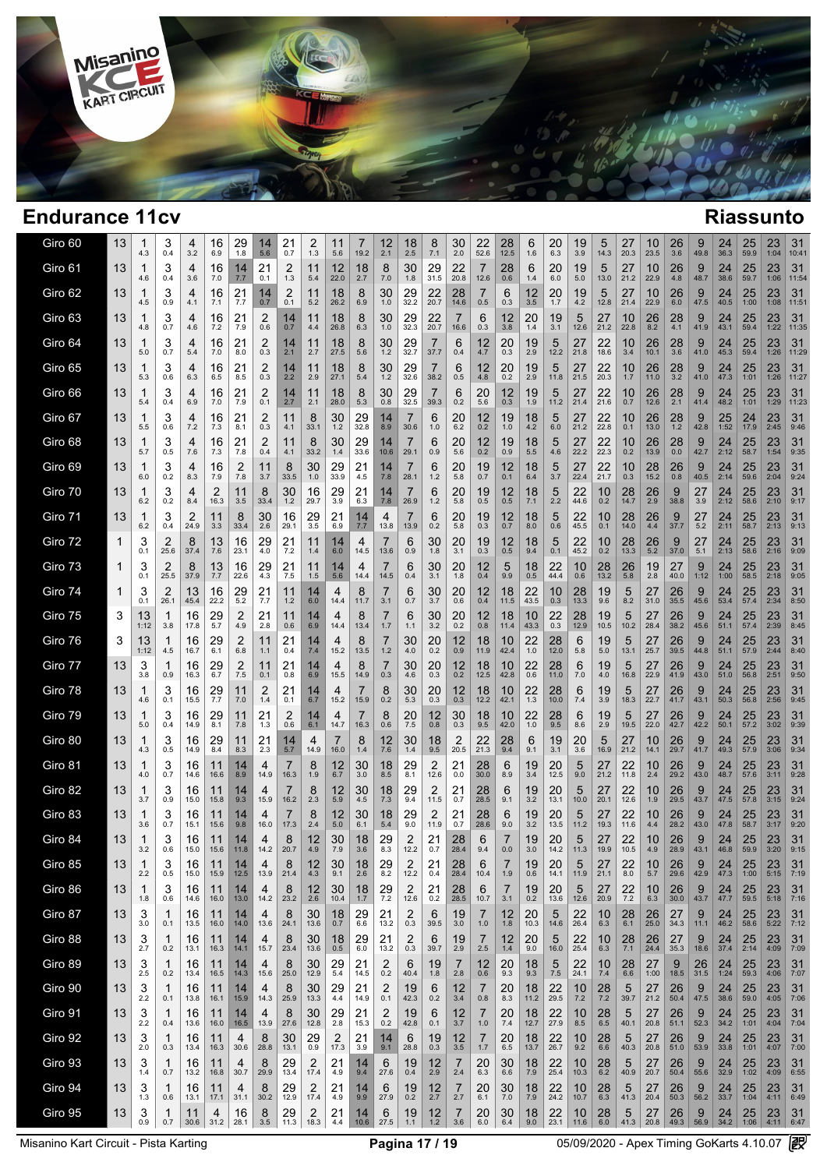

| Giro 60 | 13 | 1<br>4.3            | 3<br>0.4  | 4<br>3.2   | 16<br>6.9     | 29<br>1.8  | 14<br>5.6 | 21<br>0.7  | 2<br>1.3      | 11<br>5.6            | 19.2          | 12<br>2.1     | 18<br>2.5                       | 8<br>7.1         | 30<br>2.0             | 22<br>52.6    | 28<br>12.5    | 6<br>1.6   | 20<br>6.3         | 19<br>3.9            | 5<br>14.3     | 27<br>20.3    | 10<br>23.5 | $\frac{26}{3.6}$     | g<br>49.8  | 24<br>36.3           | 25<br>59.9           | 23<br>1:04           | 31<br>10:41 |
|---------|----|---------------------|-----------|------------|---------------|------------|-----------|------------|---------------|----------------------|---------------|---------------|---------------------------------|------------------|-----------------------|---------------|---------------|------------|-------------------|----------------------|---------------|---------------|------------|----------------------|------------|----------------------|----------------------|----------------------|-------------|
| Giro 61 | 13 | 4.6                 | З<br>0.4  | 4<br>3.6   | 16<br>7.0     | 14<br>7.7  | 21<br>0.1 | 2<br>1.3   | 11<br>5.4     | 12<br>22.0           | 18<br>2.7     | 8<br>7.0      | 30<br>1.8                       | 29<br>31.5       | 22<br>20.8            | 7<br>12.6     | 28<br>0.6     | 6<br>1.4   | 20<br>6.0         | 19<br>5.0            | 5<br>13.0     | 27<br>21.2    | 10<br>22.9 | 26<br>4.8            | 9<br>48.7  | 24<br>38.6           | 25<br>59.7           | 23<br>1:06           | 31<br>11:54 |
| Giro 62 | 13 | 4.5                 | 3<br>0.9  | 4<br>4.1   | 16<br>7.1     | 21<br>7.7  | 14<br>0.7 | 2<br>0.1   | 11<br>5.2     | 18<br>26.2           | 8<br>6.9      | 30<br>1.0     | 29<br>32.2                      | 22<br>20.7       | 28<br>14.6            | 7<br>0.5      | 6<br>0.3      | 12<br>3.5  | 20<br>1.7         | 19<br>4.2            | 5<br>12.8     | 27<br>21.4    | 10<br>22.9 | 26<br>6.0            | 9<br>47.5  | 24<br>40.5           | 25<br>1:00           | 23<br>1:08           | 31<br>11:51 |
| Giro 63 | 13 | 4.8                 | 3<br>0.7  | 4<br>4.6   | 16<br>7.2     | 21<br>7.9  | 2<br>0.6  | 14<br>0.7  | 11<br>4.4     | 18<br>26.8           | 8<br>6.3      | 30<br>1.0     | 29<br>32.3                      | 22<br>20.7       | 7<br>16.6             | 6<br>0.3      | 12<br>3.8     | 20<br>1.4  | 19<br>3.1         | 5<br>12.6            | 27<br>21.2    | 10<br>22.8    | 26<br>8.2  | 28<br>4.1            | 9<br>41.9  | 24<br>43.1           | 25<br>59.4           | 23<br>1:22           | 31<br>11:35 |
| Giro 64 | 13 | 5.0                 | 3<br>0.7  | 4<br>5.4   | 16<br>7.0     | 21<br>8.0  | 2<br>0.3  | 14<br>2.1  | 11<br>2.7     | 18<br>27.5           | 8<br>5.6      | 30<br>1.2     | 29<br>32.7                      | 37.7             | 6<br>0.4              | 12<br>4.7     | 20<br>0.3     | 19<br>2.9  | 5<br>12.2         | 27<br>21.8           | 22<br>18.6    | 10<br>3.4     | 26<br>10.1 | 28<br>3.6            | 9<br>41.0  | 24<br>45.3           | 25<br>59.4           | 23<br>1:26           | 31<br>11:29 |
| Giro 65 | 13 | 5.3                 | 3<br>0.6  | 4<br>6.3   | 16<br>6.5     | 21<br>8.5  | 2<br>0.3  | 14<br>2.2  | 11<br>2.9     | 18<br>27.1           | 8<br>5.4      | 30<br>1.2     | 29<br>32.6                      | 38.2             | 6<br>0.5              | 12<br>4.8     | 20<br>0.2     | 19<br>2.9  | 5<br>11.8         | 27<br>21.5           | 22<br>20.3    | 10<br>1.7     | 26<br>11.0 | 28<br>3.2            | 9<br>41.0  | 24<br>47.3           | 25<br>1:01           | 23<br>1:26           | 31<br>11:27 |
| Giro 66 | 13 | 5.4                 | 3<br>0.4  | 4<br>6.9   | 16<br>7.0     | 21<br>7.9  | 2<br>0.1  | 14<br>2.7  | 11<br>2.1     | 18<br>28.0           | 8<br>5.3      | 30<br>0.8     | 29<br>32.5                      | 39.3             | 6<br>0.2              | 20<br>5.6     | 12<br>0.3     | 19<br>1.9  | 5<br>11.2         | 27<br>21.4           | 22<br>21.6    | 10<br>0.7     | 26<br>12.6 | 28<br>2.1            | 9<br>41.4  | 24<br>48.2           | 25<br>1:01           | 23<br>1:29           | 31<br>11:23 |
| Giro 67 | 13 | 5.5                 | 3<br>0.6  | 4<br>7.2   | 16<br>7.3     | 21<br>8.1  | 2<br>0.3  | 11<br>4.1  | 8<br>33.1     | 30<br>1.2            | 29<br>32.8    | 14<br>8.9     | 7<br>30.6                       | 6<br>1.0         | 20<br>6.2             | 12<br>0.2     | 19<br>1.0     | 18<br>4.2  | 5<br>6.0          | 27<br>21.2           | 22<br>22.8    | 10<br>0.1     | 26<br>13.0 | 28<br>1.2            | 9<br>42.8  | 25<br>1:52           | 24<br>17.9           | 23<br>2:45           | 31<br>9:46  |
| Giro 68 | 13 | 5.7                 | 3<br>0.5  | 4<br>7.6   | 16<br>7.3     | 21<br>7.8  | 2<br>0.4  | 11<br>4.1  | 8<br>33.2     | 30<br>1.4            | 29<br>33.6    | 14<br>10.6    | 7<br>29.1                       | 6<br>0.9         | 20<br>5.6             | 12<br>0.2     | 19<br>0.9     | 18<br>5.5  | 5<br>4.6          | 27<br>22.2           | 22<br>22.3    | 10<br>0.2     | 26<br>13.9 | 28<br>0.0            | 9<br>42.7  | 24<br>2:12           | 25<br>58.7           | 23<br>1:54           | 31<br>9:35  |
| Giro 69 | 13 | 6.0                 | 3<br>0.2  | 4<br>8.3   | 16<br>7.9     | 2<br>7.8   | 11<br>3.7 | 8<br>33.5  | 30<br>1.0     | 29<br>33.9           | 21<br>4.5     | 14<br>7.8     | 7<br>28.1                       | 6<br>1.2         | 20<br>5.8             | 19<br>0.7     | 12<br>0.1     | 18<br>6.4  | 5<br>3.7          | 27<br>22.4           | 22<br>21.7    | 10<br>0.3     | 28<br>15.2 | 26<br>0.8            | 9<br>40.5  | 24<br>2:14           | 25<br>59.6           | 23<br>2:04           | 31<br>9:24  |
| Giro 70 | 13 | 6.2                 | 3<br>0.2  | 4<br>8.4   | 2<br>16.3     | 11<br>3.5  | 8<br>33.4 | 30<br>1.2  | 16<br>29.7    | 29<br>3.9            | 21<br>6.3     | 14<br>7.8     | 7<br>26.9                       | 6<br>1.2         | 20<br>5.8             | 19<br>0.5     | 12<br>0.5     | 18<br>7.1  | 5<br>2.2          | 22<br>44.6           | 10<br>0.2     | 28<br>14.7    | 26<br>2.9  | 9<br>38.8            | 27<br>3.9  | 24<br>2:12           | 25<br>58.6           | 23<br>2:10           | 31<br>9:17  |
| Giro 71 | 13 | 1<br>6.2            | 3<br>0.4  | 2<br>24.9  | 11<br>3.3     | 8<br>33.4  | 30<br>2.6 | 16<br>29.1 | 29<br>3.5     | 21<br>6.9            | 14<br>7.7     | 4<br>13.8     | 13.9                            | 6<br>0.2         | 20<br>5.8             | 19<br>0.3     | 12<br>0.7     | 18<br>8.0  | 5<br>0.6          | 22<br>45.5           | 10<br>0.1     | 28<br>14.0    | 26<br>4.4  | 9<br>37.7            | 27<br>5.2  | 24<br>2:11           | 25<br>58.7           | 23<br>2:13           | 31<br>9:13  |
| Giro 72 | 1  | 3<br>0.1            | 2<br>25.6 | 8<br>37.4  | 13<br>7.6     | 16<br>23.1 | 29<br>4.0 | 21<br>7.2  | 11<br>1.4     | 14<br>6.0            | 4<br>14.5     | 13.6          | 6<br>0.9                        | 30<br>1.8        | 20<br>3.1             | 19<br>0.3     | 12<br>0.5     | 18<br>9.4  | 5<br>0.1          | 22<br>45.2           | 10<br>0.2     | 28<br>13.3    | 26<br>5.2  | 9<br>37.0            | 27<br>5.1  | 24<br>2:13           | 25<br>58.6           | 23<br>2:16           | 31<br>9:09  |
| Giro 73 | 1  | 3<br>0.1            | 2<br>25.5 | 8<br>37.9  | 13<br>7.7     | 16<br>22.6 | 29<br>4.3 | 21<br>7.5  | 11<br>1.5     | 14<br>5.6            | 4<br>14.4     | 14.5          | 6<br>0.4                        | 30<br>3.1        | 20<br>1.8             | 12<br>0.4     | 5<br>9.9      | 18<br>0.5  | 22<br>44.4        | 10<br>0.6            | 28<br>13.2    | 26<br>5.8     | 19<br>2.8  | 27<br>40.0           | 9<br>1:12  | 24<br>1:00           | 25<br>58.5           | 23<br>2:18           | 31<br>9:05  |
| Giro 74 | 1  | 3<br>0.1            | 2<br>26.1 | 13<br>45.4 | 16<br>22.2    | 29<br>5.2  | 21<br>7.7 | 11<br>1.2  | 14<br>6.0     | 4<br>14.4            | 8<br>11.7     | 3.1           | 6<br>0.7                        | 30<br>3.7        | 20<br>0.6             | 12<br>0.4     | 18<br>11.5    | 22<br>43.5 | 10<br>0.3         | 28<br>13.3           | 19<br>9.6     | 5<br>8.2      | 27<br>31.0 | 26<br>35.5           | 9<br>45.6  | 24<br>53.4           | 25<br>57.4           | 23<br>2:34           | 31<br>8:50  |
| Giro 75 | 3  | 13<br>1:12          | 1<br>3.8  | 16<br>17.8 | 29<br>5.7     | 2<br>4.9   | 21<br>2.8 | 11<br>0.6  | 14<br>6.9     | 4<br>14.4            | 8<br>13.4     | 1.7           | 6<br>1.1                        | 30<br>3.2        | 20<br>0.2             | 12<br>0.8     | 18<br>11.4    | 10<br>43.3 | <u>22</u><br>0.3  | $28$ <sub>12.9</sub> | 19<br>10.5    | 5<br>10.2     | 27<br>28.4 | 26<br>38.2           | 9<br>45.6  | 24<br>51.1           | 25<br>57.4           | $23$ <sub>2:39</sub> | 31<br>8:45  |
| Giro 76 | 3  | 13<br>1:12          | 1<br>4.5  | 16<br>16.7 | 29<br>6.1     | 2<br>6.8   | 11<br>1.1 | 21<br>0.4  | 14<br>7.4     | 4<br>15.2            | 8<br>13.5     | 1.2           | 30<br>4.0                       | 20<br>0.2        | 12<br>0.9             | 18<br>11.9    | 10<br>42.4    | 22<br>1.0  | 28<br>12.0        | 6<br>5.8             | 19<br>5.0     | 5<br>13.1     | 27<br>25.7 | 26<br>39.5           | 9<br>44.8  | 24<br>51.1           | 25<br>57.9           | 23<br>2:44           | 31<br>8:40  |
| Giro 77 | 13 | 3<br>3.8            | 0.9       | 16<br>16.3 | 29<br>6.7     | 2<br>7.5   | 11<br>0.1 | 21<br>0.8  | 14<br>6.9     | 4<br>15.5            | 8<br>14.9     | 0.3           | 30<br>4.6                       | 20<br>0.3        | 12<br>0.2             | 18<br>12.5    | 10<br>42.8    | 22<br>0.6  | 28<br>11.0        | 6<br>7.0             | 19<br>4.0     | 5<br>16.8     | 27<br>22.9 | 26<br>41.9           | 9<br>43.0  | 24<br>51.0           | 25<br>56.8           | 23<br>2:51           | 31<br>9:50  |
| Giro 78 | 13 | 1<br>4.6            | 3<br>0.1  | 16<br>15.5 | $^{29}_{7.7}$ | 11<br>7.0  | 2<br>1.4  | 21<br>0.1  | 14<br>6.7     | 4<br>15.2            | 15.9          | 8<br>0.2      | 30<br>5.3                       | 20<br>0.3        | 12<br>0.3             | 18<br>12.2    | 10<br>42.1    | 22<br>1.3  | 28<br>10.0        | 6<br>7.4             | 19<br>3.9     | 5<br>18.3     | 27<br>22.7 | 26<br>41.7           | 9<br>43.1  | 24<br>50.3           | 25<br>56.8           | 23<br>2:56           | 31<br>9:45  |
| Giro 79 | 13 | 1<br>5.0            | 3<br>0.4  | 16<br>14.9 | $^{29}_{8.1}$ | 11<br>7.8  | 21<br>1.3 | 2<br>0.6   | 14<br>6.1     | 4<br>14.7            | 16.3          | 8<br>0.6      | 20<br>7.5                       | 12<br>0.8        | 30<br>0.3             | 18<br>9.5     | 10<br>42.0    | 22<br>1.0  | 28<br>9.5         | 6<br>8.6             | 19<br>2.9     | 5<br>19.5     | 27<br>22.0 | 26<br>42.7           | 9<br>42.2  | 24<br>50.1           | $25$ <sub>57.2</sub> | 23<br>3:02           | 31<br>9:39  |
| Giro 80 | 13 | 1<br>4.3            | 3<br>0.5  | 16<br>14.9 | 29<br>8.4     | 11<br>8.3  | 21<br>2.3 | 14<br>5.7  | 4<br>14.9     | 16.0                 | 8<br>1.4      | 12<br>7.6     | 30<br>1.4                       | 18<br>9.5        | 2<br>20.5             | 22<br>21.3    | 28<br>9.4     | 6<br>9.1   | 19<br>3.1         | 20<br>3.6            | 5<br>16.9     | 27<br>21.2    | 10<br>14.1 | 26<br>29.7           | 9<br>41.7  | 24<br>49.3           | 25<br>57.9           | 23<br>3:06           | 31<br>9:34  |
| Giro 81 | 13 | 1<br>4.0            | 3<br>0.7  | 16<br>14.6 | 11<br>16.6    | 14<br>8.9  | 4<br>14.9 | 16.3       | 8<br>1.9      | 12<br>6.7            | 30<br>3.0     | 18<br>8.5     | 29<br>8.1                       | 2<br>12.6        | 21<br>0.0             | 28<br>30.0    | 6<br>8.9      | 19<br>3.4  | 20<br>12.5        | 5<br>9.0             | 27<br>21.2    | 22<br>11.8    | 10<br>2.4  | 26<br>29.2           | 9<br>43.0  | 24<br>48.7           | 25<br>57.6           | 23<br>3:11           | 31<br>9:28  |
| Giro 82 | 13 | 1<br>3.7            | 3<br>0.9  | 16<br>15.0 | 11<br>15.8    | 14<br>9.3  | 4<br>15.9 | 16.2       | 8<br>2.3      | 12<br>5.9            | 30<br>4.5     | 18<br>7.3     | 29<br>9.4                       | 2<br>11.5        | 21<br>0.7             | 28<br>28.5    | 6<br>9.1      | 19<br>3.2  | 20<br>13.1        | 5<br>10.0            | 27<br>20.1    | 22<br>12.6    | 10<br>1.9  | 26<br>29.5           | 9<br>43.7  | 24<br>47.5           | 25<br>57.8           | 23<br>3:15           | 31<br>9:24  |
| Giro 83 | 13 | 1<br>3.6            | 3<br>0.7  | 16<br>15.1 | 11<br>15.6    | 14<br>9.8  | 4<br>16.0 | 17.3       | 8<br>2.4      | 12<br>5.0            | 30<br>6.1     | 18<br>5.4     | 29<br>9.0                       | 2<br>11.9        | 21<br>0.7             | 28<br>28.6    | 6<br>9.0      | 19<br>3.2  | 20<br>13.5        | 5<br>11.2            | 27<br>19.3    | 22<br>11.6    | 10<br>4.4  | 26<br>28.2           | 9<br>43.0  | 24<br>47.8           | 25<br>58.7           | 23<br>3:17           | 31<br>9:20  |
| Giro 84 | 13 | 1<br>3.2            | 3<br>0.6  | 16<br>15.0 | 11<br>15.6    | 14<br>11.8 | 4<br>14.2 | 8<br>20.7  | 12<br>4.9     | 30<br>7.9            | 18<br>3.6     | 29<br>8.3     | 2<br>12.2                       | 21<br>0.7        | 28<br>28.4            | 6<br>9.4      | 7<br>0.0      | 19<br>3.0  | 20<br>14.2        | 5<br>11.3            | 27<br>19.9    | 22<br>10.5    | 10<br>4.9  | 26<br>28.9           | 9<br>43.1  | 24<br>46.8           | 25<br>59.9           | 23<br>3:20           | 31<br>9:15  |
| Giro 85 | 13 | $\mathbf{1}$<br>2.2 | J<br>0.5  | 16<br>15.0 | 11<br>15.9    | 14<br>12.5 | 4<br>13.9 | 8<br>21.4  | 12<br>4.3     | 30<br>9.1            | 18<br>2.6     | 29<br>8.2     | $\overline{\mathbf{c}}$<br>12.2 | 21<br>0.4        | 28<br>28.4            | 6<br>10.4     | 1.9           | 19<br>0.6  | 20<br>14.1        | 5<br>11.9            | 27<br>21.1    | 22<br>8.0     | 10<br>5.7  | 26<br>29.6           | 42.9       | 24<br>47.3           | 25<br>1:00           | 23<br>5:15           | 31<br>7:19  |
| Giro 86 | 13 | -1<br>1.8           | 3<br>0.6  | 16<br>14.6 | 11<br>16.0    | 14<br>13.0 | 4<br>14.2 | 8<br>23.2  | 12<br>2.6     | $30$ <sub>10.4</sub> | 18<br>1.7     | $^{29}_{7.2}$ | 2<br>12.6                       | 21<br>0.2        | 28<br>28.5            | 6<br>10.7     | 7<br>3.1      | 19<br>0.2  | 20<br>13.6        | 5<br>12.6            | 27<br>20.9    | 22<br>7.2     | 10<br>6.3  | 26<br>30.0           | 9<br>43.7  | 24<br>47.7           | 25<br>59.5           | 23<br>5:18           | 31<br>7:16  |
| Giro 87 | 13 | 3<br>3.0            | -1<br>0.1 | 16<br>13.5 | 11<br>16.0    | 14<br>14.0 | 4<br>13.6 | 8<br>24.1  | 30<br>13.6    | 18<br>0.7            | 29<br>6.6     | 21<br>13.2    | 2<br>0.3                        | 6<br>39.5        | 19<br>3.0             | 7<br>1.0      | 12<br>1.8     | 20<br>10.3 | 5<br>14.6         | 22<br>26.4           | 10<br>6.3     | 28<br>6.1     | 26<br>25.0 | 27<br>34.3           | 9<br>11.1  | 24<br>46.2           | 25<br>58.6           | 23<br>5:22           | 31<br>7:12  |
| Giro 88 | 13 | 3<br>2.7            | -1<br>0.2 | 16<br>13.1 | 11<br>16.3    | 14<br>14.1 | 4<br>15.7 | 8<br>23.4  | 30<br>13.6    | 18<br>0.5            | 29<br>6.0     | 21<br>13.2    | 2<br>0.3                        | 6<br>39.7        | 19<br>2.9             | 7<br>2.5      | 12<br>1.4     | 20<br>9.0  | 5<br>16.0         | 22<br>25.4           | 10<br>6.3     | $^{28}_{7.1}$ | 26<br>24.4 | $27_{35.3}$          | 9<br>18.6  | $^{24}_{37.4}$       | 25<br>2:14           | 23<br>4:09           | 31<br>7:09  |
| Giro 89 | 13 | 3<br>2.5            | -1<br>0.2 | 16<br>13.4 | 11<br>16.5    | 14<br>14.3 | 4<br>15.6 | 8<br>25.0  | 30<br>12.9    | 29<br>5.4            | 21<br>14.5    | 2<br>0.2      | 6<br>40.4                       | 19<br>1.8        | 7<br>2.8              | 12<br>0.6     | 20<br>9.3     | 18<br>9.3  | $\frac{5}{7.5}$   | 22<br>24.1           | 10<br>7.4     | 28<br>6.6     | 27<br>1:00 | $\frac{9}{18.5}$     | 26<br>31.5 | 24<br>1:24           | 25<br>59.3           | 23<br>4:06           | 31<br>7:07  |
| Giro 90 | 13 | 3<br>2.2            | -1<br>0.1 | 16<br>13.8 | 11<br>16.1    | 14<br>15.9 | 4<br>14.3 | 8<br>25.9  | 30<br>13.3    | 29<br>4.4            | 21<br>14.9    | 2<br>0.1      | 19<br>42.3                      | 6<br>0.2         | 12<br>3.4             | 7<br>0.8      | 20<br>8.3     | 18<br>11.2 | 22<br>29.5        | $^{10}_{7.2}$        | 28<br>7.2     | 5<br>39.7     | 27<br>21.2 | $26$ <sub>50.4</sub> | $9\n47.5$  | $\frac{24}{38.6}$    | $\frac{25}{59.0}$    | 23<br>4:05           | 31<br>7:06  |
| Giro 91 | 13 | 3<br>2.2            | -1<br>0.4 | 16<br>13.6 | 11<br>16.0    | 14<br>16.5 | 4<br>13.9 | 8<br>27.6  | 30<br>12.8    | 29<br>2.8            | 21<br>15.3    | 2<br>0.2      | 19<br>42.8                      | 6<br>0.1         | 12<br>3.7             | 7<br>1.0      | 20<br>7.4     | 18<br>12.7 | 22<br>27.9        | 10<br>8.5            | 28<br>6.5     | 5<br>40.1     | 27<br>20.8 | 26<br>51.1           | 9<br>52.3  | 24<br>34.2           | 25<br>1:01           | 23<br>4:04           | 31<br>7:04  |
| Giro 92 | 13 | 3<br>2.0            | -1<br>0.3 | 16<br>13.4 | 11<br>16.3    | 4<br>30.6  | 8<br>28.8 | 30<br>13.1 | $^{29}_{0.9}$ | $\frac{2}{17.3}$     | $^{21}_{3.9}$ | 14<br>9.1     | 6<br>28.8                       | 19<br>0.3        | $\frac{12}{3.5}$      | 7<br>1.7      | $^{20}_{6.5}$ | 18<br>13.7 | $\frac{22}{26.7}$ | $^{10}_{9.2}$        | $^{28}_{6.6}$ | 5<br>40.3     | 27<br>20.8 | $26$ <sub>51.0</sub> | 9<br>53.9  | $24 \over 33.8$      | 25<br>1:01           | 23<br>4:07           | 31<br>7:00  |
| Giro 93 | 13 | 3<br>1.4            | -1<br>0.7 | 16<br>13.2 | 11<br>16.8    | 4<br>30.7  | 8<br>29.9 | 29<br>13.4 | 2<br>17.4     | 21<br>4.9            | 14<br>9.4     | 6<br>27.6     | 19<br>0.4                       | $\frac{12}{2.9}$ | 7<br>2.4              | 20<br>6.3     | 30<br>6.6     | 18<br>7.9  | $^{22}_{25.4}$    | $\frac{10}{10.3}$    | $^{28}_{6.2}$ | 5<br>40.9     | 27<br>20.7 | 26<br>50.4           | 9<br>55.6  | 24<br>32.9           | 25<br>1:02           | 23<br>4:09           | 31<br>6:55  |
| Giro 94 | 13 | 3<br>1.3            | 1<br>0.6  | 16<br>13.1 | 11<br>17.1    | 4<br>31.1  | 8<br>30.2 | 29<br>12.9 | 2<br>17.4     | 21<br>4.9            | 14<br>9.9     | 6<br>27.9     | 19<br>0.2                       | 12<br>2.7        | $\overline{7}$<br>2.7 | 20<br>6.1     | 30<br>7.0     | 18<br>7.9  | 22<br>24.2        | 10<br>10.7           | 28<br>6.3     | 5<br>41.3     | 27<br>20.4 | 26<br>50.3           | 9<br>56.2  | 24<br>33.7           | 25<br>1:04           | 23<br>4:11           | 31<br>6:49  |
| Giro 95 | 13 | 3<br>0.9            | 1<br>0.7  | 11<br>30.6 | 4<br>31.2     | 16<br>28.1 | 8<br>3.5  | 29<br>11.3 | 2<br>18.3     | 21<br>4.4            | 14<br>10.6    | 6<br>27.5     | 19<br>1.1                       | 12<br>$1.2$      | $\overline{7}$<br>3.6 | 20<br>$6.0\,$ | 30<br>6.4     | 18<br>9.0  | 22<br>23.1        | 10<br>11.6           | 28<br>6.0     | 5<br>41.3     | 27<br>20.8 | 26<br>49.3           | 9          | 24<br>56.9 34.2 1:06 | 25                   | 23<br>4:11           | 31<br>6:47  |
|         |    |                     |           |            |               |            |           |            |               |                      |               |               |                                 |                  |                       |               |               |            |                   |                      |               |               |            |                      |            |                      |                      |                      |             |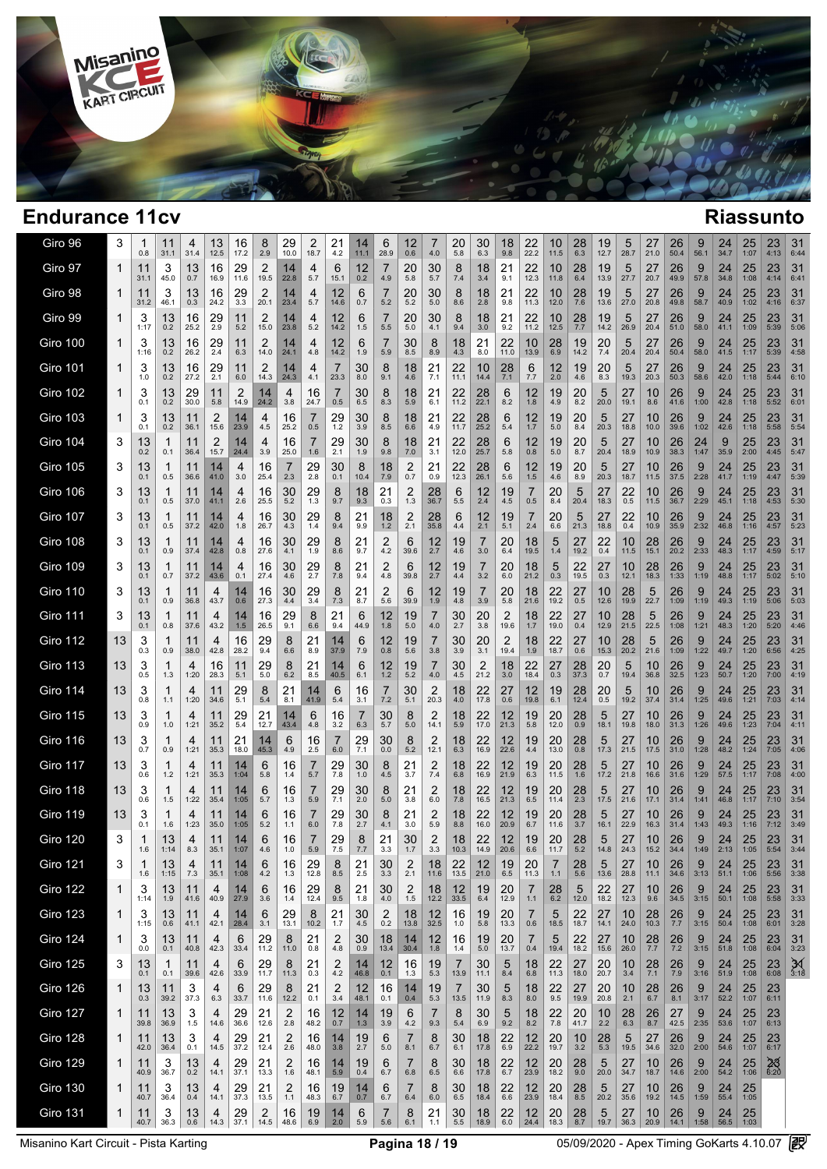

| Giro 96         | 3            | 0.8        | 11<br>31.1  | 4<br>31.4  | 13<br>12.5 | 16<br>17.2 | 8<br>2.9               | 29<br>10.0    | 2<br>18.7  | 21<br>4.2             | 14<br>11.1    | 6<br>28.9  | 12<br>0.6             | $\prime$<br>4.0 | 20<br>5.8                 | 30<br>6.3  | 18<br>9.8      | 22<br>22.2                | 10<br>11.5            | 28<br>6.3              | 19<br>12.7             | 5<br>28.7  | 27<br>21.0    | 26<br>50.4        | 9<br>56.1        | 24<br>34.7           | 25<br>1:07      | 23<br>4:13        | 31<br>6:44        |
|-----------------|--------------|------------|-------------|------------|------------|------------|------------------------|---------------|------------|-----------------------|---------------|------------|-----------------------|-----------------|---------------------------|------------|----------------|---------------------------|-----------------------|------------------------|------------------------|------------|---------------|-------------------|------------------|----------------------|-----------------|-------------------|-------------------|
| Giro 97         | 1            | 11<br>31.1 | 3<br>45.0   | 13<br>0.7  | 16<br>16.9 | 29<br>11.6 | 2<br>19.5              | 14<br>22.8    | 4<br>5.7   | 6<br>15.1             | 12<br>0.2     | 7<br>4.9   | 20<br>5.8             | 30<br>5.7       | 8<br>7.4                  | 18<br>3.4  | $^{21}$<br>9.1 | 22<br>12.3                | 10<br>11.8            | 28<br>6.4              | 19<br>13.9             | 5<br>27.7  | 27<br>20.7    | 26<br>49.9        | 9<br>57.8        | 24<br>34.8           | 25<br>1:08      | 23<br>4:14        | 31<br>6:41        |
| Giro 98         | 1            | 11<br>31.2 | 3<br>46.1   | 13<br>0.3  | 16<br>24.2 | 29<br>3.3  | $\overline{2}$<br>20.1 | 14<br>23.4    | 4<br>5.7   | 12<br>14.6            | 6<br>0.7      | 5.2        | 20<br>5.2             | 30<br>5.0       | 8<br>8.6                  | 18<br>2.8  | 21<br>9.8      | 22<br>11.3                | 10<br>12.0            | 28<br>7.6              | 19<br>13.6             | 5<br>27.0  | 27<br>20.8    | 26<br>49.8        | 9<br>58.7        | 24<br>40.9           | 25<br>1:02      | 23<br>4:16        | 31<br>6:37        |
| Giro 99         | 1            | 3<br>1:17  | 13<br>0.2   | 16<br>25.2 | 29<br>2.9  | 11<br>5.2  | 2<br>15.0              | 14<br>23.8    | 4<br>5.2   | 12<br>14.2            | 6<br>1.5      | 7<br>5.5   | 20<br>5.0             | 30<br>4.1       | 8<br>9.4                  | 18<br>3.0  | 21<br>9.2      | 22<br>11.2                | 10<br>12.5            | 28<br>7.7              | 19<br>14.2             | 5<br>26.9  | 27<br>20.4    | 26<br>51.0        | 9<br>58.0        | 24<br>41.1           | 25<br>1:09      | 23<br>5:39        | 31<br>5:06        |
| Giro 100        | 1            | 3<br>1:16  | 13<br>0.2   | 16<br>26.2 | 29<br>2.4  | 11<br>6.3  | 2<br>14.0              | 14<br>24.1    | 4<br>4.8   | 12<br>14.2            | 6<br>1.9      | 5.9        | 30<br>8.5             | 8<br>8.9        | 18<br>4.3                 | 21<br>8.0  | 22<br>11.0     | 10<br>13.9                | 28<br>6.9             | 19<br>14.2             | 20<br>7.4              | 5<br>20.4  | 27<br>20.4    | 26<br>50.4        | 9<br>58.0        | 24<br>41.5           | 25<br>1:17      | 23<br>5:39        | 31<br>4:58        |
| Giro 101        | 1            | 3<br>1.0   | 13<br>0.2   | 16<br>27.2 | 29<br>2.1  | 11<br>6.0  | 2<br>14.3              | 14<br>24.3    | 4<br>4.1   | 7<br>23.3             | 30<br>8.0     | 8<br>9.1   | 18<br>4.6             | 21<br>7.1       | 22<br>11.1                | 10<br>14.4 | 28<br>7.1      | 6<br>7.7                  | 12<br>2.0             | 19<br>4.6              | 20<br>8.3              | 5<br>19.3  | 27<br>20.3    | 26<br>50.3        | 9<br>58.6        | 24<br>42.0           | 25<br>1:18      | 23<br>5:44        | 31<br>6:10        |
| Giro 102        | 1            | 3<br>0.1   | 13<br>0.2   | 29<br>30.0 | 11<br>5.8  | 2<br>14.9  | 14<br>24.2             | 4<br>3.8      | 16<br>24.7 | 7<br>0.5              | 30<br>6.5     | 8<br>8.3   | 18<br>5.9             | 21<br>6.1       | 22<br>11.2                | 28<br>22.1 | 6<br>8.2       | 12<br>1.8                 | 19<br>4.9             | 20<br>8.2              | 5<br>20.0              | 27<br>19.1 | 10<br>8.6     | 26<br>41.6        | 9<br>1:00        | 24<br>42.8           | 25<br>1:18      | 23<br>5:52        | 31<br>6:01        |
| Giro 103        | 1            | 3<br>0.1   | 13<br>0.2   | 11<br>36.1 | 2<br>15.6  | 14<br>23.9 | 4<br>4.5               | 16<br>25.2    | 0.5        | 29<br>1.2             | 30<br>3.9     | 8<br>8.5   | 18<br>6.6             | 21<br>4.9       | 22<br>11.7                | 28<br>25.2 | 6<br>5.4       | 12<br>1.7                 | 19<br>5.0             | 20<br>8.4              | 5<br>20.3              | 27<br>18.8 | 10<br>10.0    | 26<br>39.6        | 9<br>1:02        | 24<br>42.6           | 25<br>1:18      | 23<br>5:58        | 31<br>5:54        |
| Giro 104        | 3            | 13<br>0.2  | 1<br>0.1    | 11<br>36.4 | 2<br>15.7  | 14<br>24.4 | 4<br>3.9               | 16<br>25.0    | 7<br>1.6   | 29<br>2.1             | 30<br>1.9     | 8<br>9.8   | 18<br>$7.0\,$         | 21<br>3.1       | 22<br>12.0                | 28<br>25.7 | 6<br>5.8       | 12<br>0.8                 | 19<br>5.0             | 20<br>8.7              | 5<br>20.4              | 27<br>18.9 | 10<br>10.9    | 26<br>38.3        | 24<br>1:47       | 9<br>35.9            | 25<br>2:00      | 23<br>4:45        | 31<br>5:47        |
| Giro 105        | 3            | 13<br>0.1  | 1<br>0.5    | 11<br>36.6 | 14<br>41.0 | 4<br>3.0   | 16<br>25.4             | 7<br>2.3      | 29<br>2.8  | 30<br>0.1             | 8<br>10.4     | 18<br>7.9  | $\overline{2}$<br>0.7 | 21<br>0.9       | 22<br>12.3                | 28<br>26.1 | 6<br>5.6       | 12<br>1.5                 | 19<br>4.6             | 20<br>8.9              | 5<br>20.3              | 27<br>18.7 | 10<br>11.5    | 26<br>37.5        | 9<br>2:28        | 24<br>41.7           | 25<br>1:19      | 23<br>4:47        | 31<br>5:39        |
| <b>Giro 106</b> | 3            | 13<br>0.1  | 1<br>0.5    | 11<br>37.0 | 14<br>41.1 | 4<br>2.6   | 16<br>25.5             | 30<br>$5.2\,$ | 29<br>1.3  | 8<br>9.7              | 18<br>9.3     | 21<br>0.3  | 2<br>1.3              | 28<br>36.7      | 6<br>$5.5\,$              | 12<br>2.4  | 19<br>4.5      | 7<br>0.5                  | 20<br>8.4             | 5<br>20.4              | 27<br>18.3             | 22<br>0.5  | 10<br>11.5    | 26<br>36.7        | 9<br>2:29        | 24<br>45.1           | 25<br>1:18      | 23<br>4:53        | 31<br>5:30        |
| <b>Giro 107</b> | 3            | 13<br>0.1  | 1<br>0.5    | 11<br>37.2 | 14<br>42.0 | 4<br>1.8   | 16<br>26.7             | 30<br>4.3     | 29<br>1.4  | 8<br>9.4              | 21<br>9.9     | 18<br>1.2  | $^{2}_{2.1}$          | 28<br>35.8      | 6<br>4.4                  | 12<br>2.1  | 19<br>5.1      | 7<br>2.4                  | 20<br>6.6             | 5<br>21.3              | 27<br>18.8             | 22<br>0.4  | 10<br>10.9    | 26<br>35.9        | 9<br>2:32        | 24<br>46.8           | 25<br>1:16      | 23<br>4:57        | 31<br>5:23        |
| <b>Giro 108</b> | 3            | 13<br>0.1  | 1<br>0.9    | 11<br>37.4 | 14<br>42.8 | 4<br>0.8   | 16<br>27.6             | 30<br>4.1     | 29<br>1.9  | 8<br>8.6              | 21<br>9.7     | 2<br>4.2   | 6<br>39.6             | 12<br>2.7       | 19<br>4.6                 | 7<br>3.0   | 20<br>6.4      | 18<br>19.5                | 5<br>1.4              | 27<br>19.2             | 22<br>0.4              | 10<br>11.5 | 28<br>15.1    | 26<br>20.2        | 9<br>2:33        | 24<br>48.3           | 25<br>1:17      | 23<br>4:59        | 31<br>5:17        |
| Giro 109        | 3            | 13<br>0.1  | 1<br>0.7    | 11<br>37.2 | 14<br>43.6 | 4<br>0.1   | 16<br>27.4             | 30<br>4.6     | 29<br>2.7  | 8<br>7.8              | 21<br>9.4     | 2<br>4.8   | 6<br>39.8             | 12<br>2.7       | 19<br>4.4                 | 7<br>3.2   | 20<br>6.0      | 18<br>21.2                | 5<br>0.3              | 22<br>19.5             | 27<br>0.3              | 10<br>12.1 | 28<br>18.3    | 26<br>1:33        | 9<br>1:19        | 24<br>48.8           | 25<br>1:17      | 23<br>5:02        | 31<br>5:10        |
| <b>Giro 110</b> | 3            | 13<br>0.1  | 1<br>0.9    | 11<br>36.8 | 4<br>43.7  | 14<br>0.6  | 16<br>27.3             | 30<br>4.4     | 29<br>3.4  | 8<br>7.3              | 21<br>8.7     | 2<br>5.6   | 6<br>39.9             | 12<br>1.9       | 19<br>4.8                 | 7<br>3.9   | 20<br>5.8      | 18<br>21.6                | 22<br>19.2            | 27<br>0.5              | 10<br>12.6             | 28<br>19.9 | 5<br>22.7     | 26<br>1:09        | 9<br>1:19        | 24<br>49.3           | 25<br>1:19      | 23<br>5:06        | 31<br>5:03        |
| Giro 111        | 3            | 13<br>0.1  | 1<br>0.8    | 11<br>37.6 | 4<br>43.2  | 14<br>1.5  | 16<br>26.5             | 29<br>9.1     | 8<br>6.6   | 21<br>9.4             | 6<br>44.9     | 12<br>1.8  | 19<br>5.0             | 7<br>4.0        | 30<br>2.7                 | 20<br>3.8  | 2<br>19.6      | 18<br>1.7                 | 22<br>19.0            | 27<br>0.4              | 10<br>12.9             | 28<br>21.5 | 5<br>22.5     | 26<br>1:08        | 9<br>1:21        | 24<br>48.3           | 25<br>1:20      | 23<br>5:20        | 31<br>4:46        |
| <b>Giro 112</b> | 13           | 3<br>0.3   | 1<br>0.9    | 11<br>38.0 | 4<br>42.8  | 16<br>28.2 | 29<br>9.4              | 8<br>6.6      | 21<br>8.9  | 14<br>37.9            | 6<br>7.9      | 12<br>0.8  | 19<br>5.6             | 7<br>3.8        | 30<br>3.9                 | 20<br>3.1  | 2<br>19.4      | 18<br>1.9                 | 22<br>18.7            | 27<br>0.6              | 10<br>15.3             | 28<br>20.2 | 5<br>21.6     | 26<br>1:09        | 9<br>1:22        | 24<br>49.7           | 25<br>1:20      | 23<br>6:56        | 31<br>4:25        |
| <b>Giro 113</b> | 13           | 3<br>0.5   | 1<br>1.3    | 4<br>1:20  | 16<br>28.3 | 11<br>5.1  | 29<br>5.0              | 8<br>6.2      | 21<br>8.5  | 14<br>40.5            | 6<br>6.1      | 12<br>1.2  | 19<br>5.2             | 7<br>4.0        | 30<br>4.5                 | 2<br>21.2  | 18<br>3.0      | 22<br>18.4                | 27<br>0.3             | 28<br>37.3             | 20<br>0.7              | 5<br>19.4  | 10<br>36.8    | 26<br>32.5        | 9<br>1:23        | 24<br>50.7           | 25<br>1:20      | 23<br>7:00        | 31<br>4:19        |
| Giro 114        | 13           | 3<br>0.8   | 1<br>1.1    | 4<br>1:20  | 11<br>34.6 | 29<br>5.1  | 8<br>5.4               | 21<br>8.1     | 14<br>41.9 | 6<br>5.4              | 16<br>3.1     | 7<br>7.2   | 30<br>5.1             | 2<br>20.3       | 18<br>4.0                 | 22<br>17.8 | 27<br>0.6      | 12<br>19.8                | 19<br>6.1             | 28<br>12.4             | 20<br>0.5              | 5<br>19.2  | 10<br>37.4    | 26<br>31.4        | 9<br>1:25        | 24<br>49.6           | 25<br>1:21      | 23<br>7:03        | 31<br>4:14        |
| <b>Giro 115</b> | 13           | 3<br>0.9   | 1<br>1.0    | 4<br>1:21  | 11<br>35.2 | 29<br>5.4  | 21<br>12.7             | 14<br>43.4    | 6<br>4.8   | 16<br>3.2             | 7<br>6.3      | 30<br>5.7  | 8<br>5.0              | 2<br>14.1       | 18<br>5.9                 | 22<br>17.0 | 12<br>21.3     | 19<br>5.8                 | 20<br>12.0            | $^{28}_{0.9}$          | 5<br>18.1              | 27<br>19.8 | 10<br>18.0    | 26<br>31.3        | 9<br>1:26        | 24<br>49.6           | 25<br>1:23      | 23<br>7:04        | 31<br>4:11        |
| <b>Giro 116</b> | 13           | 3<br>0.7   | 1<br>0.9    | 4<br>1:21  | 11<br>35.3 | 21<br>18.0 | 14<br>45.3             | 6<br>4.9      | 16<br>2.5  | $\overline{7}$<br>6.0 | 29<br>7.1     | 30<br>0.0  | 8<br>5.2              | 2<br>12.1       | 18<br>6.3                 | 22<br>16.9 | 12<br>22.6     | 19<br>4.4                 | 20<br>13.0            | 28<br>0.8              | 5<br>17.3              | 27<br>21.5 | 10<br>17.5    | 26<br>31.0        | 9<br>1:28        | 24<br>48.2           | 25<br>1:24      | 23<br>7:05        | 31<br>4:06        |
| <b>Giro 117</b> | 13           | 3<br>0.6   | 1<br>1.2    | 4<br>1:21  | 11<br>35.3 | 14<br>1:04 | 6<br>5.8               | 16<br>1.4     | 7<br>5.7   | 29<br>$7.8$           | 30<br>1.0     | 8<br>4.5   | 21<br>3.7             | 2<br>7.4        | 18<br>6.8                 | 22<br>16.9 | 12<br>21.9     | 19<br>6.3                 | 20<br>11.5            | 28<br>1.6              | 5<br>17.2              | 27<br>21.8 | 10<br>16.6    | 26<br>31.6        | 9<br>1:29        | 24<br>57.5           | 25<br>1:17      | 23<br>7:08        | 31<br>4:00        |
| <b>Giro 118</b> | 13           | 3<br>0.6   | 1<br>1.5    | 4<br>1:22  | 11<br>35.4 | 14<br>1:05 | 6<br>5.7               | 16<br>1.3     | 7<br>5.9   | $^{29}_{7.1}$         | 30<br>2.0     | 8<br>5.0   | 21<br>3.8             | 2<br>6.0        | 18<br>7.8                 | 22<br>16.5 | 12<br>21.3     | 19<br>6.5                 | 20<br>11.4            | 28<br>2.3              | 5<br>17.5              | 27<br>21.6 | 10<br>17.1    | 26<br>31.4        | 9<br>1:41        | 24<br>46.8           | 25<br>1:17      | 23<br>7:10        | 31<br>3:54        |
| <b>Giro 119</b> | 13           | 3<br>0.1   | 1<br>1.6    | 4<br>1:23  | 11<br>35.0 | 14<br>1:05 | 6<br>5.2               | 16<br>1.1     | 7<br>6.0   | 29<br>7.8             | 30<br>2.7     | 8<br>4.1   | 21<br>3.0             | 2<br>5.9        | 18<br>8.8                 | 22<br>16.0 | 12<br>20.9     | 19<br>6.7                 | 20<br>11.6            | 28<br>3.7              | 5<br>16.1              | 27<br>22.9 | 10<br>16.3    | 26<br>31.4        | 9<br>1:43        | 24<br>49.3           | 25<br>1:16      | 23<br>7:12        | 31<br>3:49        |
| <b>Giro 120</b> | 3            | 1<br>1.6   | 13<br>1:14  | 4<br>8.3   | 11<br>35.1 | 14<br>1:07 | 6<br>4.6               | 16<br>1.0     | 7<br>5.9   | 29<br>7.5             | 8<br>7.7      | 21<br>3.3  | 30<br>1.7             | 2<br>3.3        | 18<br>10.3                | 22<br>14.9 | 12<br>20.6     | 19<br>6.6                 | 20<br>11.7            | 28<br>5.2              | 5<br>14.8              | 27<br>24.3 | 10<br>15.2    | 26<br>34.4        | 9<br>1:49        | 24<br>2:13           | 25<br>1:05      | 23<br>5:54        | 31<br>3:44        |
| <b>Giro 121</b> | 3            | 1.6        | 13<br>1:15  | 4<br>7.3   | 11<br>35.1 | 14<br>1:08 | 6<br>4.2               | 16<br>1.3     | 29<br>12.8 | 8<br>8.5              | 21<br>$2.5\,$ | 30<br>3.3  | $\overline{c}$<br>2.1 | 18<br>11.6      | $\sim$<br>$^{22}$<br>13.5 | 12<br>21.0 | 19<br>6.5      | 20<br>11.3                | $\overline{ }$<br>1.1 | 28<br>$5.6\,$          | 5<br>13.6              | 27<br>28.8 | 10<br>11.1    | 26<br>34.6        | 3:13             | 24<br>51.1           | 25<br>1:06      | 23<br>5:56        | 31<br>3:38        |
| Giro 122        | 1            | 3<br>1:14  | 13<br>1.9   | 11<br>41.6 | 4<br>40.9  | 14<br>27.9 | 6<br>3.6               | 16<br>1.4     | 29<br>12.4 | 8<br>9.5              | 21<br>1.8     | 30<br>4.0  | $\frac{2}{1.5}$       | $18_{12.2}$     | $12 \choose 33.5$         | 19<br>6.4  | 20<br>12.9     | 7<br>1.1                  | 28<br>6.2             | $\frac{5}{12.0}$       | 22<br>18.2             | 27<br>12.3 | 10<br>9.6     | 26<br>34.5        | 9<br>3:15        | 24<br>50.1           | 25<br>1:08      | 23<br>5:58        | 31<br>3:33        |
| <b>Giro 123</b> | 1            | 3<br>1:15  | 13<br>0.6   | 11<br>41.1 | 4<br>42.1  | 14<br>28.4 | 6<br>3.1               | 29<br>13.1    | 8<br>10.2  | 21<br>1.7             | 30<br>4.5     | 2<br>0.2   | 18<br>13.8            | 12<br>32.5      | 16<br>1.0                 | 19<br>5.8  | 20<br>13.3     | 7<br>0.6                  | 5<br>18.5             | 22<br>18.7             | 27<br>14.1             | 10<br>24.0 | 28<br>10.3    | 26<br>7.7         | 9<br>3:15        | 24<br>50.4           | 25<br>1:08      | 23<br>6:01        | 31<br>3:28        |
| <b>Giro 124</b> | $\mathbf{1}$ | 3<br>0.0   | 13<br>0.1   | 11<br>40.8 | 4<br>42.3  | 6<br>33.4  | 29<br>11.2             | 8<br>11.0     | 21<br>0.8  | 2<br>4.8              | 30<br>0.9     | 18<br>13.4 | $\frac{14}{30.4}$     | $^{12}_{1.8}$   | 16<br>1.4                 | 19<br>5.0  | 20<br>13.7     | 7<br>0.4                  | 5<br>19.4             | 22<br>18.2             | 27<br>15.6             | 10<br>26.0 | $^{28}_{7.7}$ | $\frac{26}{7.2}$  | $9 \choose 3:15$ | $24$ <sub>51.8</sub> | 25<br>1:08      | 23<br>6:04        | 31<br>3:23        |
| <b>Giro 125</b> | 3            | 13<br>0.1  | -1<br>0.1   | 11<br>39.6 | 4<br>42.6  | 6<br>33.9  | 29<br>11.7             | 8<br>11.3     | 21<br>0.3  | $^{2}_{4.2}$          | 14<br>46.8    | 12<br>0.1  | 16<br>1.3             | 19<br>5.3       | 7<br>13.9                 | 30<br>11.1 | 5<br>8.4       | 18<br>6.8                 | 22<br>11.3            | 27<br>18.0             | 20<br>20.7             | 10<br>3.4  | $^{28}_{7.1}$ | $\frac{26}{7.9}$  | 9<br>3:16        | 24<br>51.9           | 25<br>1:08      | 23<br>6:08        | $3\frac{3}{3:18}$ |
| <b>Giro 126</b> | $\mathbf{1}$ | 13<br>0.3  | -11<br>39.2 | 3<br>37.3  | 4<br>6.3   | 6<br>33.7  | 29<br>11.6             | 8<br>12.2     | 21<br>0.1  | 2<br>3.4              | 12<br>48.1    | 16<br>0.1  | 14<br>0.4             | 19<br>5.3       | 7<br>13.5                 | 30<br>11.9 | 5<br>8.3       | 18<br>8.0                 | 22<br>9.5             | 27<br>19.9             | 20<br>20.8             | 10<br>2.1  | $^{28}_{6.7}$ | $^{26}_{8.1}$     | $9 \choose 3:17$ | $24$ <sub>52.2</sub> | 25<br>1:07      | 23<br>6:11        |                   |
| <b>Giro 127</b> | 1            | 11<br>39.8 | 13<br>36.9  | 3<br>1.5   | 4<br>14.6  | 29<br>36.6 | 21<br>12.6             | 2<br>2.8      | 16<br>48.2 | 12<br>0.7             | 14<br>1.3     | 19<br>3.9  | 6<br>4.2              | 7<br>9.3        | 8<br>5.4                  | 30<br>6.9  | 5<br>9.2       | 18<br>8.2                 | 22<br>7.8             | 20<br>41.7             | 10<br>2.2              | 28<br>6.3  | 26<br>8.7     | 27<br>42.5        | 9<br>2:35        | 24<br>53.6           | 25<br>1:07      | 23<br>6:13        |                   |
| <b>Giro 128</b> | 1            | 11<br>42.0 | 13<br>36.4  | 3<br>0.1   | 4<br>14.5  | 29<br>37.2 | 21<br>12.4             | 2<br>2.6      | 16<br>48.0 | 14<br>3.8             | 19<br>2.7     | 6<br>5.0   | 7<br>8.1              | 8<br>6.7        | 30 <sub>6.1</sub>         | 18<br>17.8 | $^{22}_{6.9}$  | $12 \overline{ }$<br>22.2 | $20$ <sub>19.7</sub>  | 10<br>$3.\overline{2}$ | $^{28}_{\,5.3}$        | 5<br>19.5  | 27<br>34.6    | $\frac{26}{32.0}$ | 9<br>2:00        | $24$ <sub>54.6</sub> | 25<br>1:07      | 23<br>6:17        |                   |
| <b>Giro 129</b> | 1            | 11<br>40.9 | 3<br>36.7   | 13<br>0.2  | 4<br>14.1  | 29<br>37.1 | 21<br>13.3             | 2<br>1.6      | 16<br>48.1 | 14<br>5.9             | 19<br>0.4     | 6<br>6.7   | 7<br>6.8              | 8<br>6.5        | 30<br>6.6                 | 18<br>17.8 | $^{22}_{6.7}$  | 12<br>23.9                | $^{20}_{18.2}$        | $^{28}_{9.0}$          | $\overline{5}$<br>20.0 | 27<br>34.7 | 10<br>18.7    | 26<br>14.6        | 9<br>2:00        | 24<br>54.2           | 25<br>1:06      | $\frac{23}{6:20}$ |                   |
| Giro 130        | 1            | 11<br>40.7 | 3<br>36.4   | 13<br>0.4  | 4<br>14.1  | 29<br>37.3 | 21<br>13.5             | 2<br>1.1      | 16<br>48.3 | 19<br>6.7             | 14<br>0.7     | 6<br>6.7   | 7<br>6.4              | 8<br>6.0        | 30<br>6.5                 | 18<br>18.4 | 22<br>6.6      | $12 \overline{ }$<br>23.9 | 20<br>18.4            | 28<br>8.5              | $\overline{5}$<br>20.2 | 27<br>35.6 | 10<br>19.2    | 26<br>14.5        | 9<br>1:59        | 24<br>55.4           | 25<br>1:05      |                   |                   |
| Giro 131        | $\mathbf{1}$ | 11<br>40.7 | 3<br>36.3   | 13<br>0.6  | 4<br>14.3  | 29<br>37.1 | 2<br>14.5              | 16<br>48.6    | 19<br>6.9  | 14<br>2.0             | 6<br>5.9      | 7<br>5.6   | 8<br>6.1              | 21<br>1.1       | 30<br>5.5                 | 18<br>18.9 | 22<br>6.0      | $12 \overline{ }$<br>24.4 | 20<br>18.3            | 28<br>8.7              | 5<br>19.7              | 27<br>36.3 | 10<br>20.9    | 26<br>14.1        | 9<br>1:58        | 24                   | 25<br>56.5 1:03 |                   |                   |